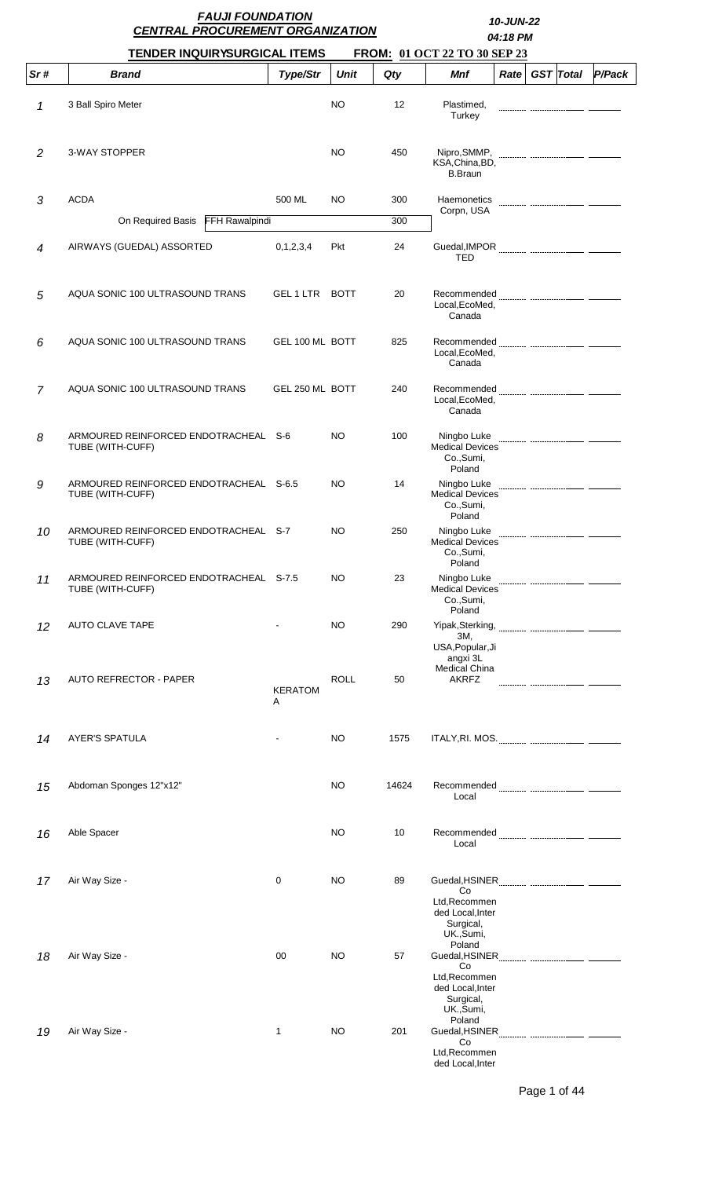|                | <b>FAUJI FOUNDATION</b><br><b>CENTRAL PROCUREMENT ORGANIZATION</b> |                     |             | 10-JUN-22<br>04:18 PM |                                                                              |  |  |                |        |
|----------------|--------------------------------------------------------------------|---------------------|-------------|-----------------------|------------------------------------------------------------------------------|--|--|----------------|--------|
|                | <b>TENDER INQUIRYSURGICAL ITEMS</b>                                |                     |             |                       | FROM: 01 OCT 22 TO 30 SEP 23                                                 |  |  |                |        |
| Sr#            | <b>Brand</b>                                                       | Type/Str            | <b>Unit</b> | Qty                   | <b>Mnf</b>                                                                   |  |  | Rate GST Total | P/Pack |
| 1              | 3 Ball Spiro Meter                                                 |                     | <b>NO</b>   | 12                    | Plastimed,<br>Turkey                                                         |  |  |                |        |
| 2              | 3-WAY STOPPER                                                      |                     | NO          | 450                   | KSA.China.BD.<br><b>B.Braun</b>                                              |  |  |                |        |
| 3              | <b>ACDA</b>                                                        | 500 ML              | NO          | 300                   | Haemonetics                                                                  |  |  |                |        |
|                | On Required Basis FFH Rawalpindi                                   |                     |             | 300                   | Corpn, USA                                                                   |  |  |                |        |
| $\overline{4}$ | AIRWAYS (GUEDAL) ASSORTED                                          | 0, 1, 2, 3, 4       | Pkt         | 24                    | <b>TED</b>                                                                   |  |  |                |        |
| 5              | AQUA SONIC 100 ULTRASOUND TRANS                                    | GEL 1 LTR BOTT      |             | 20                    | Recommended<br>Local, EcoMed,<br>Canada                                      |  |  |                |        |
| 6              | AQUA SONIC 100 ULTRASOUND TRANS                                    | GEL 100 ML BOTT     |             | 825                   | Local, EcoMed,<br>Canada                                                     |  |  |                |        |
| $\overline{7}$ | AQUA SONIC 100 ULTRASOUND TRANS                                    | GEL 250 ML BOTT     |             | 240                   | Local, EcoMed,<br>Canada                                                     |  |  |                |        |
| 8              | ARMOURED REINFORCED ENDOTRACHEAL S-6<br>TUBE (WITH-CUFF)           |                     | NO          | 100                   | Ningbo Luke<br><b>Medical Devices</b><br>Co., Sumi,<br>Poland                |  |  |                |        |
| 9              | ARMOURED REINFORCED ENDOTRACHEAL S-6.5<br>TUBE (WITH-CUFF)         |                     | NO          | 14                    | Ningbo Luke<br><b>Medical Devices</b><br>Co., Sumi,<br>Poland                |  |  |                |        |
| 10             | ARMOURED REINFORCED ENDOTRACHEAL S-7<br>TUBE (WITH-CUFF)           |                     | <b>NO</b>   | 250                   | Ningbo Luke<br><b>Medical Devices</b><br>Co., Sumi,<br>Poland                |  |  |                |        |
| 11             | ARMOURED REINFORCED ENDOTRACHEAL S-7.5<br>TUBE (WITH-CUFF)         |                     | NO          | 23                    | Ningbo Luke<br><b>Medical Devices</b><br>Co., Sumi,<br>Poland                |  |  |                |        |
| 12             | AUTO CLAVE TAPE                                                    |                     | NO          | 290                   | Yipak, Sterking,<br>ЗΜ,<br>USA, Popular, Ji<br>angxi 3L                      |  |  |                |        |
| 13             | AUTO REFRECTOR - PAPER                                             | <b>KERATOM</b><br>A | <b>ROLL</b> | 50                    | <b>Medical China</b><br><b>AKRFZ</b>                                         |  |  |                |        |
| 14             | <b>AYER'S SPATULA</b>                                              |                     | NO          | 1575                  |                                                                              |  |  |                |        |
| 15             | Abdoman Sponges 12"x12"                                            |                     | NO          | 14624                 | Local                                                                        |  |  |                |        |
| 16             | Able Spacer                                                        |                     | NO          | 10                    | Local                                                                        |  |  |                |        |
| 17             | Air Way Size -                                                     | 0                   | NO          | 89                    | Co<br>Ltd, Recommen<br>ded Local, Inter<br>Surgical,<br>UK., Sumi,           |  |  |                |        |
| 18             | Air Way Size -                                                     | 00                  | NO          | 57                    | Poland<br>Co<br>Ltd, Recommen<br>ded Local, Inter<br>Surgical,<br>UK., Sumi, |  |  |                |        |
| 19             | Air Way Size -                                                     | 1                   | <b>NO</b>   | 201                   | Poland<br>Co<br>Ltd, Recommen<br>ded Local, Inter                            |  |  |                |        |

Page 1 of 44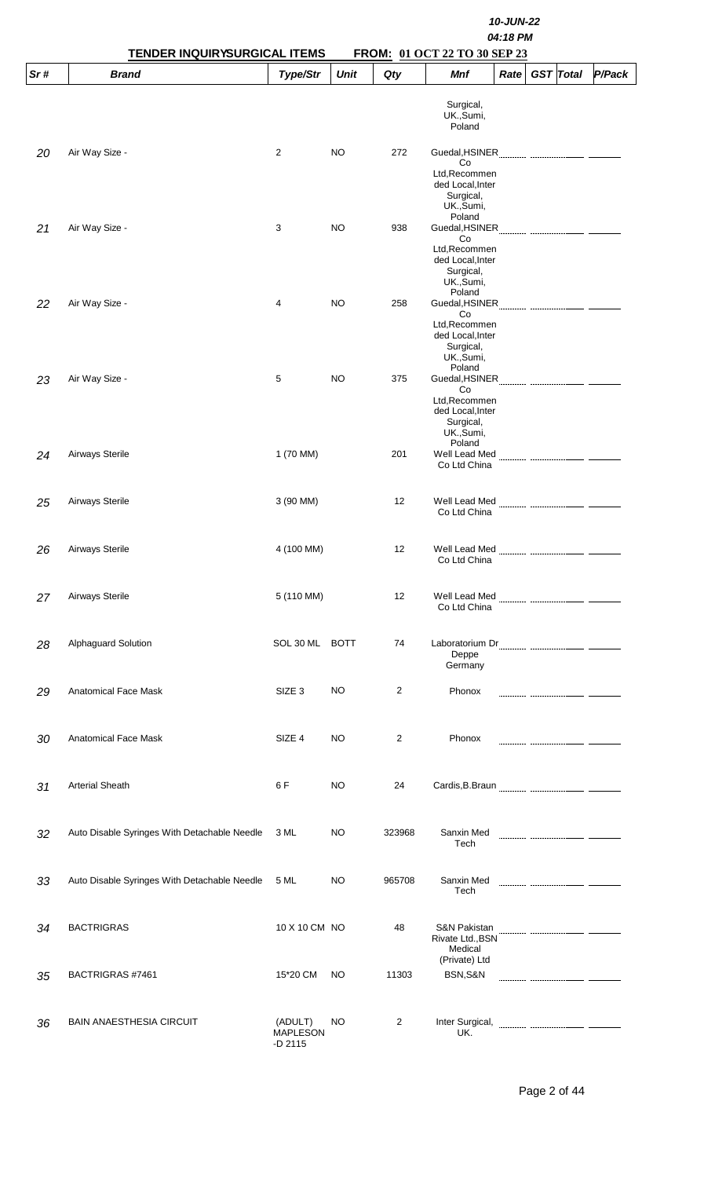|     | <b>TENDER INQUIRYSURGICAL ITEMS</b>          | 10-JUN-22<br>04:18 PM<br>FROM: 01 OCT 22 TO 30 SEP 23 |             |                |                                                                                                |      |  |                  |        |  |
|-----|----------------------------------------------|-------------------------------------------------------|-------------|----------------|------------------------------------------------------------------------------------------------|------|--|------------------|--------|--|
| Sr# | <b>Brand</b>                                 | Type/Str                                              | <b>Unit</b> | Qty            | Mnf                                                                                            | Rate |  | <b>GST</b> Total | P/Pack |  |
| 20  | Air Way Size -                               | $\overline{2}$                                        | <b>NO</b>   | 272            | Surgical,<br>UK., Sumi,<br>Poland<br>Guedal, HSINER                                            |      |  |                  |        |  |
|     | Air Way Size -                               | 3                                                     | <b>NO</b>   | 938            | Co<br>Ltd, Recommen<br>ded Local, Inter<br>Surgical,<br>UK., Sumi,<br>Poland                   |      |  |                  |        |  |
| 21  |                                              |                                                       |             |                | Co<br>Ltd, Recommen<br>ded Local, Inter<br>Surgical,<br>UK., Sumi,<br>Poland                   |      |  |                  |        |  |
| 22  | Air Way Size -                               | 4                                                     | <b>NO</b>   | 258            | Guedal, HSINER<br>Co<br>Ltd, Recommen<br>ded Local, Inter<br>Surgical,<br>UK., Sumi,<br>Poland |      |  |                  |        |  |
| 23  | Air Way Size -                               | 5                                                     | <b>NO</b>   | 375            | Guedal, HSINER<br>Co<br>Ltd, Recommen<br>ded Local, Inter<br>Surgical,<br>UK.,Sumi,<br>Poland  |      |  |                  |        |  |
| 24  | Airways Sterile                              | 1 (70 MM)                                             |             | 201            | Well Lead Med<br>Co Ltd China                                                                  |      |  |                  |        |  |
| 25  | Airways Sterile                              | 3 (90 MM)                                             |             | 12             | Well Lead Med<br>Co Ltd China                                                                  |      |  |                  |        |  |
| 26  | Airways Sterile                              | 4 (100 MM)                                            |             | 12             | Co Ltd China                                                                                   |      |  |                  |        |  |
| 27  | Airways Sterile                              | 5 (110 MM)                                            |             | 12             | Co Ltd China                                                                                   |      |  |                  |        |  |
| 28  | Alphaguard Solution                          | SOL 30 ML BOTT                                        |             | 74             | Deppe<br>Germany                                                                               |      |  |                  |        |  |
| 29  | Anatomical Face Mask                         | SIZE <sub>3</sub>                                     | NO          | $\overline{2}$ | Phonox                                                                                         |      |  |                  |        |  |
| 30  | <b>Anatomical Face Mask</b>                  | SIZE 4                                                | NO          | 2              | Phonox                                                                                         |      |  |                  |        |  |
| 31  | <b>Arterial Sheath</b>                       | 6 F                                                   | <b>NO</b>   | 24             |                                                                                                |      |  |                  |        |  |
| 32  | Auto Disable Syringes With Detachable Needle | 3 ML                                                  | NO          | 323968         | Sanxin Med<br>Tech                                                                             |      |  |                  |        |  |
| 33  | Auto Disable Syringes With Detachable Needle | 5 ML                                                  | <b>NO</b>   | 965708         | Sanxin Med<br>Tech                                                                             |      |  |                  |        |  |
| 34  | <b>BACTRIGRAS</b>                            | 10 X 10 CM NO                                         |             | 48             | S&N Pakistan<br>Rivate Ltd., BSN<br>Medical<br>(Private) Ltd                                   |      |  |                  |        |  |
| 35  | BACTRIGRAS #7461                             | 15*20 CM                                              | NO          | 11303          | BSN,S&N                                                                                        |      |  |                  |        |  |
| 36  | <b>BAIN ANAESTHESIA CIRCUIT</b>              | (ADULT)<br><b>MAPLESON</b><br>$-D$ 2115               | <b>NO</b>   | 2              | Inter Surgical,<br>UK.                                                                         |      |  |                  |        |  |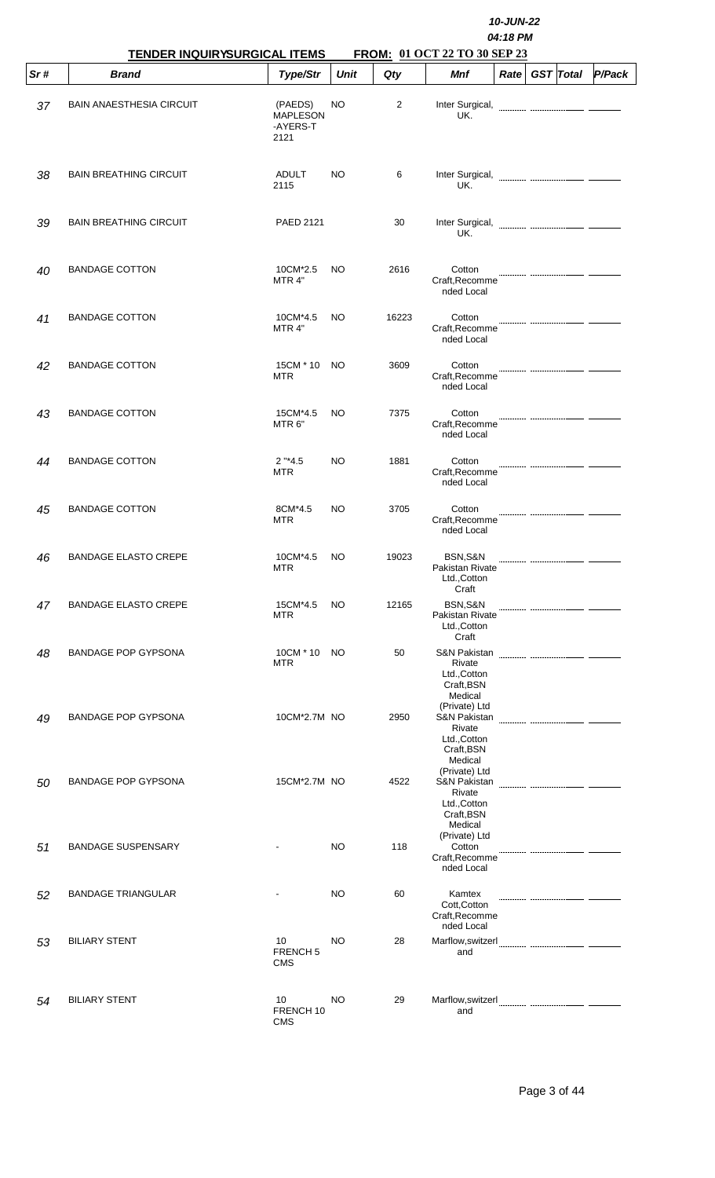|     | TENDER INQUIRYSURGICAL ITEMS    |                                                |             |       | 10-JUN-22<br>04:18 PM<br>FROM: 01 OCT 22 TO 30 SEP 23                                       |      |  |                  |        |  |  |  |
|-----|---------------------------------|------------------------------------------------|-------------|-------|---------------------------------------------------------------------------------------------|------|--|------------------|--------|--|--|--|
| Sr# | <b>Brand</b>                    | Type/Str                                       | <b>Unit</b> | Qty   | <b>Mnf</b>                                                                                  | Rate |  | <b>GST</b> Total | P/Pack |  |  |  |
| 37  | <b>BAIN ANAESTHESIA CIRCUIT</b> | (PAEDS)<br><b>MAPLESON</b><br>-AYERS-T<br>2121 | NO          | 2     | Inter Surgical,<br>UK.                                                                      |      |  |                  |        |  |  |  |
| 38  | <b>BAIN BREATHING CIRCUIT</b>   | ADULT<br>2115                                  | NO          | 6     | Inter Surgical,<br>UK.                                                                      |      |  |                  |        |  |  |  |
| 39  | <b>BAIN BREATHING CIRCUIT</b>   | <b>PAED 2121</b>                               |             | 30    | Inter Surgical,<br>UK.                                                                      |      |  |                  |        |  |  |  |
| 40  | <b>BANDAGE COTTON</b>           | 10CM*2.5<br>MTR 4"                             | NO.         | 2616  | Cotton<br>Craft, Recomme<br>nded Local                                                      |      |  |                  |        |  |  |  |
| 41  | <b>BANDAGE COTTON</b>           | 10CM*4.5<br>MTR 4"                             | NO.         | 16223 | Cotton<br>Craft, Recomme<br>nded Local                                                      |      |  |                  |        |  |  |  |
| 42  | <b>BANDAGE COTTON</b>           | 15CM * 10<br><b>MTR</b>                        | NO.         | 3609  | Cotton<br>Craft, Recomme<br>nded Local                                                      |      |  |                  |        |  |  |  |
| 43  | <b>BANDAGE COTTON</b>           | 15CM*4.5<br>MTR <sub>6</sub> "                 | NO.         | 7375  | Cotton<br>Craft, Recomme<br>nded Local                                                      |      |  |                  |        |  |  |  |
| 44  | <b>BANDAGE COTTON</b>           | $2$ "*4.5<br><b>MTR</b>                        | NO.         | 1881  | Cotton<br>Craft, Recomme<br>nded Local                                                      |      |  |                  |        |  |  |  |
| 45  | <b>BANDAGE COTTON</b>           | 8CM*4.5<br><b>MTR</b>                          | NO          | 3705  | Cotton<br>Craft, Recomme<br>nded Local                                                      |      |  |                  |        |  |  |  |
| 46  | <b>BANDAGE ELASTO CREPE</b>     | 10CM*4.5<br><b>MTR</b>                         | <b>NO</b>   | 19023 | BSN.S&N<br>Pakistan Rivate<br>Ltd., Cotton                                                  |      |  |                  |        |  |  |  |
| 47  | <b>BANDAGE ELASTO CREPE</b>     | 15CM*4.5<br><b>MTR</b>                         | NO.         | 12165 | Craft<br>BSN, S&N<br>Pakistan Rivate<br>Ltd., Cotton                                        |      |  |                  |        |  |  |  |
| 48  | <b>BANDAGE POP GYPSONA</b>      | 10CM * 10<br><b>MTR</b>                        | NO.         | 50    | Craft<br>S&N Pakistan<br>Rivate<br>Ltd., Cotton<br>Craft, BSN<br>Medical                    |      |  |                  |        |  |  |  |
| 49  | <b>BANDAGE POP GYPSONA</b>      | 10CM*2.7M NO                                   |             | 2950  | (Private) Ltd<br>S&N Pakistan<br>Rivate<br>Ltd., Cotton<br>Craft, BSN                       |      |  |                  |        |  |  |  |
| 50  | <b>BANDAGE POP GYPSONA</b>      | 15CM*2.7M NO                                   |             | 4522  | Medical<br>(Private) Ltd<br>S&N Pakistan<br>Rivate<br>Ltd., Cotton<br>Craft, BSN<br>Medical |      |  |                  |        |  |  |  |
| 51  | <b>BANDAGE SUSPENSARY</b>       |                                                | NO.         | 118   | (Private) Ltd<br>Cotton<br>Craft, Recomme<br>nded Local                                     |      |  |                  |        |  |  |  |
| 52  | <b>BANDAGE TRIANGULAR</b>       |                                                | NO.         | 60    | Kamtex<br>Cott, Cotton<br>Craft, Recomme<br>nded Local                                      |      |  |                  |        |  |  |  |
| 53  | <b>BILIARY STENT</b>            | 10<br><b>FRENCH 5</b><br><b>CMS</b>            | NO.         | 28    | and                                                                                         |      |  |                  |        |  |  |  |
| 54  | <b>BILIARY STENT</b>            | 10 <sup>°</sup><br>FRENCH 10<br><b>CMS</b>     | NO.         | 29    | and                                                                                         |      |  |                  |        |  |  |  |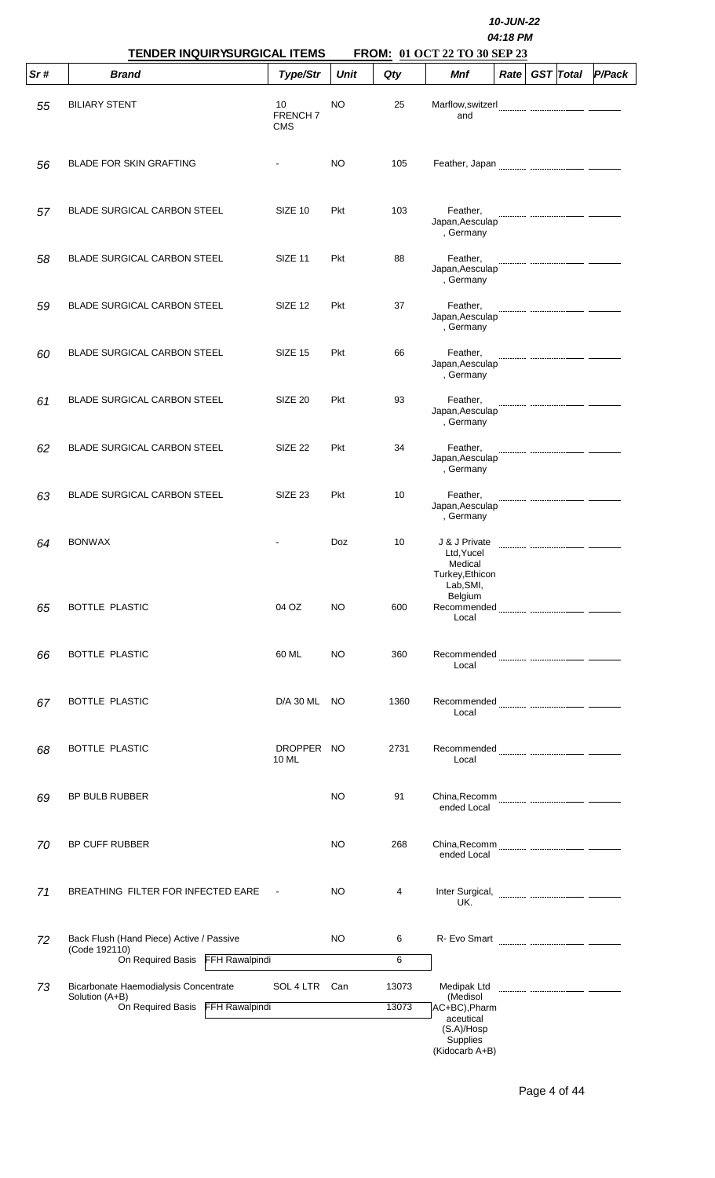|     | TENDER INQUIRYSURGICAL ITEMS                                                                     |                                    |             |                | 10-JUN-22<br>04:18 PM<br>FROM: 01 OCT 22 TO 30 SEP 23                  |      |  |                  |        |  |  |
|-----|--------------------------------------------------------------------------------------------------|------------------------------------|-------------|----------------|------------------------------------------------------------------------|------|--|------------------|--------|--|--|
| Sr# | <b>Brand</b>                                                                                     | Type/Str                           | <b>Unit</b> | Qty            | Mnf                                                                    | Rate |  | <b>GST</b> Total | P/Pack |  |  |
| 55  | <b>BILIARY STENT</b>                                                                             | 10<br><b>FRENCH7</b><br><b>CMS</b> | <b>NO</b>   | 25             | Marflow, switzerl<br>and                                               |      |  |                  |        |  |  |
| 56  | <b>BLADE FOR SKIN GRAFTING</b>                                                                   |                                    | NO          | 105            |                                                                        |      |  |                  |        |  |  |
| 57  | <b>BLADE SURGICAL CARBON STEEL</b>                                                               | SIZE 10                            | <b>Pkt</b>  | 103            | Feather,<br>Japan, Aesculap<br>, Germany                               |      |  |                  |        |  |  |
| 58  | <b>BLADE SURGICAL CARBON STEEL</b>                                                               | SIZE 11                            | <b>Pkt</b>  | 88             | Feather,<br>Japan, Aesculap<br>, Germany                               |      |  |                  |        |  |  |
| 59  | <b>BLADE SURGICAL CARBON STEEL</b>                                                               | SIZE 12                            | <b>Pkt</b>  | 37             | Feather,<br>Japan, Aesculap<br>, Germany                               |      |  |                  |        |  |  |
| 60  | <b>BLADE SURGICAL CARBON STEEL</b>                                                               | SIZE 15                            | Pkt         | 66             | Feather,<br>Japan, Aesculap<br>, Germany                               |      |  |                  |        |  |  |
| 61  | <b>BLADE SURGICAL CARBON STEEL</b>                                                               | SIZE 20                            | <b>Pkt</b>  | 93             | Feather,<br>Japan, Aesculap<br>, Germany                               |      |  |                  |        |  |  |
| 62  | <b>BLADE SURGICAL CARBON STEEL</b>                                                               | SIZE 22                            | Pkt         | 34             | Feather,<br>Japan, Aesculap<br>, Germany                               |      |  |                  |        |  |  |
| 63  | <b>BLADE SURGICAL CARBON STEEL</b>                                                               | SIZE <sub>23</sub>                 | Pkt         | 10             | Feather,<br>Japan, Aesculap<br>, Germany                               |      |  |                  |        |  |  |
| 64  | <b>BONWAX</b>                                                                                    |                                    | Doz         | 10             | J & J Private<br>Ltd, Yucel<br>Medical<br>Turkey, Ethicon<br>Lab, SMI, |      |  |                  |        |  |  |
| 65  | <b>BOTTLE PLASTIC</b>                                                                            | 04 OZ                              | NO          | 600            | Belgium<br>Local                                                       |      |  |                  |        |  |  |
| 66  | BOTTLE PLASTIC                                                                                   | 60 ML                              | NO          | 360            | Local                                                                  |      |  |                  |        |  |  |
| 67  | BOTTLE PLASTIC                                                                                   | D/A 30 ML                          | NO.         | 1360           | Local                                                                  |      |  |                  |        |  |  |
| 68  | BOTTLE PLASTIC                                                                                   | DROPPER NO<br>10 ML                |             | 2731           | Local                                                                  |      |  |                  |        |  |  |
| 69  | BP BULB RUBBER                                                                                   |                                    | NO.         | 91             | ended Local                                                            |      |  |                  |        |  |  |
| 70  | BP CUFF RUBBER                                                                                   |                                    | NO.         | 268            | ended Local                                                            |      |  |                  |        |  |  |
| 71  | BREATHING FILTER FOR INFECTED EARE                                                               | $\sim$ $\sim$                      | NO          | 4              | Inter Surgical, <b>with the Surgical</b><br>UK.                        |      |  |                  |        |  |  |
| 72  | Back Flush (Hand Piece) Active / Passive<br>(Code 192110)<br>On Required Basis<br>FFH Rawalpindi |                                    | NO          | 6<br>6         |                                                                        |      |  |                  |        |  |  |
|     |                                                                                                  |                                    |             |                |                                                                        |      |  |                  |        |  |  |
| 73  | Bicarbonate Haemodialysis Concentrate<br>Solution (A+B)<br>On Required Basis FFH Rawalpindi      | SOL 4 LTR Can                      |             | 13073<br>13073 | Medipak Ltd<br>(Medisol<br>AC+BC), Pharm                               |      |  |                  |        |  |  |
|     |                                                                                                  |                                    |             |                | aceutical<br>(S.A)/Hosp<br>Supplies<br>(Kidocarb A+B)                  |      |  |                  |        |  |  |

Page 4 of 44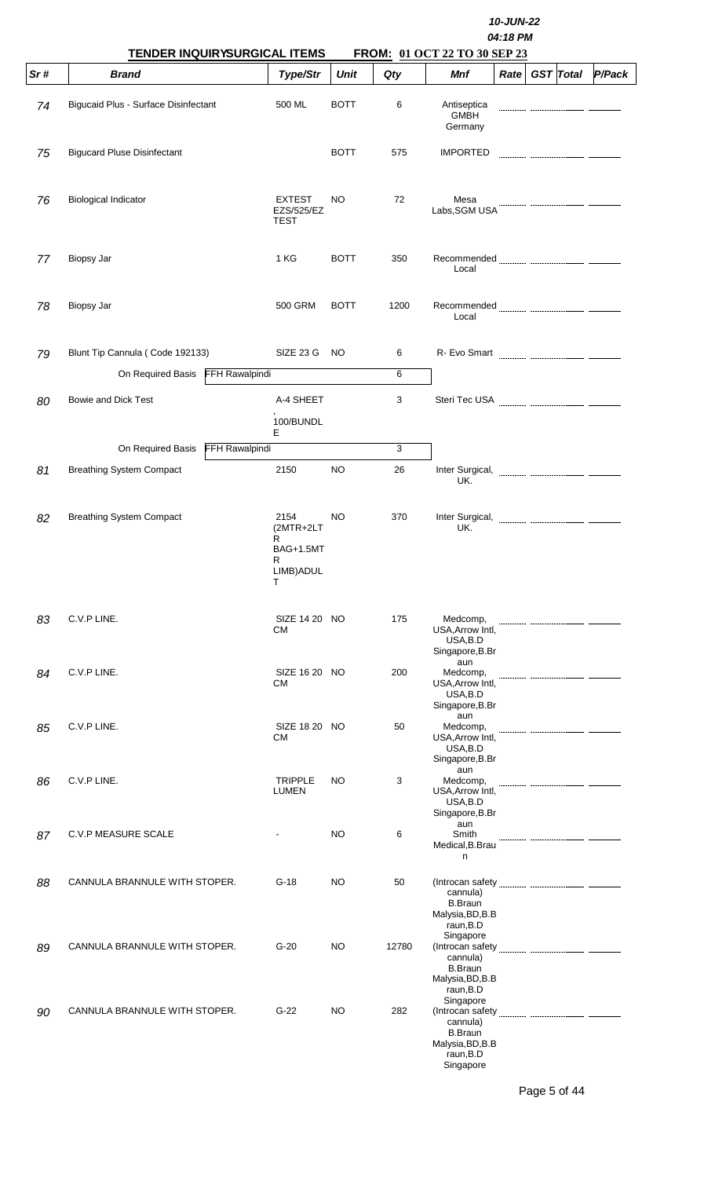|     | <b>TENDER INQUIRYSURGICAL ITEMS</b>         |                                                                    |             | 10-JUN-22<br>04:18 PM<br>FROM: 01 OCT 22 TO 30 SEP 23 |                                                                                       |  |  |                |        |  |  |  |
|-----|---------------------------------------------|--------------------------------------------------------------------|-------------|-------------------------------------------------------|---------------------------------------------------------------------------------------|--|--|----------------|--------|--|--|--|
| Sr# | <b>Brand</b>                                | Type/Str                                                           | <b>Unit</b> | Qty                                                   | <b>Mnf</b>                                                                            |  |  | Rate GST Total | P/Pack |  |  |  |
| 74  | <b>Bigucaid Plus - Surface Disinfectant</b> | 500 ML                                                             | <b>BOTT</b> | 6                                                     | Antiseptica<br><b>GMBH</b><br>Germany                                                 |  |  |                |        |  |  |  |
| 75  | <b>Bigucard Pluse Disinfectant</b>          |                                                                    | <b>BOTT</b> | 575                                                   | <b>IMPORTED</b>                                                                       |  |  |                |        |  |  |  |
| 76  | <b>Biological Indicator</b>                 | <b>EXTEST</b><br><b>EZS/525/EZ</b><br><b>TEST</b>                  | NO.         | 72                                                    | Mesa<br>Labs, SGM USA                                                                 |  |  |                |        |  |  |  |
| 77  | Biopsy Jar                                  | 1 KG                                                               | <b>BOTT</b> | 350                                                   | Local                                                                                 |  |  |                |        |  |  |  |
| 78  | Biopsy Jar                                  | 500 GRM                                                            | <b>BOTT</b> | 1200                                                  | Local                                                                                 |  |  |                |        |  |  |  |
| 79  | Blunt Tip Cannula (Code 192133)             | SIZE 23 G                                                          | NO.         | 6                                                     |                                                                                       |  |  |                |        |  |  |  |
|     | On Required Basis FFH Rawalpindi            |                                                                    |             | 6                                                     |                                                                                       |  |  |                |        |  |  |  |
| 80  | Bowie and Dick Test                         | A-4 SHEET<br>100/BUNDL                                             |             | 3                                                     |                                                                                       |  |  |                |        |  |  |  |
|     | <b>FFH Rawalpindi</b><br>On Required Basis  | E.                                                                 |             | 3                                                     |                                                                                       |  |  |                |        |  |  |  |
| 81  | <b>Breathing System Compact</b>             | 2150                                                               | NO.         | 26                                                    | Inter Surgical,<br>UK.                                                                |  |  |                |        |  |  |  |
| 82  | <b>Breathing System Compact</b>             | 2154<br>(2MTR+2LT<br>R<br><b>BAG+1.5MT</b><br>R<br>LIMB) ADUL<br>т | NO          | 370                                                   | Inter Surgical,<br>UK.                                                                |  |  |                |        |  |  |  |
| 83  | C.V.P LINE.                                 | SIZE 14 20 NO<br>СM                                                |             | 175                                                   | Medcomp,<br>USA, Arrow Intl,<br>USA, B.D<br>Singapore, B.Br                           |  |  |                |        |  |  |  |
| 84  | C.V.P LINE.                                 | SIZE 16 20 NO<br>СM                                                |             | 200                                                   | aun<br>Medcomp,<br>USA, Arrow Intl,<br>USA, B.D<br>Singapore, B.Br                    |  |  |                |        |  |  |  |
| 85  | C.V.P LINE.                                 | SIZE 18 20 NO<br>СM                                                |             | 50                                                    | aun<br>Medcomp,<br>USA, Arrow Intl,<br>USA, B.D<br>Singapore, B.Br                    |  |  |                |        |  |  |  |
| 86  | C.V.P LINE.                                 | <b>TRIPPLE</b><br><b>LUMEN</b>                                     | NO          | 3                                                     | aun<br>Medcomp,<br>USA, Arrow Intl,<br>USA, B.D<br>Singapore, B.Br                    |  |  |                |        |  |  |  |
| 87  | <b>C.V.P MEASURE SCALE</b>                  |                                                                    | NO.         | 6                                                     | aun<br>Smith<br>Medical, B. Brau<br>n                                                 |  |  |                |        |  |  |  |
| 88  | CANNULA BRANNULE WITH STOPER.               | $G-18$                                                             | NO          | 50                                                    | cannula)<br><b>B.Braun</b><br>Malysia, BD, B.B<br>raun, B.D                           |  |  |                |        |  |  |  |
| 89  | CANNULA BRANNULE WITH STOPER.               | $G-20$                                                             | NO          | 12780                                                 | Singapore<br>cannula)<br><b>B.Braun</b><br>Malysia, BD, B.B<br>raun, B.D              |  |  |                |        |  |  |  |
| 90  | CANNULA BRANNULE WITH STOPER.               | $G-22$                                                             | NO          | 282                                                   | Singapore<br>cannula)<br><b>B.Braun</b><br>Malysia, BD, B.B<br>raun, B.D<br>Singapore |  |  |                |        |  |  |  |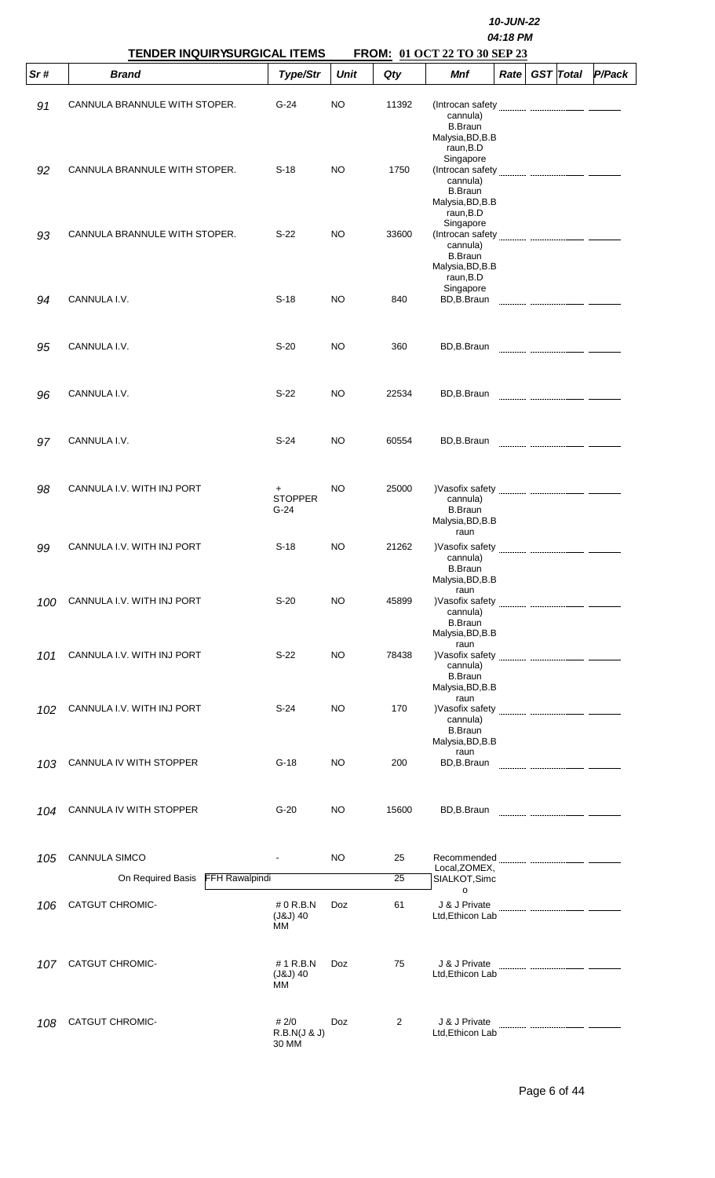|     | <b>TENDER INQUIRYSURGICAL ITEMS</b>        |                                  |             |       |                                                                                       |             |                  |        |
|-----|--------------------------------------------|----------------------------------|-------------|-------|---------------------------------------------------------------------------------------|-------------|------------------|--------|
| Sr# | <b>Brand</b>                               | Type/Str                         | <b>Unit</b> | Qty   | FROM: 01 OCT 22 TO 30 SEP 23<br>Mnf                                                   | <b>Rate</b> | <b>GST</b> Total | P/Pack |
| 91  | CANNULA BRANNULE WITH STOPER.              | $G-24$                           | <b>NO</b>   | 11392 | cannula)<br><b>B.Braun</b><br>Malysia, BD, B.B<br>raun, B.D                           |             |                  |        |
| 92  | CANNULA BRANNULE WITH STOPER.              | $S-18$                           | <b>NO</b>   | 1750  | Singapore<br>cannula)<br><b>B.Braun</b><br>Malysia, BD, B.B<br>raun, B.D              |             |                  |        |
| 93  | CANNULA BRANNULE WITH STOPER.              | $S-22$                           | <b>NO</b>   | 33600 | Singapore<br>cannula)<br><b>B.Braun</b><br>Malysia, BD, B.B<br>raun, B.D<br>Singapore |             |                  |        |
| 94  | CANNULA I.V.                               | $S-18$                           | <b>NO</b>   | 840   | BD,B.Braun                                                                            |             |                  |        |
| 95  | CANNULA I.V.                               | $S-20$                           | <b>NO</b>   | 360   | BD,B.Braun                                                                            |             |                  |        |
| 96  | CANNULA I.V.                               | $S-22$                           | NO          | 22534 | BD,B.Braun                                                                            |             |                  |        |
| 97  | CANNULA I.V.                               | $S-24$                           | NO          | 60554 | BD,B.Braun                                                                            |             |                  |        |
| 98  | CANNULA I.V. WITH INJ PORT                 | $^+$<br><b>STOPPER</b><br>$G-24$ | <b>NO</b>   | 25000 | cannula)<br><b>B.Braun</b><br>Malysia, BD, B.B<br>raun                                |             |                  |        |
| 99  | CANNULA I.V. WITH INJ PORT                 | $S-18$                           | <b>NO</b>   | 21262 | cannula)<br><b>B.Braun</b><br>Malysia, BD, B.B                                        |             |                  |        |
| 100 | CANNULA I.V. WITH INJ PORT                 | $S-20$                           | <b>NO</b>   | 45899 | raun<br>)Vasofix safety<br>cannula)<br><b>B.Braun</b><br>Malysia, BD, B.B             |             |                  |        |
| 101 | CANNULA I.V. WITH INJ PORT                 | $S-22$                           | <b>NO</b>   | 78438 | raun<br>)Vasofix safety<br>cannula)<br><b>B.Braun</b><br>Malysia, BD, B.B             |             |                  |        |
| 102 | CANNULA I.V. WITH INJ PORT                 | $S-24$                           | <b>NO</b>   | 170   | raun<br>cannula)<br><b>B.Braun</b><br>Malysia, BD, B.B                                |             |                  |        |
| 103 | CANNULA IV WITH STOPPER                    | $G-18$                           | <b>NO</b>   | 200   | raun<br>BD,B.Braun                                                                    |             |                  |        |
| 104 | CANNULA IV WITH STOPPER                    | $G-20$                           | <b>NO</b>   | 15600 | BD,B.Braun                                                                            |             |                  |        |
| 105 | CANNULA SIMCO                              |                                  | <b>NO</b>   | 25    | Recommended <b>Manual Community CONSUMER</b><br>Local, ZOMEX,                         |             |                  |        |
|     | <b>FFH Rawalpindi</b><br>On Required Basis |                                  |             | 25    | SIALKOT, Simc<br>o                                                                    |             |                  |        |
| 106 | <b>CATGUT CHROMIC-</b>                     | # 0 R.B.N<br>$(J&J)$ 40<br>MМ    | Doz         | 61    | J & J Private<br>Ltd, Ethicon Lab                                                     |             |                  |        |
| 107 | <b>CATGUT CHROMIC-</b>                     | # 1 R.B.N<br>$(J&J)$ 40<br>МM    | Doz         | 75    | J & J Private<br>Ltd, Ethicon Lab                                                     |             |                  |        |
| 108 | <b>CATGUT CHROMIC-</b>                     | # 2/0<br>R.B.N(J & J)<br>30 MM   | Doz         | 2     | J & J Private<br>Ltd, Ethicon Lab                                                     |             |                  |        |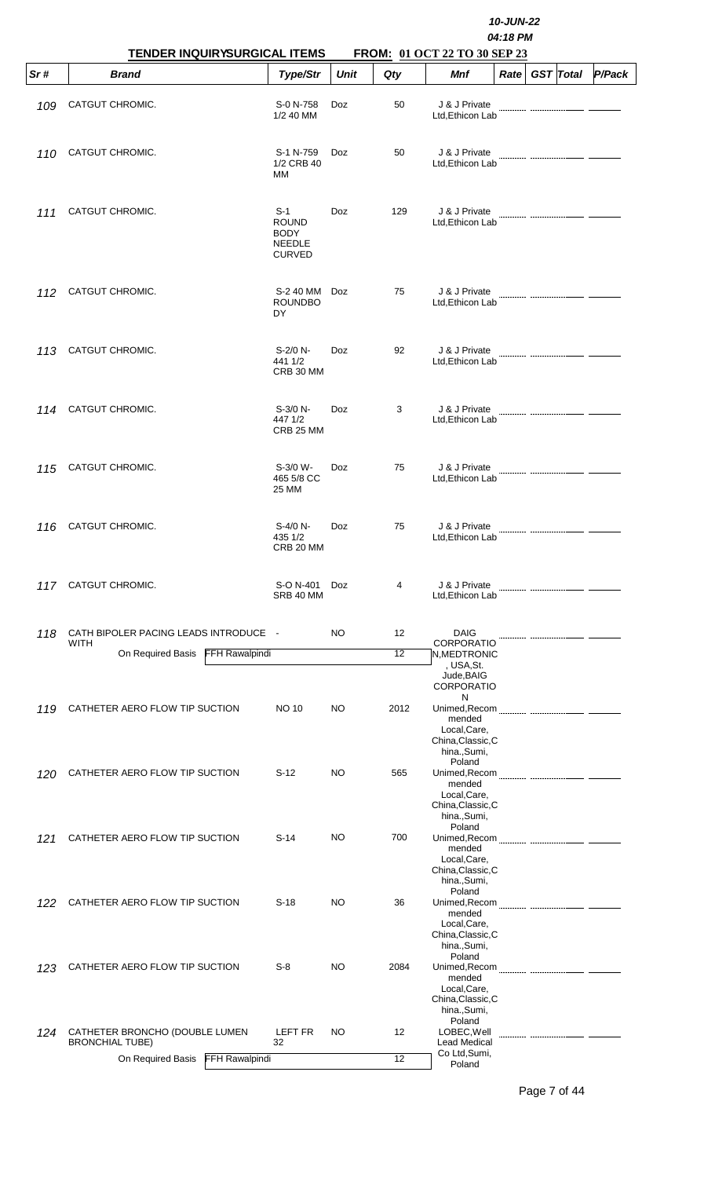|     | TENDER INQUIRYSURGICAL ITEMS                             |                                                                 |             |      | 10-JUN-22<br>04:18 PM<br>FROM: 01 OCT 22 TO 30 SEP 23                                  |             |  |                  |        |  |  |  |
|-----|----------------------------------------------------------|-----------------------------------------------------------------|-------------|------|----------------------------------------------------------------------------------------|-------------|--|------------------|--------|--|--|--|
| Sr# | <b>Brand</b>                                             | Type/Str                                                        | <b>Unit</b> | Qty  | Mnf                                                                                    | <b>Rate</b> |  | <b>GST</b> Total | P/Pack |  |  |  |
| 109 | CATGUT CHROMIC.                                          | S-0 N-758<br>1/2 40 MM                                          | <b>Doz</b>  | 50   | J & J Private<br>Ltd, Ethicon Lab                                                      |             |  |                  |        |  |  |  |
| 110 | CATGUT CHROMIC.                                          | S-1 N-759<br>1/2 CRB 40<br>MМ                                   | <b>Doz</b>  | 50   | J & J Private<br>Ltd, Ethicon Lab                                                      |             |  |                  |        |  |  |  |
| 111 | CATGUT CHROMIC.                                          | $S-1$<br><b>ROUND</b><br><b>BODY</b><br>NEEDLE<br><b>CURVED</b> | Doz         | 129  | J & J Private<br>Ltd, Ethicon Lab                                                      |             |  |                  |        |  |  |  |
| 112 | CATGUT CHROMIC.                                          | S-2 40 MM<br><b>ROUNDBO</b><br>DY                               | <b>Doz</b>  | 75   | J & J Private<br>Ltd, Ethicon Lab                                                      |             |  |                  |        |  |  |  |
| 113 | CATGUT CHROMIC.                                          | S-2/0 N-<br>441 1/2<br>CRB 30 MM                                | <b>Doz</b>  | 92   | J & J Private<br>Ltd, Ethicon Lab                                                      |             |  |                  |        |  |  |  |
| 114 | CATGUT CHROMIC.                                          | $S-3/0 N-$<br>447 1/2<br>CRB 25 MM                              | Doz         | 3    | J & J Private<br>Ltd, Ethicon Lab                                                      |             |  |                  |        |  |  |  |
| 115 | CATGUT CHROMIC.                                          | S-3/0 W-<br>465 5/8 CC<br>25 MM                                 | <b>Doz</b>  | 75   | J & J Private<br>Ltd, Ethicon Lab                                                      |             |  |                  |        |  |  |  |
| 116 | CATGUT CHROMIC.                                          | $S-4/0 N-$<br>435 1/2<br>CRB 20 MM                              | Doz         | 75   | J & J Private<br>Ltd, Ethicon Lab                                                      |             |  |                  |        |  |  |  |
| 117 | CATGUT CHROMIC.                                          | S-O N-401<br>SRB 40 MM                                          | <b>Doz</b>  | 4    | J & J Private<br>Ltd, Ethicon Lab                                                      |             |  |                  |        |  |  |  |
| 118 | CATH BIPOLER PACING LEADS INTRODUCE -<br><b>WITH</b>     |                                                                 | NO.         | 12   | <b>DAIG</b><br><b>CORPORATIO</b>                                                       |             |  |                  |        |  |  |  |
|     | FFH Rawalpindi<br>On Required Basis                      |                                                                 |             | 12   | N, MEDTRONIC                                                                           |             |  |                  |        |  |  |  |
|     |                                                          |                                                                 |             |      | , USA, St.<br>Jude, BAIG<br><b>CORPORATIO</b>                                          |             |  |                  |        |  |  |  |
| 119 | CATHETER AERO FLOW TIP SUCTION                           | <b>NO 10</b>                                                    | NO          | 2012 | N<br>Unimed, Recom<br>mended<br>Local, Care,<br>China, Classic, C<br>hina., Sumi,      |             |  |                  |        |  |  |  |
| 120 | CATHETER AERO FLOW TIP SUCTION                           | $S-12$                                                          | NO          | 565  | Poland<br>Unimed, Recom<br>mended<br>Local, Care,<br>China, Classic, C<br>hina., Sumi, |             |  |                  |        |  |  |  |
| 121 | CATHETER AERO FLOW TIP SUCTION                           | $S-14$                                                          | <b>NO</b>   | 700  | Poland<br>mended<br>Local, Care,<br>China, Classic, C<br>hina., Sumi,                  |             |  |                  |        |  |  |  |
| 122 | CATHETER AERO FLOW TIP SUCTION                           | $S-18$                                                          | NO          | 36   | Poland<br>mended<br>Local, Care,<br>China, Classic, C<br>hina., Sumi,                  |             |  |                  |        |  |  |  |
| 123 | CATHETER AERO FLOW TIP SUCTION                           | $S-8$                                                           | NO          | 2084 | Poland<br>Unimed, Recom<br>mended<br>Local, Care,<br>China, Classic, C<br>hina., Sumi, |             |  |                  |        |  |  |  |
| 124 | CATHETER BRONCHO (DOUBLE LUMEN<br><b>BRONCHIAL TUBE)</b> | LEFT FR<br>32                                                   | NO          | 12   | Poland<br>LOBEC, Well<br>Lead Medical                                                  |             |  |                  |        |  |  |  |
|     | On Required Basis FFH Rawalpindi                         |                                                                 |             | 12   | Co Ltd, Sumi,<br>Poland                                                                |             |  |                  |        |  |  |  |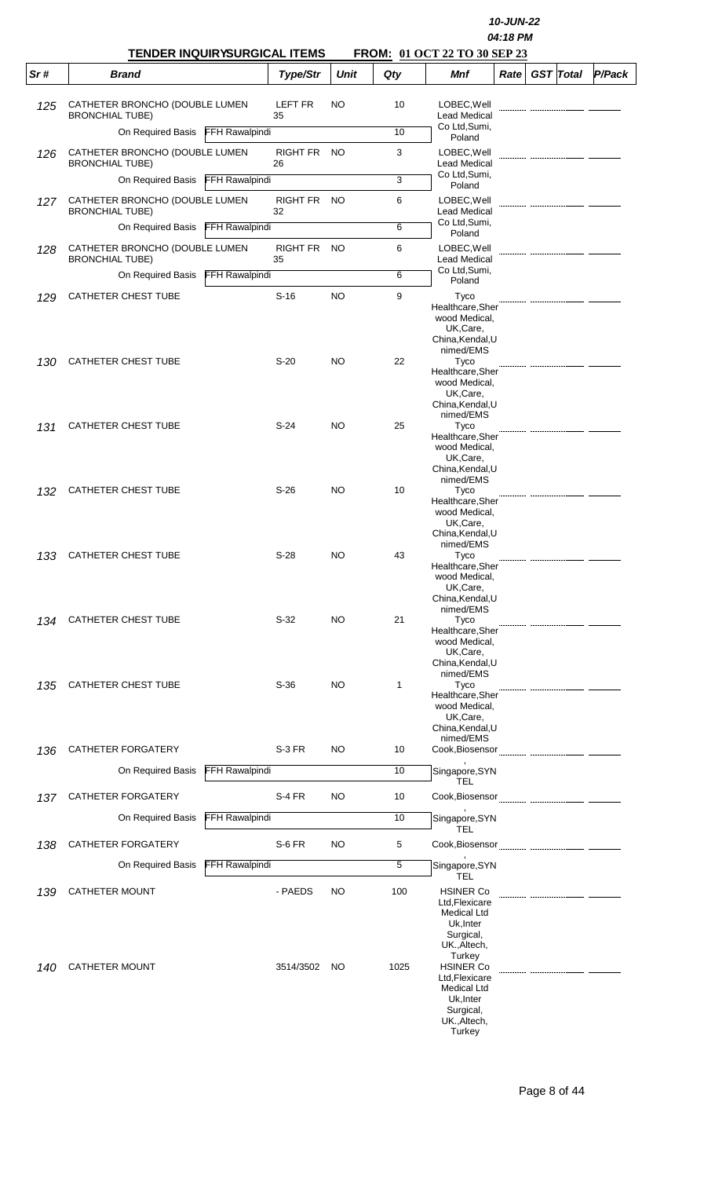|     |                                                          |                       |                   |             |      |                                                                                                              | 10-JUN-22<br>04:18 PM |                  |        |
|-----|----------------------------------------------------------|-----------------------|-------------------|-------------|------|--------------------------------------------------------------------------------------------------------------|-----------------------|------------------|--------|
| Sr# | <b>TENDER INQUIRYSURGICAL ITEMS</b><br><b>Brand</b>      |                       | Type/Str          | <b>Unit</b> | Qty  | FROM: 01 OCT 22 TO 30 SEP 23<br><b>Mnf</b>                                                                   | Rate                  | <b>GST</b> Total | P/Pack |
|     |                                                          |                       |                   |             |      |                                                                                                              |                       |                  |        |
| 125 | CATHETER BRONCHO (DOUBLE LUMEN<br><b>BRONCHIAL TUBE)</b> |                       | LEFT FR<br>35     | <b>NO</b>   | 10   | LOBEC, Well<br><b>Lead Medical</b>                                                                           |                       |                  |        |
|     | On Required Basis FFH Rawalpindi                         |                       |                   |             | 10   | Co Ltd, Sumi,<br>Poland                                                                                      |                       |                  |        |
| 126 | CATHETER BRONCHO (DOUBLE LUMEN<br><b>BRONCHIAL TUBE)</b> |                       | RIGHT FR<br>26    | - NO        | 3    | LOBEC, Well<br><b>Lead Medical</b>                                                                           |                       |                  |        |
|     | On Required Basis                                        | <b>FFH Rawalpindi</b> |                   |             | 3    | Co Ltd, Sumi,<br>Poland                                                                                      |                       |                  |        |
| 127 | CATHETER BRONCHO (DOUBLE LUMEN<br><b>BRONCHIAL TUBE)</b> |                       | RIGHT FR NO<br>32 |             | 6    | LOBEC, Well<br><b>Lead Medical</b>                                                                           |                       |                  |        |
|     | On Required Basis FFH Rawalpindi                         |                       |                   |             | 6    | Co Ltd, Sumi,<br>Poland                                                                                      |                       |                  |        |
| 128 | CATHETER BRONCHO (DOUBLE LUMEN<br><b>BRONCHIAL TUBE)</b> |                       | RIGHT FR<br>35    | <b>NO</b>   | 6    | LOBEC, Well<br><b>Lead Medical</b>                                                                           |                       |                  |        |
|     | On Required Basis                                        | <b>FFH Rawalpindi</b> |                   |             | 6    | Co Ltd, Sumi,<br>Poland                                                                                      |                       |                  |        |
| 129 | CATHETER CHEST TUBE                                      |                       | $S-16$            | <b>NO</b>   | 9    | Tyco                                                                                                         |                       |                  |        |
|     |                                                          |                       |                   |             |      | Healthcare, Sher<br>wood Medical,<br>UK,Care,<br>China, Kendal, U<br>nimed/EMS                               |                       |                  |        |
| 130 | <b>CATHETER CHEST TUBE</b>                               |                       | $S-20$            | <b>NO</b>   | 22   | Tyco<br>Healthcare, Sher                                                                                     |                       |                  |        |
|     |                                                          |                       |                   |             |      | wood Medical,<br>UK,Care,<br>China, Kendal, U<br>nimed/EMS                                                   |                       |                  |        |
| 131 | <b>CATHETER CHEST TUBE</b>                               |                       | $S-24$            | <b>NO</b>   | 25   | Tyco<br>Healthcare, Sher                                                                                     |                       |                  |        |
|     |                                                          |                       |                   |             |      | wood Medical,<br>UK,Care,<br>China, Kendal, U<br>nimed/EMS                                                   |                       |                  |        |
| 132 | CATHETER CHEST TUBE                                      |                       | $S-26$            | <b>NO</b>   | 10   | Tyco<br>Healthcare, Sher<br>wood Medical,<br>UK,Care,<br>China, Kendal, U                                    |                       |                  |        |
| 133 | CATHETER CHEST TUBE                                      |                       | $S-28$            | NO          | 43   | nimed/EMS<br>Tyco<br>Healthcare, Sher<br>wood Medical,<br>UK,Care,                                           |                       |                  |        |
| 134 | <b>CATHETER CHEST TUBE</b>                               |                       | $S-32$            | <b>NO</b>   | 21   | China, Kendal, U<br>nimed/EMS<br>Tyco<br>Healthcare, Sher                                                    |                       |                  |        |
|     |                                                          |                       |                   |             |      | wood Medical,<br>UK,Care,<br>China, Kendal, U<br>nimed/EMS                                                   |                       |                  |        |
| 135 | CATHETER CHEST TUBE                                      |                       | $S-36$            | <b>NO</b>   | 1    | Tyco<br>Healthcare, Sher<br>wood Medical,<br>UK,Care,<br>China, Kendal, U<br>nimed/EMS                       |                       |                  |        |
| 136 | CATHETER FORGATERY                                       |                       | S-3 FR            | <b>NO</b>   | 10   |                                                                                                              |                       |                  |        |
|     | On Required Basis                                        | <b>FFH Rawalpindi</b> |                   |             | 10   | Singapore, SYN<br>TEL                                                                                        |                       |                  |        |
| 137 | CATHETER FORGATERY                                       |                       | S-4 FR            | NO          | 10   |                                                                                                              |                       |                  |        |
|     | On Required Basis                                        | FFH Rawalpindi        |                   |             | 10   | Singapore, SYN<br>TEL                                                                                        |                       |                  |        |
| 138 | CATHETER FORGATERY                                       |                       | S-6 FR            | <b>NO</b>   | 5    |                                                                                                              |                       |                  |        |
|     | On Required Basis                                        | FFH Rawalpindi        |                   |             | 5    | Singapore, SYN<br><b>TEL</b>                                                                                 |                       |                  |        |
| 139 | <b>CATHETER MOUNT</b>                                    |                       | - PAEDS           | NO          | 100  | <b>HSINER Co</b><br>Ltd, Flexicare<br><b>Medical Ltd</b><br>Uk, Inter<br>Surgical,<br>UK., Altech,<br>Turkey |                       |                  |        |
| 140 | <b>CATHETER MOUNT</b>                                    |                       | 3514/3502         | NO.         | 1025 | <b>HSINER Co</b><br>Ltd, Flexicare<br>Medical Ltd<br>Uk, Inter<br>Surgical,<br>UK., Altech,<br>Turkey        |                       |                  |        |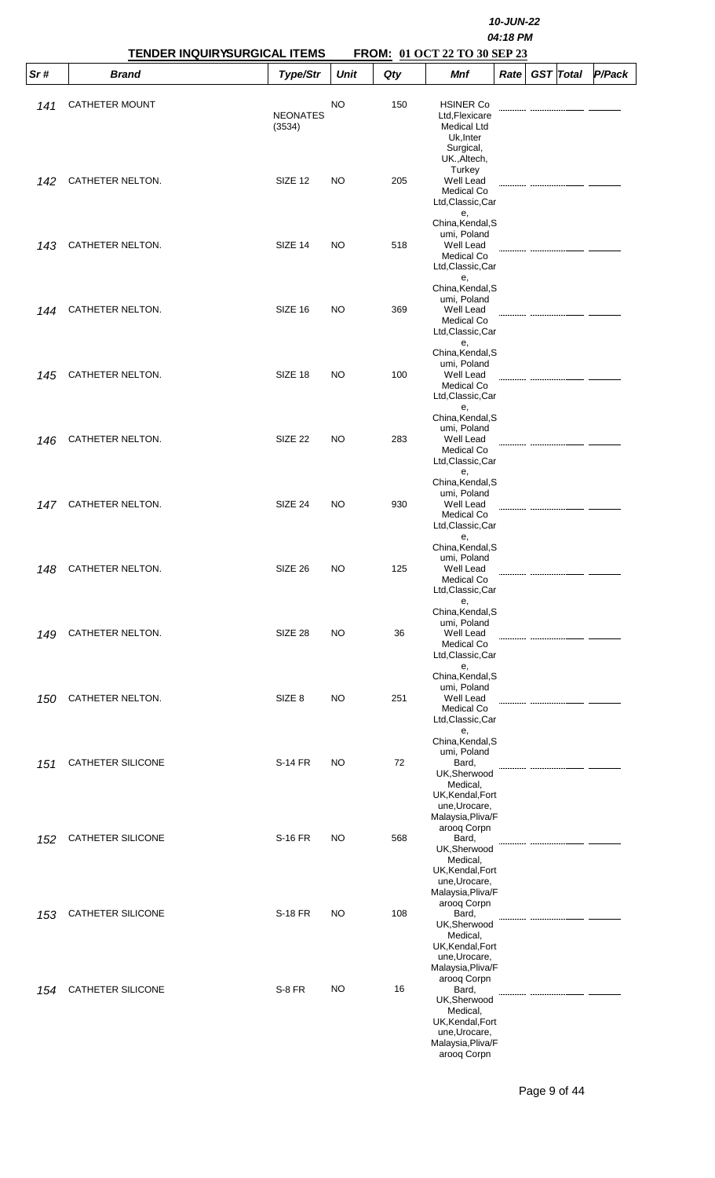|      |                          | <b>TENDER INQUIRYSURGICAL ITEMS</b> |             |     | FROM: 01 OCT 22 TO 30 SEP 23                                                                                                                    | 10-JUN-22<br>04:18 PM |                  |        |
|------|--------------------------|-------------------------------------|-------------|-----|-------------------------------------------------------------------------------------------------------------------------------------------------|-----------------------|------------------|--------|
| Sr # | <b>Brand</b>             | Type/Str                            | <b>Unit</b> | Qty | Mnf                                                                                                                                             | Rate                  | <b>GST</b> Total | P/Pack |
| 141  | <b>CATHETER MOUNT</b>    | <b>NEONATES</b><br>(3534)           | NO          | 150 | <b>HSINER Co</b><br>Ltd, Flexicare<br><b>Medical Ltd</b><br>Uk, Inter<br>Surgical,<br>UK., Altech,                                              |                       |                  |        |
| 142  | CATHETER NELTON.         | SIZE <sub>12</sub>                  | NO.         | 205 | Turkey<br><b>Well Lead</b><br>Medical Co<br>Ltd, Classic, Car<br>е,                                                                             |                       |                  |        |
| 143  | CATHETER NELTON.         | SIZE 14                             | NO.         | 518 | China, Kendal, S<br>umi, Poland<br>Well Lead<br>Medical Co<br>Ltd, Classic, Car<br>е,                                                           |                       |                  |        |
| 144  | CATHETER NELTON.         | SIZE 16                             | <b>NO</b>   | 369 | China, Kendal, S<br>umi, Poland<br>Well Lead<br>Medical Co<br>Ltd, Classic, Car<br>е,                                                           |                       |                  |        |
| 145  | CATHETER NELTON.         | SIZE 18                             | NO.         | 100 | China, Kendal, S<br>umi, Poland<br>Well Lead<br>Medical Co<br>Ltd, Classic, Car<br>е,                                                           |                       |                  |        |
| 146  | CATHETER NELTON.         | SIZE <sub>22</sub>                  | NO.         | 283 | China, Kendal, S<br>umi, Poland<br>Well Lead<br>Medical Co<br>Ltd, Classic, Car<br>е,                                                           |                       |                  |        |
| 147  | CATHETER NELTON.         | SIZE 24                             | NO.         | 930 | China, Kendal, S<br>umi, Poland<br>Well Lead<br>Medical Co<br>Ltd, Classic, Car                                                                 |                       |                  |        |
| 148  | CATHETER NELTON.         | SIZE 26                             | NO          | 125 | е,<br>China, Kendal, S<br>umi, Poland<br>Well Lead<br>Medical Co<br>Ltd, Classic, Car                                                           |                       |                  |        |
| 149  | CATHETER NELTON.         | SIZE 28                             | NO          | 36  | е,<br>China, Kendal, S<br>umi, Poland<br>Well Lead<br>Medical Co<br>Ltd, Classic, Car                                                           |                       |                  |        |
| 150  | CATHETER NELTON.         | SIZE <sub>8</sub>                   | NO          | 251 | е,<br>China, Kendal, S<br>umi, Poland<br>Well Lead<br>Medical Co<br>Ltd, Classic, Car                                                           |                       |                  |        |
| 151  | <b>CATHETER SILICONE</b> | <b>S-14 FR</b>                      | <b>NO</b>   | 72  | е,<br>China, Kendal, S<br>umi, Poland<br>Bard,<br>UK, Sherwood<br>Medical,<br>UK, Kendal, Fort<br>une, Urocare,                                 |                       |                  |        |
| 152  | CATHETER SILICONE        | <b>S-16 FR</b>                      | NO          | 568 | Malaysia, Pliva/F<br>arooq Corpn<br>Bard,<br>UK, Sherwood<br>Medical,<br>UK, Kendal, Fort                                                       |                       |                  |        |
| 153  | <b>CATHETER SILICONE</b> | <b>S-18 FR</b>                      | NO          | 108 | une, Urocare,<br>Malaysia, Pliva/F<br>arooq Corpn<br>Bard,<br>UK,Sherwood<br>Medical,<br>UK, Kendal, Fort                                       |                       |                  |        |
| 154  | <b>CATHETER SILICONE</b> | <b>S-8 FR</b>                       | NO          | 16  | une, Urocare,<br>Malaysia, Pliva/F<br>arooq Corpn<br>Bard,<br>UK,Sherwood<br>Medical,<br>UK, Kendal, Fort<br>une, Urocare,<br>Malaysia, Pliva/F |                       |                  |        |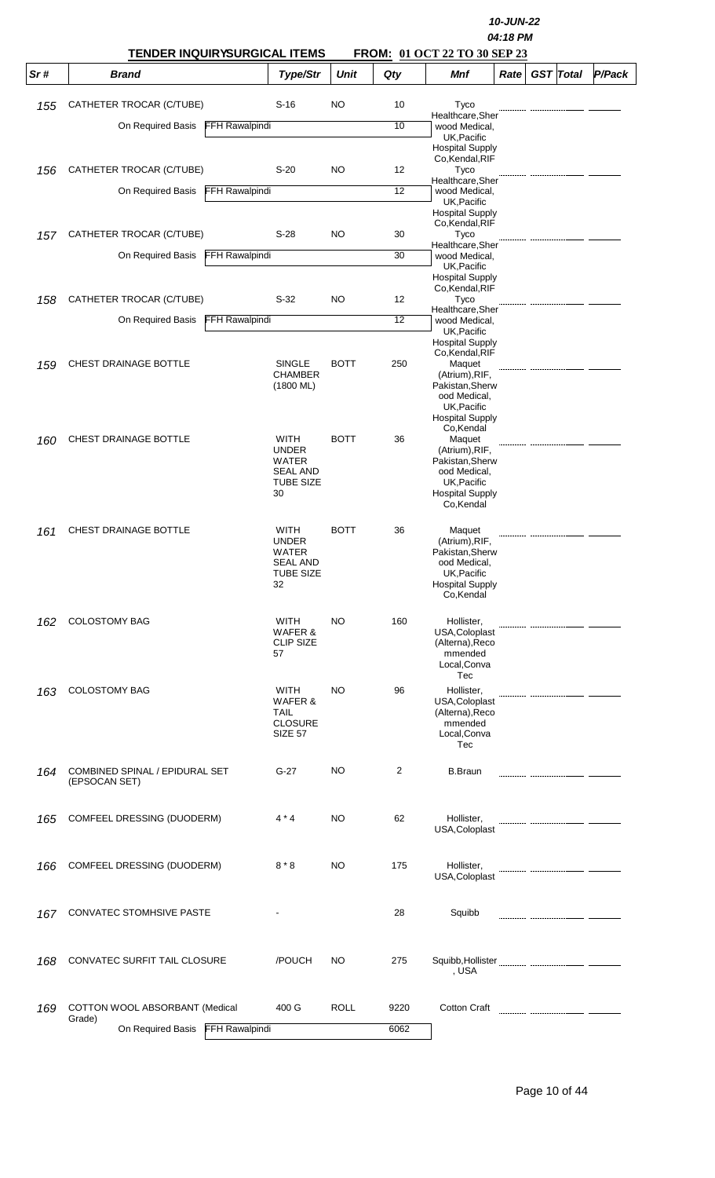|     | <b>TENDER INQUIRYSURGICAL ITEMS</b>                                    |                                                                            | 10-JUN-22<br>04:18 PM<br><b>FROM: 01 OCT 22 TO 30 SEP 23</b> |          |                                                                                                                    |      |  |                  |        |
|-----|------------------------------------------------------------------------|----------------------------------------------------------------------------|--------------------------------------------------------------|----------|--------------------------------------------------------------------------------------------------------------------|------|--|------------------|--------|
| Sr# | <b>Brand</b>                                                           | Type/Str                                                                   | <b>Unit</b>                                                  | Qty      | Mnf                                                                                                                | Rate |  | <b>GST</b> Total | P/Pack |
| 155 | CATHETER TROCAR (C/TUBE)                                               | $S-16$                                                                     | NO                                                           | 10       | Tyco                                                                                                               |      |  |                  |        |
|     | <b>FFH Rawalpindi</b><br>On Required Basis                             |                                                                            |                                                              | 10       | Healthcare, Sher<br>wood Medical,                                                                                  |      |  |                  |        |
|     |                                                                        |                                                                            |                                                              |          | UK, Pacific<br><b>Hospital Supply</b><br>Co, Kendal, RIF                                                           |      |  |                  |        |
| 156 | CATHETER TROCAR (C/TUBE)                                               | $S-20$                                                                     | NO                                                           | 12       | Tyco<br>Healthcare,Sher                                                                                            |      |  |                  |        |
|     | <b>FFH Rawalpindi</b><br>On Required Basis                             |                                                                            |                                                              | 12       | wood Medical,<br>UK, Pacific                                                                                       |      |  |                  |        |
|     |                                                                        |                                                                            |                                                              |          | <b>Hospital Supply</b><br>Co, Kendal, RIF                                                                          |      |  |                  |        |
| 157 | CATHETER TROCAR (C/TUBE)<br><b>FFH Rawalpindi</b><br>On Required Basis | $S-28$                                                                     | NO                                                           | 30<br>30 | Tyco<br>Healthcare, Sher<br>wood Medical,                                                                          |      |  |                  |        |
|     |                                                                        |                                                                            |                                                              |          | UK, Pacific<br><b>Hospital Supply</b>                                                                              |      |  |                  |        |
| 158 | CATHETER TROCAR (C/TUBE)                                               | $S-32$                                                                     | NO                                                           | 12       | Co, Kendal, RIF<br>Tyco                                                                                            |      |  |                  |        |
|     | <b>FFH Rawalpindi</b><br>On Required Basis                             |                                                                            |                                                              | 12       | Healthcare.Sher<br>wood Medical,                                                                                   |      |  |                  |        |
|     |                                                                        |                                                                            |                                                              |          | UK, Pacific<br><b>Hospital Supply</b>                                                                              |      |  |                  |        |
| 159 | CHEST DRAINAGE BOTTLE                                                  | <b>SINGLE</b>                                                              | <b>BOTT</b>                                                  | 250      | Co, Kendal, RIF<br>Maquet                                                                                          |      |  |                  |        |
|     |                                                                        | <b>CHAMBER</b><br>$(1800 \text{ ML})$                                      |                                                              |          | (Atrium), RIF,<br>Pakistan, Sherw<br>ood Medical,                                                                  |      |  |                  |        |
|     |                                                                        |                                                                            |                                                              |          | UK, Pacific<br><b>Hospital Supply</b>                                                                              |      |  |                  |        |
| 160 | <b>CHEST DRAINAGE BOTTLE</b>                                           | <b>WITH</b>                                                                | <b>BOTT</b>                                                  | 36       | Co, Kendal<br>Maquet                                                                                               |      |  |                  |        |
|     |                                                                        | <b>UNDER</b><br>WATER                                                      |                                                              |          | (Atrium), RIF,<br>Pakistan, Sherw                                                                                  |      |  |                  |        |
|     |                                                                        | <b>SEAL AND</b><br><b>TUBE SIZE</b>                                        |                                                              |          | ood Medical,<br>UK, Pacific                                                                                        |      |  |                  |        |
|     |                                                                        | 30                                                                         |                                                              |          | <b>Hospital Supply</b><br>Co,Kendal                                                                                |      |  |                  |        |
| 161 | CHEST DRAINAGE BOTTLE                                                  | WITH<br><b>UNDER</b><br>WATER<br><b>SEAL AND</b><br><b>TUBE SIZE</b><br>32 | <b>BOTT</b>                                                  | 36       | Maquet<br>(Atrium), RIF,<br>Pakistan, Sherw<br>ood Medical,<br>UK, Pacific<br><b>Hospital Supply</b><br>Co, Kendal |      |  |                  |        |
| 162 | <b>COLOSTOMY BAG</b>                                                   | WITH<br>WAFER &<br><b>CLIP SIZE</b><br>57                                  | NO                                                           | 160      | Hollister,<br>USA, Coloplast<br>(Alterna), Reco<br>mmended<br>Local, Conva                                         |      |  |                  |        |
| 163 | <b>COLOSTOMY BAG</b>                                                   | WITH                                                                       | NO                                                           | 96       | Tec<br>Hollister,                                                                                                  |      |  |                  |        |
|     |                                                                        | WAFER &<br><b>TAIL</b><br><b>CLOSURE</b><br><b>SIZE 57</b>                 |                                                              |          | USA, Coloplast<br>(Alterna), Reco<br>mmended<br>Local, Conva<br>Tec                                                |      |  |                  |        |
| 164 | COMBINED SPINAL / EPIDURAL SET<br>(EPSOCAN SET)                        | $G-27$                                                                     | NO                                                           | 2        | <b>B.Braun</b>                                                                                                     |      |  |                  |        |
| 165 | COMFEEL DRESSING (DUODERM)                                             | $4 * 4$                                                                    | NO                                                           | 62       | Hollister,<br>USA, Coloplast                                                                                       |      |  |                  |        |
|     |                                                                        |                                                                            |                                                              |          |                                                                                                                    |      |  |                  |        |
| 166 | COMFEEL DRESSING (DUODERM)                                             | $8 * 8$                                                                    | NO                                                           | 175      | Hollister,<br>USA, Coloplast                                                                                       |      |  |                  |        |
| 167 | CONVATEC STOMHSIVE PASTE                                               |                                                                            |                                                              | 28       | Squibb                                                                                                             |      |  |                  |        |
| 168 | CONVATEC SURFIT TAIL CLOSURE                                           | /POUCH                                                                     | NO                                                           | 275      | , USA                                                                                                              |      |  |                  |        |
| 169 | COTTON WOOL ABSORBANT (Medical                                         | 400 G                                                                      | ROLL                                                         | 9220     | Cotton Craft                                                                                                       |      |  |                  |        |
|     | Grade)<br>On Required Basis FFH Rawalpindi                             |                                                                            |                                                              | 6062     |                                                                                                                    |      |  |                  |        |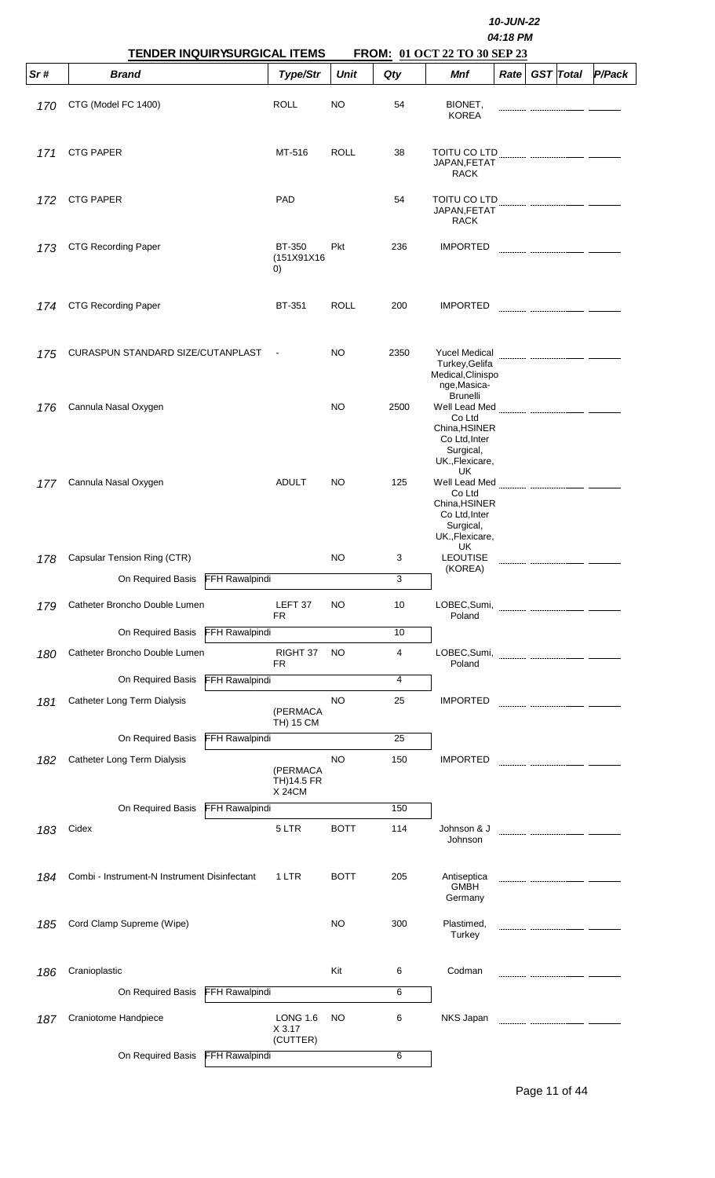|     | <b>TENDER INQUIRYSURGICAL ITEMS</b>          | 10-JUN-22<br>04:18 PM<br>FROM: 01 OCT 22 TO 30 SEP 23 |             |      |                                                                                                                          |      |                  |        |
|-----|----------------------------------------------|-------------------------------------------------------|-------------|------|--------------------------------------------------------------------------------------------------------------------------|------|------------------|--------|
| Sr# | <b>Brand</b>                                 | Type/Str                                              | <b>Unit</b> | Qty  | Mnf                                                                                                                      | Rate | <b>GST Total</b> | P/Pack |
| 170 | CTG (Model FC 1400)                          | <b>ROLL</b>                                           | <b>NO</b>   | 54   | BIONET,<br><b>KOREA</b>                                                                                                  |      |                  |        |
| 171 | <b>CTG PAPER</b>                             | MT-516                                                | <b>ROLL</b> | 38   | TOITU CO LTD<br>JAPAN, FETAT<br><b>RACK</b>                                                                              |      |                  |        |
| 172 | <b>CTG PAPER</b>                             | <b>PAD</b>                                            |             | 54   | TOITU CO LTD<br>JAPAN, FETAT<br><b>RACK</b>                                                                              |      |                  |        |
| 173 | <b>CTG Recording Paper</b>                   | <b>BT-350</b><br>(151X91X16<br>$\left( 0\right)$      | Pkt         | 236  | <b>IMPORTED</b>                                                                                                          |      |                  |        |
| 174 | <b>CTG Recording Paper</b>                   | BT-351                                                | <b>ROLL</b> | 200  | <b>IMPORTED</b>                                                                                                          |      |                  |        |
| 175 | CURASPUN STANDARD SIZE/CUTANPLAST            |                                                       | <b>NO</b>   | 2350 | Yucel Medical<br>Turkey, Gelifa<br>Medical, Clinispo<br>nge, Masica-                                                     |      |                  |        |
| 176 | Cannula Nasal Oxygen                         |                                                       | <b>NO</b>   | 2500 | <b>Brunelli</b><br>Well Lead Med<br>Co Ltd<br>China, HSINER<br>Co Ltd, Inter<br>Surgical,<br>UK., Flexicare,             |      |                  |        |
| 177 | Cannula Nasal Oxygen                         | <b>ADULT</b>                                          | <b>NO</b>   | 125  | UK<br>Well Lead Med<br>Co Ltd<br>China.HSINER<br>Co Ltd, Inter<br>Surgical,<br>UK., Flexicare,                           |      |                  |        |
| 178 | Capsular Tension Ring (CTR)                  |                                                       | <b>NO</b>   | 3    | UK<br><b>LEOUTISE</b>                                                                                                    |      |                  |        |
|     | On Required Basis<br>FFH Rawalpindi          |                                                       |             | 3    | (KOREA)                                                                                                                  |      |                  |        |
| 179 | Catheter Broncho Double Lumen                | LEFT 37<br>FR                                         | NO          | 10   | LOBEC, Sumi, Martin Martin Martin Martin Martin Martin Martin Martin Martin Martin Martin Martin Martin Martin<br>Poland |      |                  |        |
|     | On Required Basis<br><b>FFH Rawalpindi</b>   |                                                       |             | 10   |                                                                                                                          |      |                  |        |
| 180 | Catheter Broncho Double Lumen                | RIGHT 37<br>FR.                                       | <b>NO</b>   | 4    | Poland                                                                                                                   |      |                  |        |
|     | <b>FFH Rawalpindi</b><br>On Required Basis   |                                                       |             | 4    |                                                                                                                          |      |                  |        |
| 181 | Catheter Long Term Dialysis                  | (PERMACA<br>TH) 15 CM                                 | <b>NO</b>   | 25   | <b>IMPORTED</b>                                                                                                          |      |                  |        |
|     | On Required Basis<br><b>FFH Rawalpindi</b>   |                                                       |             | 25   |                                                                                                                          |      |                  |        |
| 182 | Catheter Long Term Dialysis                  | (PERMACA<br>TH)14.5 FR<br><b>X24CM</b>                | <b>NO</b>   | 150  | <b>IMPORTED</b>                                                                                                          |      |                  |        |
|     | On Required Basis<br><b>FFH Rawalpindi</b>   |                                                       |             | 150  |                                                                                                                          |      |                  |        |
| 183 | Cidex                                        | 5 LTR                                                 | <b>BOTT</b> | 114  | Johnson & J<br>Johnson                                                                                                   |      |                  |        |
| 184 | Combi - Instrument-N Instrument Disinfectant | 1 LTR                                                 | <b>BOTT</b> | 205  | Antiseptica<br><b>GMBH</b><br>Germany                                                                                    |      |                  |        |
| 185 | Cord Clamp Supreme (Wipe)                    |                                                       | <b>NO</b>   | 300  | Plastimed,<br>Turkey                                                                                                     |      |                  |        |
| 186 | Cranioplastic                                |                                                       | Kit         | 6    | Codman                                                                                                                   |      |                  |        |
|     | On Required Basis<br>FFH Rawalpindi          |                                                       |             | 6    |                                                                                                                          |      |                  |        |
| 187 | Craniotome Handpiece                         | <b>LONG 1.6</b><br>X 3.17<br>(CUTTER)                 | <b>NO</b>   | 6    | NKS Japan                                                                                                                |      |                  |        |
|     | On Required Basis FFH Rawalpindi             |                                                       |             | 6    |                                                                                                                          |      |                  |        |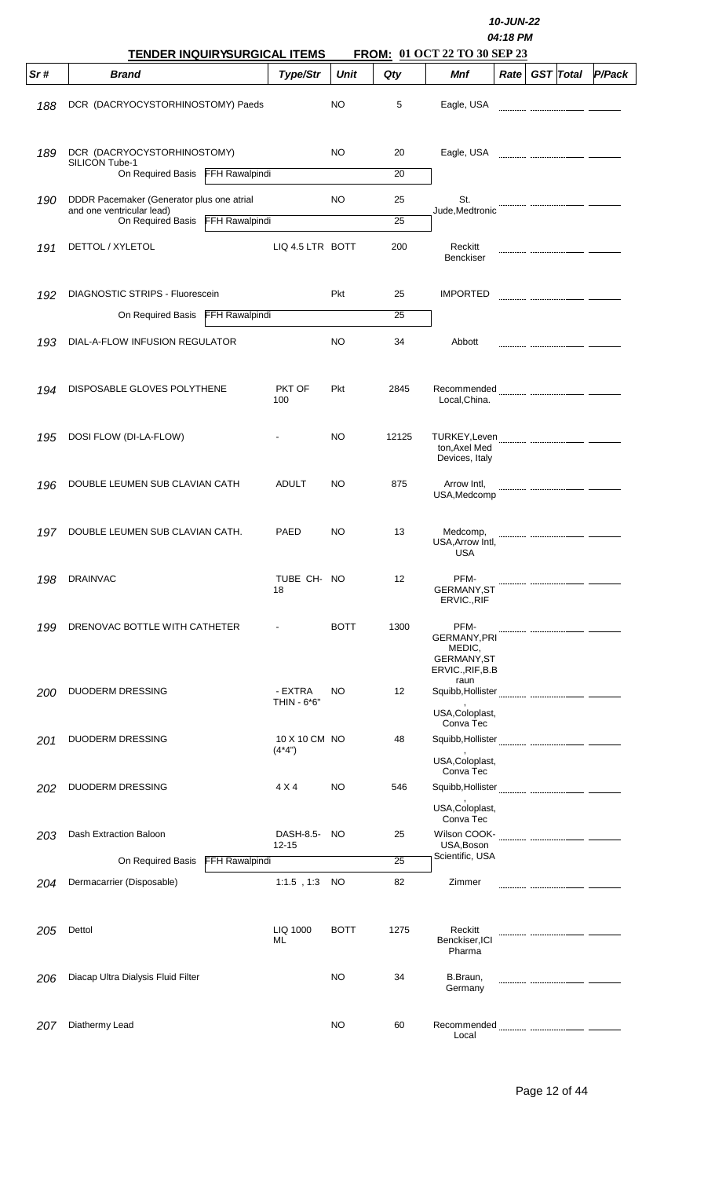|     | TENDER INQUIRYSURGICAL ITEMS                                                                |                       |                           | 10-JUN-22<br>04:18 PM<br>FROM: 01 OCT 22 TO 30 SEP 23 |          |                                                                                 |      |  |                  |        |  |
|-----|---------------------------------------------------------------------------------------------|-----------------------|---------------------------|-------------------------------------------------------|----------|---------------------------------------------------------------------------------|------|--|------------------|--------|--|
| Sr# | <b>Brand</b>                                                                                |                       | Type/Str                  | <b>Unit</b>                                           | Qty      | Mnf                                                                             | Rate |  | <b>GST</b> Total | P/Pack |  |
| 188 | DCR (DACRYOCYSTORHINOSTOMY) Paeds                                                           |                       |                           | NO                                                    | 5        | Eagle, USA                                                                      |      |  |                  |        |  |
| 189 | DCR (DACRYOCYSTORHINOSTOMY)<br>SILICON Tube-1                                               |                       |                           | <b>NO</b>                                             | 20       | Eagle, USA                                                                      |      |  |                  |        |  |
|     | On Required Basis FFH Rawalpindi                                                            |                       |                           |                                                       | 20       |                                                                                 |      |  |                  |        |  |
| 190 | DDDR Pacemaker (Generator plus one atrial<br>and one ventricular lead)<br>On Required Basis | <b>FFH Rawalpindi</b> |                           | <b>NO</b>                                             | 25<br>25 | St.<br>Jude,Medtronic                                                           |      |  |                  |        |  |
| 191 | DETTOL / XYLETOL                                                                            |                       | LIQ 4.5 LTR BOTT          |                                                       | 200      | Reckitt                                                                         |      |  |                  |        |  |
|     |                                                                                             |                       |                           |                                                       |          | <b>Benckiser</b>                                                                |      |  |                  |        |  |
| 192 | DIAGNOSTIC STRIPS - Fluorescein                                                             |                       |                           | Pkt                                                   | 25       | <b>IMPORTED</b>                                                                 |      |  |                  |        |  |
|     | On Required Basis                                                                           | <b>FFH Rawalpindi</b> |                           |                                                       | 25       |                                                                                 |      |  |                  |        |  |
| 193 | DIAL-A-FLOW INFUSION REGULATOR                                                              |                       |                           | NO                                                    | 34       | Abbott                                                                          |      |  |                  |        |  |
| 194 | DISPOSABLE GLOVES POLYTHENE                                                                 |                       | PKT OF<br>100             | Pkt                                                   | 2845     | Recommended<br>Local, China.                                                    |      |  |                  |        |  |
| 195 | DOSI FLOW (DI-LA-FLOW)                                                                      |                       |                           | <b>NO</b>                                             | 12125    | ton, Axel Med<br>Devices, Italy                                                 |      |  |                  |        |  |
| 196 | DOUBLE LEUMEN SUB CLAVIAN CATH                                                              |                       | <b>ADULT</b>              | NO                                                    | 875      | Arrow Intl,<br>USA, Medcomp                                                     |      |  |                  |        |  |
| 197 | DOUBLE LEUMEN SUB CLAVIAN CATH.                                                             |                       | PAED                      | NO                                                    | 13       | Medcomp,<br>USA, Arrow Intl,<br>USA                                             |      |  |                  |        |  |
| 198 | <b>DRAINVAC</b>                                                                             |                       | TUBE CH- NO<br>18         |                                                       | 12       | PFM-<br><b>GERMANY, ST</b><br>ERVIC., RIF                                       |      |  |                  |        |  |
| 199 | DRENOVAC BOTTLE WITH CATHETER                                                               |                       |                           | <b>BOTT</b>                                           | 1300     | PFM-<br><b>GERMANY, PRI</b><br>MEDIC,<br><b>GERMANY, ST</b><br>ERVIC., RIF, B.B |      |  |                  |        |  |
| 200 | DUODERM DRESSING                                                                            |                       | - EXTRA<br>THIN - 6*6"    | NO                                                    | 12       | raun<br>USA, Coloplast,                                                         |      |  |                  |        |  |
|     |                                                                                             |                       |                           |                                                       |          | Conva Tec                                                                       |      |  |                  |        |  |
| 201 | DUODERM DRESSING                                                                            |                       | 10 X 10 CM NO<br>$(4*4")$ |                                                       | 48       | USA, Coloplast,                                                                 |      |  |                  |        |  |
|     |                                                                                             |                       | 4 X 4                     | NO                                                    |          | Conva Tec                                                                       |      |  |                  |        |  |
| 202 | <b>DUODERM DRESSING</b>                                                                     |                       |                           |                                                       | 546      | USA, Coloplast,                                                                 |      |  |                  |        |  |
| 203 | Dash Extraction Baloon                                                                      |                       | DASH-8.5-<br>$12 - 15$    | NO                                                    | 25       | Conva Tec<br>Wilson COOK-<br>USA, Boson                                         |      |  |                  |        |  |
|     | On Required Basis                                                                           | FFH Rawalpindi        |                           |                                                       | 25       | Scientific, USA                                                                 |      |  |                  |        |  |
| 204 | Dermacarrier (Disposable)                                                                   |                       | $1:1.5$ , $1:3$           | NO.                                                   | 82       | Zimmer                                                                          |      |  |                  |        |  |
| 205 | Dettol                                                                                      |                       | LIQ 1000<br>ML            | <b>BOTT</b>                                           | 1275     | Reckitt<br>Benckiser, ICI<br>Pharma                                             |      |  |                  |        |  |
| 206 | Diacap Ultra Dialysis Fluid Filter                                                          |                       |                           | NO                                                    | 34       | B.Braun,<br>Germany                                                             |      |  |                  |        |  |
| 207 | Diathermy Lead                                                                              |                       |                           | <b>NO</b>                                             | 60       | Recommended<br>Local                                                            |      |  |                  |        |  |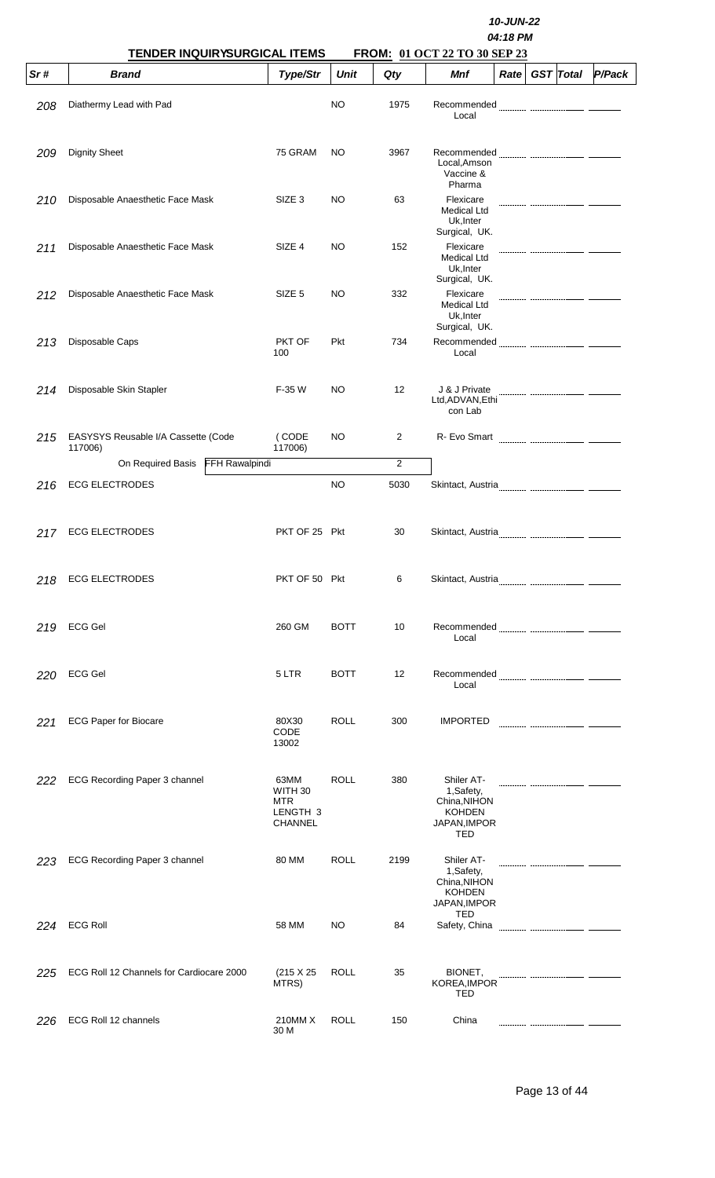|     | <b>TENDER INQUIRYSURGICAL ITEMS</b>            |                                                                 |             |      | FROM: 01 OCT 22 TO 30 SEP 23                                                    | 10-JUN-22<br>04:18 PM |                  |        |
|-----|------------------------------------------------|-----------------------------------------------------------------|-------------|------|---------------------------------------------------------------------------------|-----------------------|------------------|--------|
| Sr# | <b>Brand</b>                                   | Type/Str                                                        | Unit        | Qty  | Mnf                                                                             | Rate <sub>1</sub>     | <b>GST</b> Total | P/Pack |
| 208 | Diathermy Lead with Pad                        |                                                                 | <b>NO</b>   | 1975 | Recommended<br>Local                                                            |                       |                  |        |
| 209 | <b>Dignity Sheet</b>                           | 75 GRAM                                                         | NO          | 3967 | Recommended<br>Local, Amson<br>Vaccine &<br>Pharma                              |                       |                  |        |
| 210 | Disposable Anaesthetic Face Mask               | SIZE <sub>3</sub>                                               | NO          | 63   | Flexicare<br><b>Medical Ltd</b><br>Uk, Inter<br>Surgical, UK.                   |                       |                  |        |
| 211 | Disposable Anaesthetic Face Mask               | SIZE 4                                                          | NO          | 152  | Flexicare<br>Medical Ltd<br>Uk, Inter                                           |                       |                  |        |
| 212 | Disposable Anaesthetic Face Mask               | SIZE <sub>5</sub>                                               | NO          | 332  | Surgical, UK.<br>Flexicare<br><b>Medical Ltd</b><br>Uk, Inter<br>Surgical, UK.  |                       |                  |        |
| 213 | Disposable Caps                                | PKT OF<br>100                                                   | Pkt         | 734  | Recommended<br>Local                                                            |                       |                  |        |
| 214 | Disposable Skin Stapler                        | F-35 W                                                          | NO.         | 12   | J & J Private<br>Ltd, ADVAN, Ethi<br>con Lab                                    |                       |                  |        |
| 215 | EASYSYS Reusable I/A Cassette (Code<br>117006) | (CODE<br>117006)                                                | NO          | 2    | R- Evo Smart                                                                    |                       |                  |        |
|     | FFH Rawalpindi<br>On Required Basis            |                                                                 |             | 2    |                                                                                 |                       |                  |        |
| 216 | <b>ECG ELECTRODES</b>                          |                                                                 | NO          | 5030 |                                                                                 |                       |                  |        |
| 217 | <b>ECG ELECTRODES</b>                          | PKT OF 25 Pkt                                                   |             | 30   | Skintact, Austria                                                               |                       |                  |        |
| 218 | <b>ECG ELECTRODES</b>                          | PKT OF 50 Pkt                                                   |             | 6    |                                                                                 |                       |                  |        |
| 219 | <b>ECG Gel</b>                                 | 260 GM                                                          | <b>BOTT</b> | 10   | Local                                                                           |                       |                  |        |
| 220 | <b>ECG Gel</b>                                 | 5 LTR                                                           | <b>BOTT</b> | 12   | Local                                                                           |                       |                  |        |
| 221 | <b>ECG Paper for Biocare</b>                   | 80X30<br>CODE<br>13002                                          | <b>ROLL</b> | 300  | <b>IMPORTED</b>                                                                 |                       |                  |        |
| 222 | ECG Recording Paper 3 channel                  | 63MM<br>WITH 30<br>MTR<br>LENGTH <sub>3</sub><br><b>CHANNEL</b> | <b>ROLL</b> | 380  | Shiler AT-<br>1,Safety,<br>China, NIHON<br><b>KOHDEN</b><br>JAPAN, IMPOR<br>TED |                       |                  |        |
| 223 | ECG Recording Paper 3 channel                  | 80 MM                                                           | <b>ROLL</b> | 2199 | Shiler AT-<br>1,Safety,<br>China, NIHON<br><b>KOHDEN</b><br>JAPAN, IMPOR        |                       |                  |        |
| 224 | <b>ECG Roll</b>                                | 58 MM                                                           | NO          | 84   | TED<br>Safety, China                                                            |                       |                  |        |
| 225 | ECG Roll 12 Channels for Cardiocare 2000       | (215 X 25<br>MTRS)                                              | <b>ROLL</b> | 35   | BIONET,<br>KOREA, IMPOR<br>TED                                                  |                       |                  |        |
| 226 | ECG Roll 12 channels                           | 210MM X<br>30 M                                                 | <b>ROLL</b> | 150  | China                                                                           |                       |                  |        |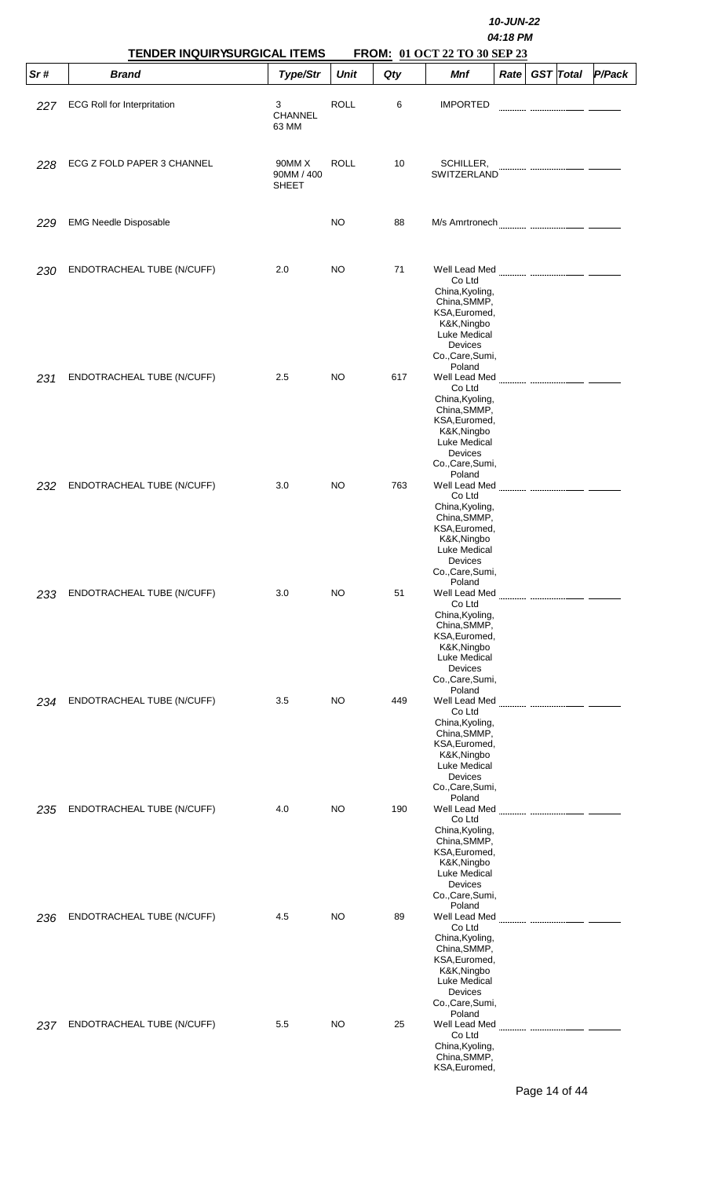|     | <b>TENDER INQUIRYSURGICAL ITEMS</b> |                                      |             |     | 10-JUN-22<br>04:18 PM<br>FROM: 01 OCT 22 TO 30 SEP 23                                                                                                                   |      |                  |        |  |  |  |  |  |
|-----|-------------------------------------|--------------------------------------|-------------|-----|-------------------------------------------------------------------------------------------------------------------------------------------------------------------------|------|------------------|--------|--|--|--|--|--|
| Sr# | <b>Brand</b>                        | Type/Str                             | <b>Unit</b> | Qty | Mnf                                                                                                                                                                     | Rate | <b>GST</b> Total | P/Pack |  |  |  |  |  |
| 227 | <b>ECG Roll for Interpritation</b>  | 3<br>CHANNEL<br>63 MM                | <b>ROLL</b> | 6   | <b>IMPORTED</b>                                                                                                                                                         |      |                  |        |  |  |  |  |  |
| 228 | ECG Z FOLD PAPER 3 CHANNEL          | 90MM X<br>90MM / 400<br><b>SHEET</b> | <b>ROLL</b> | 10  | SCHILLER,<br>SWITZERLAND                                                                                                                                                |      |                  |        |  |  |  |  |  |
| 229 | <b>EMG Needle Disposable</b>        |                                      | NO          | 88  |                                                                                                                                                                         |      |                  |        |  |  |  |  |  |
| 230 | ENDOTRACHEAL TUBE (N/CUFF)          | 2.0                                  | NO          | 71  | Co Ltd<br>China, Kyoling,<br>China, SMMP,<br>KSA, Euromed,<br>K&K, Ningbo<br>Luke Medical<br>Devices<br>Co., Care, Sumi,                                                |      |                  |        |  |  |  |  |  |
| 231 | ENDOTRACHEAL TUBE (N/CUFF)          | 2.5                                  | NO.         | 617 | Poland<br>Well Lead Med<br>Co Ltd<br>China, Kyoling,<br>China, SMMP,<br>KSA, Euromed,<br>K&K, Ningbo<br>Luke Medical<br>Devices<br>Co., Care, Sumi,                     |      |                  |        |  |  |  |  |  |
| 232 | ENDOTRACHEAL TUBE (N/CUFF)          | 3.0                                  | NO          | 763 | Poland<br>Well Lead Med<br>Co Ltd<br>China, Kyoling,<br>China, SMMP,<br>KSA, Euromed,<br>K&K,Ningbo<br>Luke Medical<br>Devices<br>Co., Care, Sumi,                      |      |                  |        |  |  |  |  |  |
| 233 | ENDOTRACHEAL TUBE (N/CUFF)          | 3.0                                  | NO.         | 51  | Poland<br>Well Lead Med<br>Co Ltd<br>China, Kyoling,<br>China, SMMP,<br>KSA, Euromed,<br>K&K, Ningbo<br>Luke Medical<br>Devices<br>Co., Care, Sumi,                     |      |                  |        |  |  |  |  |  |
| 234 | ENDOTRACHEAL TUBE (N/CUFF)          | 3.5                                  | NO          | 449 | Poland<br>Well Lead Med<br>Co Ltd<br>China, Kyoling,<br>China, SMMP,<br>KSA, Euromed,<br>K&K, Ningbo<br>Luke Medical<br>Devices<br>Co., Care, Sumi,                     |      |                  |        |  |  |  |  |  |
| 235 | ENDOTRACHEAL TUBE (N/CUFF)          | 4.0                                  | NO.         | 190 | Poland<br>Co Ltd<br>China, Kyoling,<br>China, SMMP,<br>KSA, Euromed,<br>K&K,Ningbo<br>Luke Medical<br>Devices                                                           |      |                  |        |  |  |  |  |  |
| 236 | ENDOTRACHEAL TUBE (N/CUFF)          | 4.5                                  | NO          | 89  | Co., Care, Sumi,<br>Poland<br>Well Lead Med<br>Co Ltd<br>China, Kyoling,<br>China, SMMP,<br>KSA, Euromed,<br>K&K, Ningbo<br>Luke Medical<br>Devices<br>Co., Care, Sumi, |      |                  |        |  |  |  |  |  |
| 237 | ENDOTRACHEAL TUBE (N/CUFF)          | 5.5                                  | NO.         | 25  | Poland<br>Well Lead Med<br>Co Ltd<br>China, Kyoling,<br>China, SMMP,<br>KSA, Euromed,                                                                                   |      |                  |        |  |  |  |  |  |

Page 14 of 44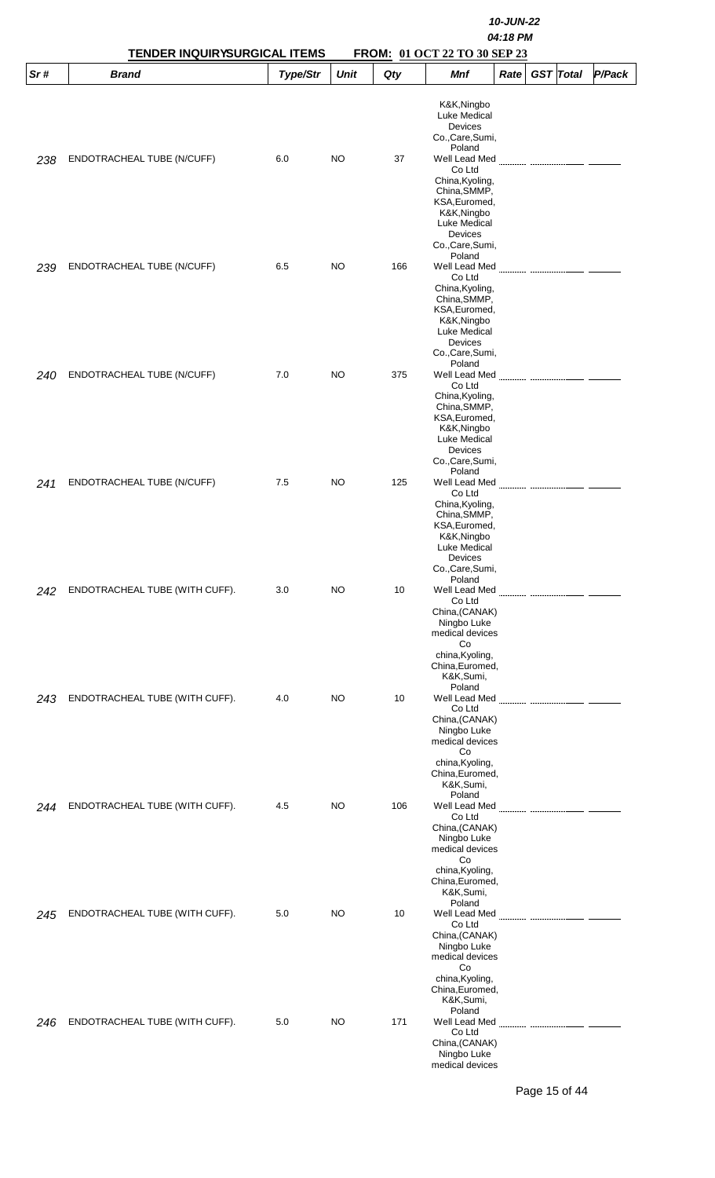|     | TENDER INQUIRYSURGICAL ITEMS   |          | 10-JUN-22<br>04:18 PM<br>FROM: 01 OCT 22 TO 30 SEP 23 |     |                                                                                                                                                     |      |  |                  |        |  |
|-----|--------------------------------|----------|-------------------------------------------------------|-----|-----------------------------------------------------------------------------------------------------------------------------------------------------|------|--|------------------|--------|--|
| Sr# | <b>Brand</b>                   | Type/Str | <b>Unit</b>                                           | Qty | Mnf                                                                                                                                                 | Rate |  | <b>GST</b> Total | P/Pack |  |
| 238 | ENDOTRACHEAL TUBE (N/CUFF)     | 6.0      | NO.                                                   | 37  | K&K, Ningbo<br>Luke Medical<br>Devices<br>Co., Care, Sumi,<br>Poland<br>Well Lead Med                                                               |      |  |                  |        |  |
|     |                                |          |                                                       |     | Co Ltd<br>China, Kyoling,<br>China, SMMP,<br>KSA, Euromed,<br>K&K,Ningbo<br>Luke Medical<br>Devices<br>Co., Care, Sumi,<br>Poland                   |      |  |                  |        |  |
| 239 | ENDOTRACHEAL TUBE (N/CUFF)     | 6.5      | NO.                                                   | 166 | Well Lead Med<br>Co Ltd<br>China, Kyoling,<br>China, SMMP,<br>KSA, Euromed,<br>K&K,Ningbo<br>Luke Medical<br>Devices<br>Co., Care, Sumi,<br>Poland  |      |  |                  |        |  |
| 240 | ENDOTRACHEAL TUBE (N/CUFF)     | 7.0      | NO.                                                   | 375 | Well Lead Med<br>Co Ltd<br>China, Kyoling,<br>China, SMMP,<br>KSA, Euromed,<br>K&K, Ningbo<br>Luke Medical<br>Devices<br>Co., Care, Sumi,<br>Poland |      |  |                  |        |  |
| 241 | ENDOTRACHEAL TUBE (N/CUFF)     | 7.5      | NO.                                                   | 125 | Well Lead Med<br>Co Ltd<br>China, Kyoling,<br>China, SMMP,<br>KSA, Euromed,<br>K&K,Ningbo<br>Luke Medical<br>Devices<br>Co., Care, Sumi,<br>Poland  |      |  |                  |        |  |
| 242 | ENDOTRACHEAL TUBE (WITH CUFF). | 3.0      | NO.                                                   | 10  | Well Lead Med<br>Co Ltd<br>China, (CANAK)<br>Ningbo Luke<br>medical devices<br>Co<br>china, Kyoling,<br>China, Euromed,<br>K&K,Sumi,<br>Poland      |      |  |                  |        |  |
| 243 | ENDOTRACHEAL TUBE (WITH CUFF). | 4.0      | NO.                                                   | 10  | Well Lead Med<br>Co Ltd<br>China, (CANAK)<br>Ningbo Luke<br>medical devices<br>Co<br>china, Kyoling,<br>China, Euromed,<br>K&K,Sumi,                |      |  |                  |        |  |
| 244 | ENDOTRACHEAL TUBE (WITH CUFF). | 4.5      | NO                                                    | 106 | Poland<br>Co Ltd<br>China, (CANAK)<br>Ningbo Luke<br>medical devices<br>Co<br>china, Kyoling,<br>China, Euromed,<br>K&K,Sumi,                       |      |  |                  |        |  |
| 245 | ENDOTRACHEAL TUBE (WITH CUFF). | 5.0      | NO.                                                   | 10  | Poland<br>Well Lead Med<br>Co Ltd<br>China, (CANAK)<br>Ningbo Luke<br>medical devices<br>Co<br>china, Kyoling,<br>China, Euromed,<br>K&K,Sumi,      |      |  |                  |        |  |
| 246 | ENDOTRACHEAL TUBE (WITH CUFF). | 5.0      | NO.                                                   | 171 | Poland<br>Well Lead Med<br>Co Ltd<br>China, (CANAK)<br>Ningbo Luke<br>medical devices                                                               |      |  |                  |        |  |

Page 15 of 44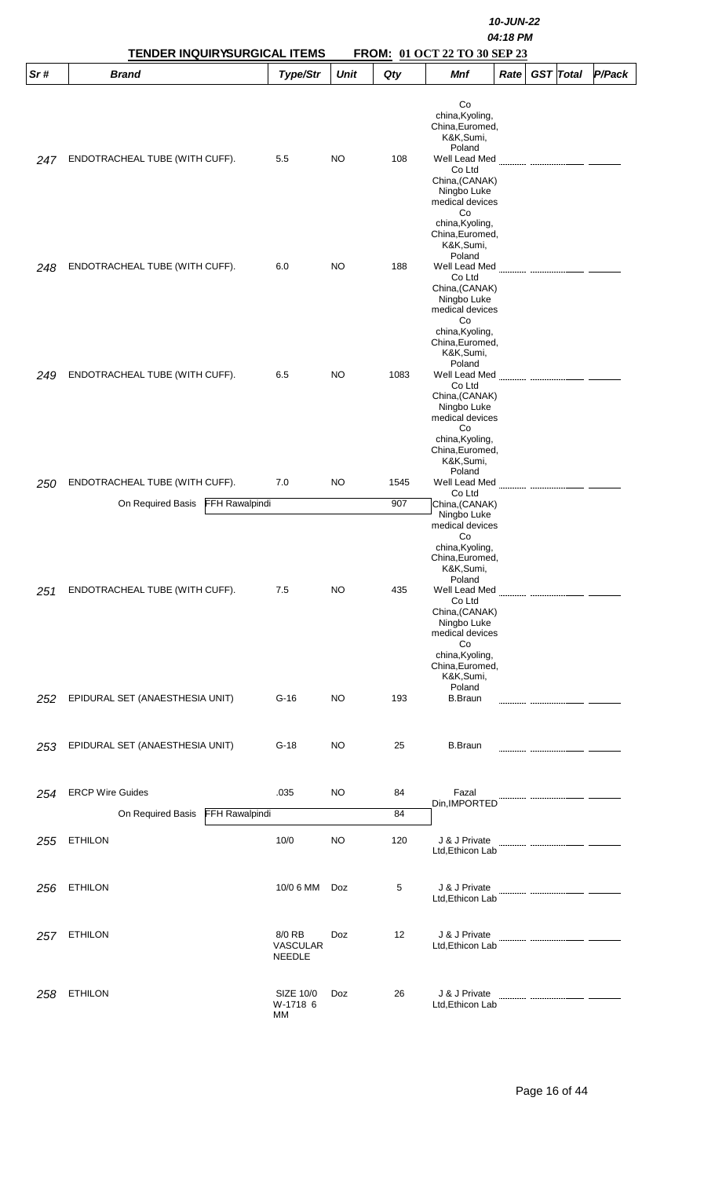|     | <b>TENDER INQUIRYSURGICAL ITEMS</b>                                          |                                            |             |             | FROM: 01 OCT 22 TO 30 SEP 23                                                                                                                                                                                                 | 10-JUN-22<br>04:18 PM |                  |        |
|-----|------------------------------------------------------------------------------|--------------------------------------------|-------------|-------------|------------------------------------------------------------------------------------------------------------------------------------------------------------------------------------------------------------------------------|-----------------------|------------------|--------|
| Sr# | <b>Brand</b>                                                                 | Type/Str                                   | <b>Unit</b> | Qty         | Mnf                                                                                                                                                                                                                          | Rate                  | <b>GST</b> Total | P/Pack |
| 247 | ENDOTRACHEAL TUBE (WITH CUFF).                                               | 5.5                                        | <b>NO</b>   | 108         | Co<br>china, Kyoling,<br>China, Euromed,<br>K&K,Sumi,<br>Poland<br>Well Lead Med<br>Co Ltd<br>China, (CANAK)<br>Ningbo Luke<br>medical devices<br>Co<br>china, Kyoling,<br>China, Euromed,                                   |                       |                  |        |
| 248 | ENDOTRACHEAL TUBE (WITH CUFF).                                               | 6.0                                        | NO          | 188         | K&K,Sumi,<br>Poland<br>Well Lead Med<br>Co Ltd<br>China, (CANAK)<br>Ningbo Luke<br>medical devices<br>Co                                                                                                                     |                       |                  |        |
| 249 | ENDOTRACHEAL TUBE (WITH CUFF).                                               | 6.5                                        | <b>NO</b>   | 1083        | china, Kyoling,<br>China, Euromed,<br>K&K,Sumi,<br>Poland<br>Well Lead Med<br>Co Ltd<br>China, (CANAK)<br>Ningbo Luke<br>medical devices<br>Co                                                                               |                       |                  |        |
| 250 | ENDOTRACHEAL TUBE (WITH CUFF).<br><b>FFH Rawalpindi</b><br>On Required Basis | 7.0                                        | NO          | 1545<br>907 | china, Kyoling,<br>China, Euromed,<br>K&K,Sumi,<br>Poland<br>Well Lead Med<br>Co Ltd<br>China, (CANAK)                                                                                                                       |                       |                  |        |
| 251 | ENDOTRACHEAL TUBE (WITH CUFF).                                               | 7.5                                        | <b>NO</b>   | 435         | Ningbo Luke<br>medical devices<br>Co<br>china, Kyoling,<br>China, Euromed,<br>K&K,Sumi,<br>Poland<br>Well Lead Med<br>Co Ltd<br>China, (CANAK)<br>Ningbo Luke<br>medical devices<br>Co<br>china, Kyoling,<br>China, Euromed, |                       |                  |        |
| 252 | EPIDURAL SET (ANAESTHESIA UNIT)                                              | $G-16$                                     | <b>NO</b>   | 193         | K&K,Sumi,<br>Poland<br><b>B.Braun</b>                                                                                                                                                                                        |                       |                  |        |
| 253 | EPIDURAL SET (ANAESTHESIA UNIT)                                              | $G-18$                                     | NO          | 25          | <b>B.Braun</b>                                                                                                                                                                                                               |                       |                  |        |
| 254 | <b>ERCP Wire Guides</b><br>On Required Basis<br>FFH Rawalpindi               | .035                                       | NO          | 84<br>84    | Fazal<br>Din, IMPORTED                                                                                                                                                                                                       |                       |                  |        |
| 255 | <b>ETHILON</b>                                                               | 10/0                                       | NO          | 120         | J & J Private<br>Ltd, Ethicon Lab                                                                                                                                                                                            |                       |                  |        |
| 256 | <b>ETHILON</b>                                                               | 10/0 6 MM                                  | Doz         | 5           | J & J Private<br>Ltd, Ethicon Lab                                                                                                                                                                                            |                       |                  |        |
| 257 | <b>ETHILON</b>                                                               | 8/0 RB<br><b>VASCULAR</b><br><b>NEEDLE</b> | Doz         | 12          | J & J Private<br>Ltd, Ethicon Lab                                                                                                                                                                                            |                       |                  |        |
| 258 | <b>ETHILON</b>                                                               | SIZE 10/0<br>W-1718 6<br>МM                | Doz         | 26          | J & J Private<br>Ltd, Ethicon Lab                                                                                                                                                                                            |                       |                  |        |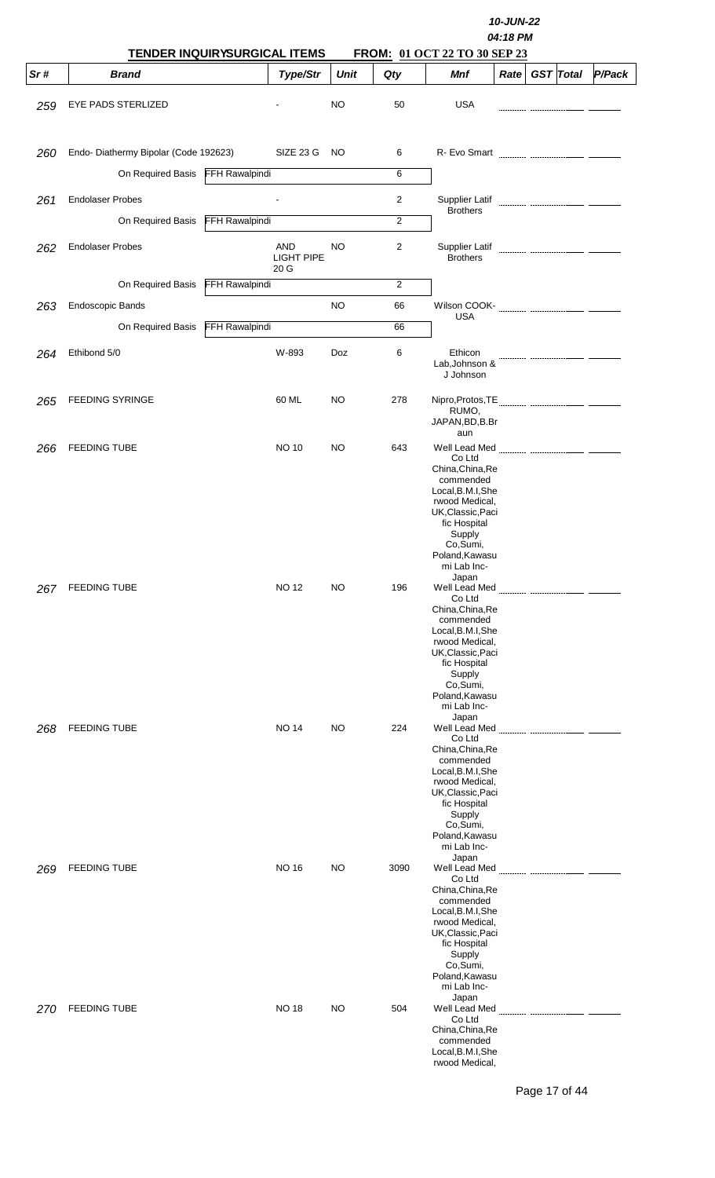|     | TENDER INQUIRYSURGICAL ITEMS         |                       |                   |             | 10-JUN-22<br>04:18 PM<br>FROM: 01 OCT 22 TO 30 SEP 23 |                                                                                                                                                                                                             |  |  |                  |        |
|-----|--------------------------------------|-----------------------|-------------------|-------------|-------------------------------------------------------|-------------------------------------------------------------------------------------------------------------------------------------------------------------------------------------------------------------|--|--|------------------|--------|
| Sr# | <b>Brand</b>                         |                       | Type/Str          | <b>Unit</b> | Qty                                                   | Mnf                                                                                                                                                                                                         |  |  | $Rate$ GST Total | P/Pack |
| 259 | EYE PADS STERLIZED                   |                       |                   | NO          | 50                                                    | <b>USA</b>                                                                                                                                                                                                  |  |  |                  |        |
| 260 | Endo-Diathermy Bipolar (Code 192623) |                       | SIZE 23 G         | NO          | 6                                                     | R- Evo Smart                                                                                                                                                                                                |  |  |                  |        |
|     | On Required Basis FFH Rawalpindi     |                       |                   |             | 6                                                     |                                                                                                                                                                                                             |  |  |                  |        |
| 261 | <b>Endolaser Probes</b>              |                       |                   |             | 2                                                     | Supplier Latif                                                                                                                                                                                              |  |  |                  |        |
|     | On Required Basis                    | <b>FFH Rawalpindi</b> |                   |             | 2                                                     | <b>Brothers</b>                                                                                                                                                                                             |  |  |                  |        |
| 262 | <b>Endolaser Probes</b>              |                       | AND<br>LIGHT PIPE | <b>NO</b>   | 2                                                     | Supplier Latif<br><b>Brothers</b>                                                                                                                                                                           |  |  |                  |        |
|     | On Required Basis                    | <b>FFH Rawalpindi</b> | 20 G              |             | 2                                                     |                                                                                                                                                                                                             |  |  |                  |        |
| 263 | Endoscopic Bands                     |                       |                   | NO          | 66                                                    |                                                                                                                                                                                                             |  |  |                  |        |
|     | On Required Basis                    | <b>FFH Rawalpindi</b> |                   |             | 66                                                    | <b>USA</b>                                                                                                                                                                                                  |  |  |                  |        |
|     |                                      |                       |                   |             |                                                       |                                                                                                                                                                                                             |  |  |                  |        |
| 264 | Ethibond 5/0                         |                       | W-893             | Doz         | 6                                                     | Ethicon<br>Lab, Johnson &<br>J Johnson                                                                                                                                                                      |  |  |                  |        |
| 265 | <b>FEEDING SYRINGE</b>               |                       | 60 ML             | NO.         | 278                                                   | RUMO,<br>JAPAN, BD, B.Br<br>aun                                                                                                                                                                             |  |  |                  |        |
| 266 | <b>FEEDING TUBE</b>                  |                       | <b>NO 10</b>      | NO.         | 643                                                   | Well Lead Med<br>Co Ltd<br>China, China, Re<br>commended<br>Local, B.M.I, She<br>rwood Medical,<br>UK, Classic, Paci<br>fic Hospital<br>Supply<br>Co,Sumi,<br>Poland, Kawasu<br>mi Lab Inc-                 |  |  |                  |        |
| 267 | <b>FEEDING TUBE</b>                  |                       | <b>NO 12</b>      | NO.         | 196                                                   | Japan<br>Well Lead Med<br>Co Ltd<br>China, China, Re<br>commended<br>Local, B.M.I, She<br>rwood Medical,<br>UK,Classic,Paci<br>fic Hospital<br>Supply<br>Co,Sumi,<br>Poland, Kawasu<br>mi Lab Inc-          |  |  |                  |        |
| 268 | <b>FEEDING TUBE</b>                  |                       | NO 14             | NO.         | 224                                                   | Japan<br>Well Lead Med<br>Co Ltd<br>China, China, Re<br>commended<br>Local, B.M.I, She<br>rwood Medical,<br>UK,Classic,Paci<br>fic Hospital<br>Supply<br>Co,Sumi,<br>Poland, Kawasu<br>mi Lab Inc-<br>Japan |  |  |                  |        |
| 269 | <b>FEEDING TUBE</b>                  |                       | <b>NO 16</b>      | NO.         | 3090                                                  | Well Lead Med<br>Co Ltd<br>China, China, Re<br>commended<br>Local, B.M.I, She<br>rwood Medical,<br>UK,Classic,Paci<br>fic Hospital<br>Supply<br>Co,Sumi,<br>Poland, Kawasu<br>mi Lab Inc-<br>Japan          |  |  |                  |        |
| 270 | <b>FEEDING TUBE</b>                  |                       | NO 18             | NO.         | 504                                                   | Well Lead Med<br>Co Ltd<br>China, China, Re<br>commended<br>Local, B.M.I, She<br>rwood Medical,                                                                                                             |  |  |                  |        |

Page 17 of 44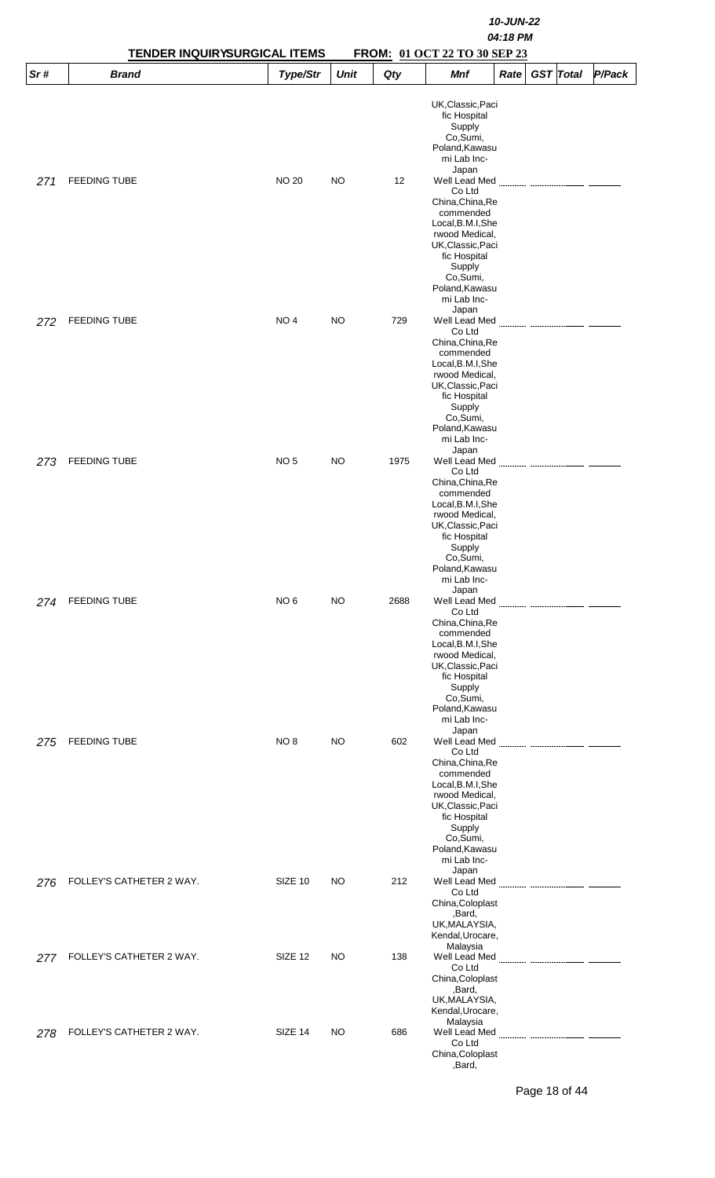|     |                          | 10-JUN-22<br>04:18 PM<br><b>TENDER INQUIRYSURGICAL ITEMS</b><br>FROM: 01 OCT 22 TO 30 SEP 23 |             |      |                                                                                                                                                                                                      |      |                  |        |  |
|-----|--------------------------|----------------------------------------------------------------------------------------------|-------------|------|------------------------------------------------------------------------------------------------------------------------------------------------------------------------------------------------------|------|------------------|--------|--|
| Sr# | <b>Brand</b>             | Type/Str                                                                                     | <b>Unit</b> | Qty  | Mnf                                                                                                                                                                                                  | Rate | <b>GST</b> Total | P/Pack |  |
|     |                          |                                                                                              |             |      | UK, Classic, Paci<br>fic Hospital<br>Supply<br>Co,Sumi,<br>Poland, Kawasu<br>mi Lab Inc-<br>Japan                                                                                                    |      |                  |        |  |
| 271 | <b>FEEDING TUBE</b>      | <b>NO 20</b>                                                                                 | NO          | 12   | Well Lead Med<br>Co Ltd<br>China, China, Re<br>commended<br>Local, B.M.I, She<br>rwood Medical,<br>UK, Classic, Paci<br>fic Hospital<br>Supply<br>Co,Sumi,<br>Poland, Kawasu<br>mi Lab Inc-<br>Japan |      |                  |        |  |
| 272 | <b>FEEDING TUBE</b>      | NO <sub>4</sub>                                                                              | <b>NO</b>   | 729  | Well Lead Med<br>Co Ltd<br>China, China, Re<br>commended<br>Local, B.M.I, She<br>rwood Medical,<br>UK, Classic, Paci<br>fic Hospital<br>Supply<br>Co,Sumi,<br>Poland, Kawasu<br>mi Lab Inc-<br>Japan |      |                  |        |  |
| 273 | <b>FEEDING TUBE</b>      | NO <sub>5</sub>                                                                              | <b>NO</b>   | 1975 | Well Lead Med<br>Co Ltd<br>China, China, Re<br>commended<br>Local, B.M.I, She<br>rwood Medical,<br>UK, Classic, Paci<br>fic Hospital<br>Supply<br>Co,Sumi,<br>Poland, Kawasu<br>mi Lab Inc-<br>Japan |      |                  |        |  |
| 274 | <b>FEEDING TUBE</b>      | NO <sub>6</sub>                                                                              | NO          | 2688 | Well Lead Med<br>Co Ltd<br>China, China, Re<br>commended<br>Local, B.M.I, She<br>rwood Medical,<br>UK, Classic, Paci<br>fic Hospital<br>Supply<br>Co,Sumi,<br>Poland, Kawasu<br>mi Lab Inc-<br>Japan |      |                  |        |  |
| 275 | <b>FEEDING TUBE</b>      | NO 8                                                                                         | NO          | 602  | Well Lead Med<br>Co Ltd<br>China, China, Re<br>commended<br>Local, B.M.I, She<br>rwood Medical,<br>UK, Classic, Paci<br>fic Hospital<br>Supply<br>Co,Sumi,<br>Poland, Kawasu<br>mi Lab Inc-<br>Japan |      |                  |        |  |
| 276 | FOLLEY'S CATHETER 2 WAY. | SIZE 10                                                                                      | NO          | 212  | Co Ltd<br>China, Coloplast<br>,Bard,<br>UK, MALAYSIA,<br>Kendal, Urocare,                                                                                                                            |      |                  |        |  |
| 277 | FOLLEY'S CATHETER 2 WAY. | SIZE 12                                                                                      | NO          | 138  | Malaysia<br>Well Lead Med <b>Marting Communication Martin</b><br>Co Ltd<br>China, Coloplast<br>,Bard,<br>UK, MALAYSIA,<br>Kendal, Urocare,                                                           |      |                  |        |  |
| 278 | FOLLEY'S CATHETER 2 WAY. | SIZE 14                                                                                      | NO.         | 686  | Malaysia<br>Well Lead Med<br>Co Ltd<br>China, Coloplast<br>,Bard,                                                                                                                                    |      |                  |        |  |

Page 18 of 44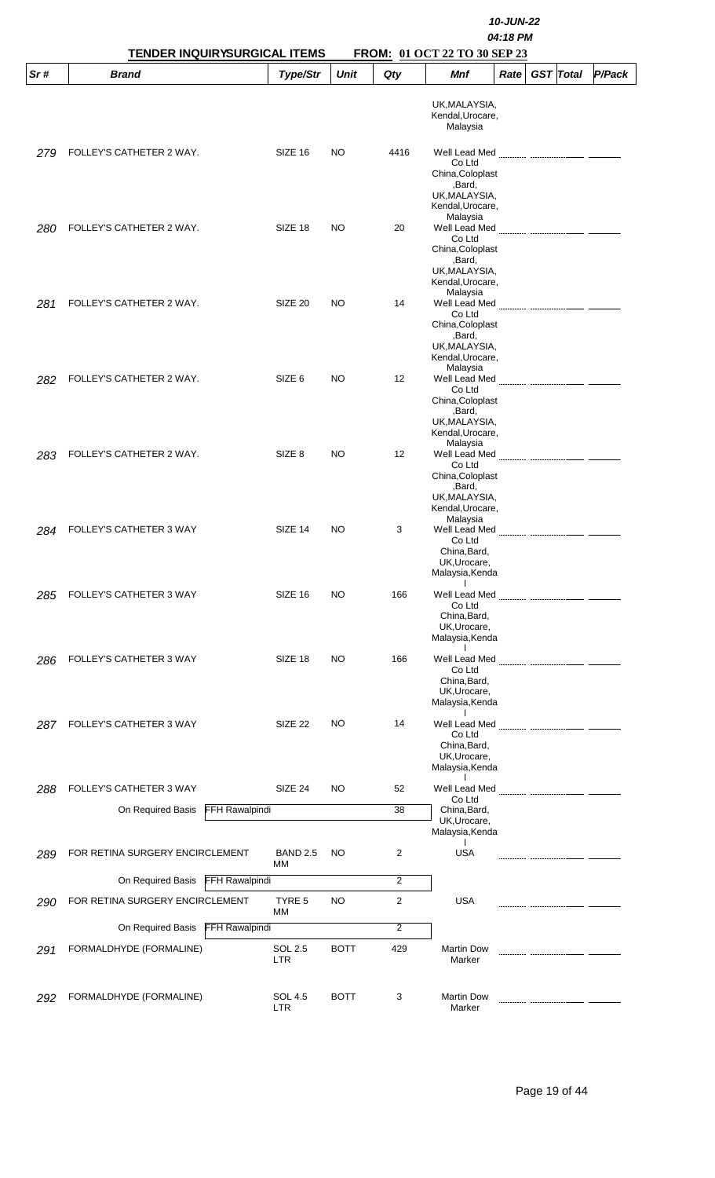| Sr# | <b>TENDER INQUIRYSURGICAL ITEMS</b><br><b>Brand</b> | Type/Str                     | <b>Unit</b> | Qty  | <b>FROM: 01 OCT 22 TO 30 SEP 23</b><br><b>Mnf</b> | Rate | <b>GST</b> Total | P/Pack |
|-----|-----------------------------------------------------|------------------------------|-------------|------|---------------------------------------------------|------|------------------|--------|
|     |                                                     |                              |             |      |                                                   |      |                  |        |
|     |                                                     |                              |             |      | UK, MALAYSIA,<br>Kendal, Urocare,                 |      |                  |        |
|     |                                                     |                              |             |      | Malaysia                                          |      |                  |        |
| 279 | FOLLEY'S CATHETER 2 WAY.                            | SIZE 16                      | NO          | 4416 | Well Lead Med                                     |      |                  |        |
|     |                                                     |                              |             |      | Co Ltd<br>China, Coloplast                        |      |                  |        |
|     |                                                     |                              |             |      | ,Bard,                                            |      |                  |        |
|     |                                                     |                              |             |      | UK, MALAYSIA,<br>Kendal, Urocare,                 |      |                  |        |
| 280 | FOLLEY'S CATHETER 2 WAY.                            | SIZE 18                      | <b>NO</b>   | 20   | Malaysia<br>Well Lead Med                         |      |                  |        |
|     |                                                     |                              |             |      | Co Ltd                                            |      |                  |        |
|     |                                                     |                              |             |      | China, Coloplast<br>,Bard,                        |      |                  |        |
|     |                                                     |                              |             |      | UK, MALAYSIA,<br>Kendal, Urocare,                 |      |                  |        |
|     |                                                     |                              |             |      | Malaysia                                          |      |                  |        |
| 281 | FOLLEY'S CATHETER 2 WAY.                            | SIZE 20                      | NO          | 14   | Co Ltd                                            |      |                  |        |
|     |                                                     |                              |             |      | China, Coloplast<br>,Bard,                        |      |                  |        |
|     |                                                     |                              |             |      | UK, MALAYSIA,                                     |      |                  |        |
|     |                                                     |                              |             |      | Kendal, Urocare,<br>Malaysia                      |      |                  |        |
| 282 | FOLLEY'S CATHETER 2 WAY.                            | SIZE <sub>6</sub>            | NO          | 12   | Co Ltd                                            |      |                  |        |
|     |                                                     |                              |             |      | China, Coloplast                                  |      |                  |        |
|     |                                                     |                              |             |      | ,Bard,<br>UK, MALAYSIA,                           |      |                  |        |
|     |                                                     |                              |             |      | Kendal, Urocare,<br>Malaysia                      |      |                  |        |
| 283 | FOLLEY'S CATHETER 2 WAY.                            | SIZE <sub>8</sub>            | <b>NO</b>   | 12   | Well Lead Med<br>Co Ltd                           |      |                  |        |
|     |                                                     |                              |             |      | China, Coloplast                                  |      |                  |        |
|     |                                                     |                              |             |      | ,Bard,<br>UK, MALAYSIA,                           |      |                  |        |
|     |                                                     |                              |             |      | Kendal, Urocare,<br>Malaysia                      |      |                  |        |
| 284 | FOLLEY'S CATHETER 3 WAY                             | SIZE 14                      | NO.         | 3    | Well Lead Med                                     |      |                  |        |
|     |                                                     |                              |             |      | Co Ltd<br>China, Bard,                            |      |                  |        |
|     |                                                     |                              |             |      | UK, Urocare,<br>Malaysia, Kenda                   |      |                  |        |
|     |                                                     |                              |             |      | $\mathbf{I}$                                      |      |                  |        |
| 285 | FOLLEY'S CATHETER 3 WAY                             | SIZE 16                      | <b>NO</b>   | 166  | Well Lead Med<br>Co Ltd                           |      |                  |        |
|     |                                                     |                              |             |      | China, Bard,<br>UK, Urocare,                      |      |                  |        |
|     |                                                     |                              |             |      | Malaysia, Kenda<br>$\mathbf{I}$                   |      |                  |        |
| 286 | FOLLEY'S CATHETER 3 WAY                             | SIZE 18                      | <b>NO</b>   | 166  | Well Lead Med                                     |      |                  |        |
|     |                                                     |                              |             |      | Co Ltd<br>China, Bard,                            |      |                  |        |
|     |                                                     |                              |             |      | UK, Urocare,<br>Malaysia, Kenda                   |      |                  |        |
|     |                                                     |                              |             |      | $\mathbf{I}$                                      |      |                  |        |
| 287 | FOLLEY'S CATHETER 3 WAY                             | SIZE 22                      | NO          | 14   | Well Lead Med<br>Co Ltd                           |      |                  |        |
|     |                                                     |                              |             |      | China, Bard,<br>UK, Urocare,                      |      |                  |        |
|     |                                                     |                              |             |      | Malaysia, Kenda                                   |      |                  |        |
| 288 | FOLLEY'S CATHETER 3 WAY                             | SIZE 24                      | NO          | 52   | Well Lead Med                                     |      |                  |        |
|     | FFH Rawalpindi<br>On Required Basis                 |                              |             | 38   | Co Ltd<br>China, Bard,                            |      |                  |        |
|     |                                                     |                              |             |      | UK, Urocare,<br>Malaysia, Kenda                   |      |                  |        |
| 289 | FOR RETINA SURGERY ENCIRCLEMENT                     | <b>BAND 2.5</b>              | NO          | 2    | <b>USA</b>                                        |      |                  |        |
|     |                                                     | MМ                           |             |      |                                                   |      |                  |        |
|     | <b>FFH Rawalpindi</b><br>On Required Basis          |                              |             | 2    |                                                   |      |                  |        |
| 290 | FOR RETINA SURGERY ENCIRCLEMENT                     | TYRE 5<br>MM                 | NO          | 2    | USA                                               |      |                  |        |
|     | On Required Basis FFH Rawalpindi                    |                              |             | 2    |                                                   |      |                  |        |
| 291 | FORMALDHYDE (FORMALINE)                             | SOL 2.5                      | <b>BOTT</b> | 429  | <b>Martin Dow</b>                                 |      |                  |        |
|     |                                                     | <b>LTR</b>                   |             |      | Marker                                            |      |                  |        |
|     |                                                     |                              |             |      |                                                   |      |                  |        |
| 292 | FORMALDHYDE (FORMALINE)                             | <b>SOL 4.5</b><br><b>LTR</b> | <b>BOTT</b> | 3    | <b>Martin Dow</b><br>Marker                       |      |                  |        |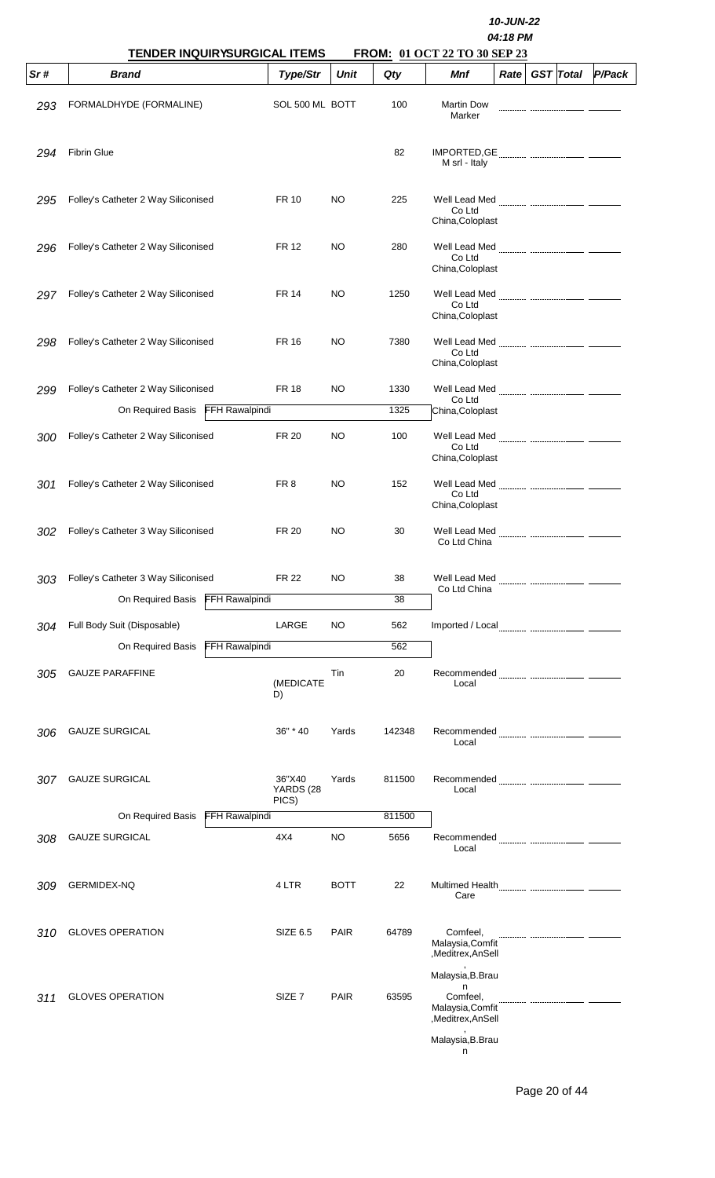|     | TENDER INQUIRYSURGICAL ITEMS               |                              |             |        | FROM: 01 OCT 22 TO 30 SEP 23                                                                         | 10-JUN-22<br>04:18 PM |                  |        |
|-----|--------------------------------------------|------------------------------|-------------|--------|------------------------------------------------------------------------------------------------------|-----------------------|------------------|--------|
| Sr# | <b>Brand</b>                               | Type/Str                     | <b>Unit</b> | Qty    | Mnf                                                                                                  | Rate                  | <b>GST</b> Total | P/Pack |
| 293 | FORMALDHYDE (FORMALINE)                    | SOL 500 ML BOTT              |             | 100    | <b>Martin Dow</b><br>Marker                                                                          |                       |                  |        |
| 294 | <b>Fibrin Glue</b>                         |                              |             | 82     | M srl - Italy                                                                                        |                       |                  |        |
| 295 | Folley's Catheter 2 Way Siliconised        | FR 10                        | <b>NO</b>   | 225    | Co Ltd<br>China, Coloplast                                                                           |                       |                  |        |
| 296 | Folley's Catheter 2 Way Siliconised        | <b>FR 12</b>                 | <b>NO</b>   | 280    | Well Lead Med<br>Co Ltd<br>China, Coloplast                                                          |                       |                  |        |
| 297 | Folley's Catheter 2 Way Siliconised        | <b>FR 14</b>                 | <b>NO</b>   | 1250   | Co Ltd<br>China, Coloplast                                                                           |                       |                  |        |
| 298 | Folley's Catheter 2 Way Siliconised        | <b>FR 16</b>                 | NO          | 7380   | Well Lead Med<br>Co Ltd<br>China, Coloplast                                                          |                       |                  |        |
| 299 | Folley's Catheter 2 Way Siliconised        | <b>FR 18</b>                 | <b>NO</b>   | 1330   | Well Lead Med                                                                                        |                       |                  |        |
|     | On Required Basis FFH Rawalpindi           |                              |             | 1325   | Co Ltd<br>China, Coloplast                                                                           |                       |                  |        |
| 300 | Folley's Catheter 2 Way Siliconised        | <b>FR 20</b>                 | NO          | 100    | Well Lead Med<br>Co Ltd<br>China, Coloplast                                                          |                       |                  |        |
| 301 | Folley's Catheter 2 Way Siliconised        | FR 8                         | <b>NO</b>   | 152    | Well Lead Med<br>Co Ltd<br>China, Coloplast                                                          |                       |                  |        |
| 302 | Folley's Catheter 3 Way Siliconised        | <b>FR 20</b>                 | NO          | 30     | Well Lead Med<br>Co Ltd China                                                                        |                       |                  |        |
| 303 | Folley's Catheter 3 Way Siliconised        | <b>FR 22</b>                 | NO          | 38     | Well Lead Med                                                                                        |                       |                  |        |
|     | <b>FFH Rawalpindi</b><br>On Required Basis |                              |             | 38     | Co Ltd China                                                                                         |                       |                  |        |
| 304 | Full Body Suit (Disposable)                | LARGE                        | NO          | 562    |                                                                                                      |                       |                  |        |
|     | <b>FFH Rawalpindi</b><br>On Required Basis |                              |             | 562    |                                                                                                      |                       |                  |        |
| 305 | <b>GAUZE PARAFFINE</b>                     | (MEDICATE<br>D)              | Tin         | 20     | Local                                                                                                |                       |                  |        |
| 306 | <b>GAUZE SURGICAL</b>                      | 36" * 40                     | Yards       | 142348 | Local                                                                                                |                       |                  |        |
| 307 | <b>GAUZE SURGICAL</b>                      | 36"X40<br>YARDS (28<br>PICS) | Yards       | 811500 | Local                                                                                                |                       |                  |        |
|     | <b>FFH Rawalpindi</b><br>On Required Basis |                              |             | 811500 |                                                                                                      |                       |                  |        |
| 308 | <b>GAUZE SURGICAL</b>                      | 4X4                          | <b>NO</b>   | 5656   | Local                                                                                                |                       |                  |        |
| 309 | GERMIDEX-NQ                                | 4 LTR                        | <b>BOTT</b> | 22     | Care                                                                                                 |                       |                  |        |
| 310 | <b>GLOVES OPERATION</b>                    | SIZE 6.5                     | <b>PAIR</b> | 64789  | Comfeel,<br>Malaysia, Comfit<br>,Meditrex,AnSell                                                     |                       |                  |        |
| 311 | <b>GLOVES OPERATION</b>                    | SIZE <sub>7</sub>            | <b>PAIR</b> | 63595  | Malaysia, B. Brau<br>n<br>Comfeel,<br>Malaysia, Comfit<br>,Meditrex,AnSell<br>Malaysia, B. Brau<br>n |                       |                  |        |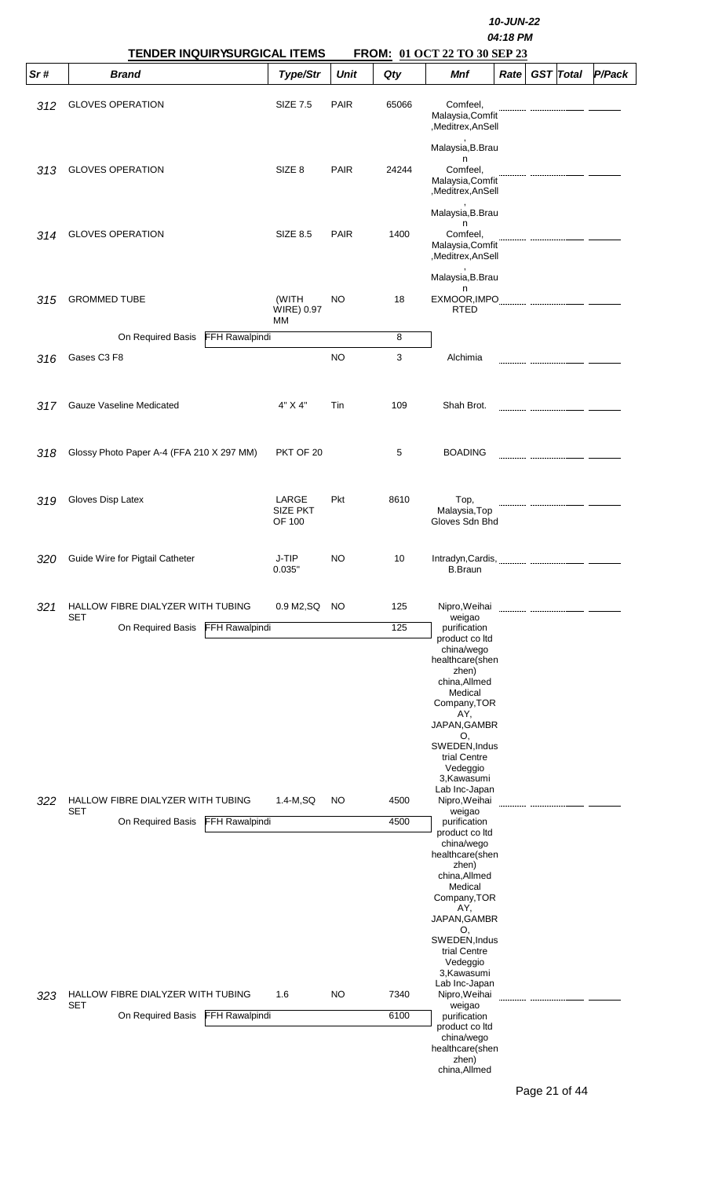|     | <b>TENDER INQUIRYSURGICAL ITEMS</b>                    |                                    |             |       | FROM: 01 OCT 22 TO 30 SEP 23                                                                                                                                                                                                   | 10-JUN-22<br>04:18 PM |                  |        |
|-----|--------------------------------------------------------|------------------------------------|-------------|-------|--------------------------------------------------------------------------------------------------------------------------------------------------------------------------------------------------------------------------------|-----------------------|------------------|--------|
| Sr# | <b>Brand</b>                                           | Type/Str                           | <b>Unit</b> | Qty   | Mnf                                                                                                                                                                                                                            | Rate                  | <b>GST</b> Total | P/Pack |
| 312 | <b>GLOVES OPERATION</b>                                | <b>SIZE 7.5</b>                    | <b>PAIR</b> | 65066 | Comfeel,<br>Malaysia, Comfit<br>,Meditrex,AnSell                                                                                                                                                                               |                       |                  |        |
| 313 | <b>GLOVES OPERATION</b>                                | SIZE <sub>8</sub>                  | <b>PAIR</b> | 24244 | Malaysia, B. Brau<br>n<br>Comfeel,<br>Malaysia, Comfit<br>,Meditrex,AnSell                                                                                                                                                     |                       |                  |        |
| 314 | <b>GLOVES OPERATION</b>                                | <b>SIZE 8.5</b>                    | <b>PAIR</b> | 1400  | Malaysia, B. Brau<br>n<br>Comfeel,<br>Malaysia, Comfit<br>,Meditrex,AnSell                                                                                                                                                     |                       |                  |        |
| 315 | <b>GROMMED TUBE</b>                                    | (WITH                              | NO          | 18    | Malaysia, B. Brau<br>n<br>EXMOOR, IMPO                                                                                                                                                                                         |                       |                  |        |
|     |                                                        | WIRE) 0.97<br>МM                   |             |       | <b>RTED</b>                                                                                                                                                                                                                    |                       |                  |        |
|     | On Required Basis                                      | FFH Rawalpindi                     |             | 8     |                                                                                                                                                                                                                                |                       |                  |        |
| 316 | Gases C3 F8                                            |                                    | <b>NO</b>   | 3     | Alchimia                                                                                                                                                                                                                       |                       |                  |        |
| 317 | Gauze Vaseline Medicated                               | 4" X 4"                            | Tin         | 109   | Shah Brot.                                                                                                                                                                                                                     |                       |                  |        |
| 318 | Glossy Photo Paper A-4 (FFA 210 X 297 MM)              | PKT OF 20                          |             | 5     | <b>BOADING</b>                                                                                                                                                                                                                 |                       |                  |        |
| 319 | Gloves Disp Latex                                      | LARGE<br><b>SIZE PKT</b><br>OF 100 | Pkt         | 8610  | Top,<br>Malaysia, Top<br>Gloves Sdn Bhd                                                                                                                                                                                        |                       |                  |        |
| 320 | Guide Wire for Pigtail Catheter                        | J-TIP<br>0.035"                    | NO          | 10    | Intradyn, Cardis, Martin Martin and Martin Martin and Martin and Martin and Martin and Martin and Martin and M<br><b>B.Braun</b>                                                                                               |                       |                  |        |
| 321 | HALLOW FIBRE DIALYZER WITH TUBING<br>SET               | 0.9 M2, SQ                         | NO          | 125   | Nipro, Weihai<br>weigao                                                                                                                                                                                                        |                       |                  |        |
|     | <b>FFH Rawalpindi</b><br>On Required Basis             |                                    |             | 125   | purification<br>product co ltd<br>china/wego<br>healthcare(shen<br>zhen)<br>china, Allmed<br>Medical<br>Company, TOR<br>AY,<br>JAPAN, GAMBR<br>O,<br>SWEDEN, Indus<br>trial Centre<br>Vedeggio<br>3, Kawasumi                  |                       |                  |        |
| 322 | HALLOW FIBRE DIALYZER WITH TUBING<br><b>SET</b>        | 1.4-M,SQ                           | NO          | 4500  | Lab Inc-Japan<br>Nipro, Weihai<br>weigao                                                                                                                                                                                       |                       |                  |        |
|     | On Required Basis                                      | FFH Rawalpindi                     |             | 4500  | purification<br>product co ltd<br>china/wego<br>healthcare(shen<br>zhen)<br>china, Allmed<br>Medical<br>Company, TOR<br>AY,<br>JAPAN, GAMBR<br>O,<br>SWEDEN, Indus<br>trial Centre<br>Vedeggio<br>3, Kawasumi<br>Lab Inc-Japan |                       |                  |        |
| 323 | <b>HALLOW FIBRE DIALYZER WITH TUBING</b><br><b>SET</b> | 1.6                                | NO          | 7340  | Nipro, Weihai<br>weigao                                                                                                                                                                                                        |                       |                  |        |
|     | On Required Basis                                      | FFH Rawalpindi                     |             | 6100  | purification<br>product co ltd<br>china/wego<br>healthcare(shen<br>zhen)<br>china, Allmed                                                                                                                                      |                       |                  |        |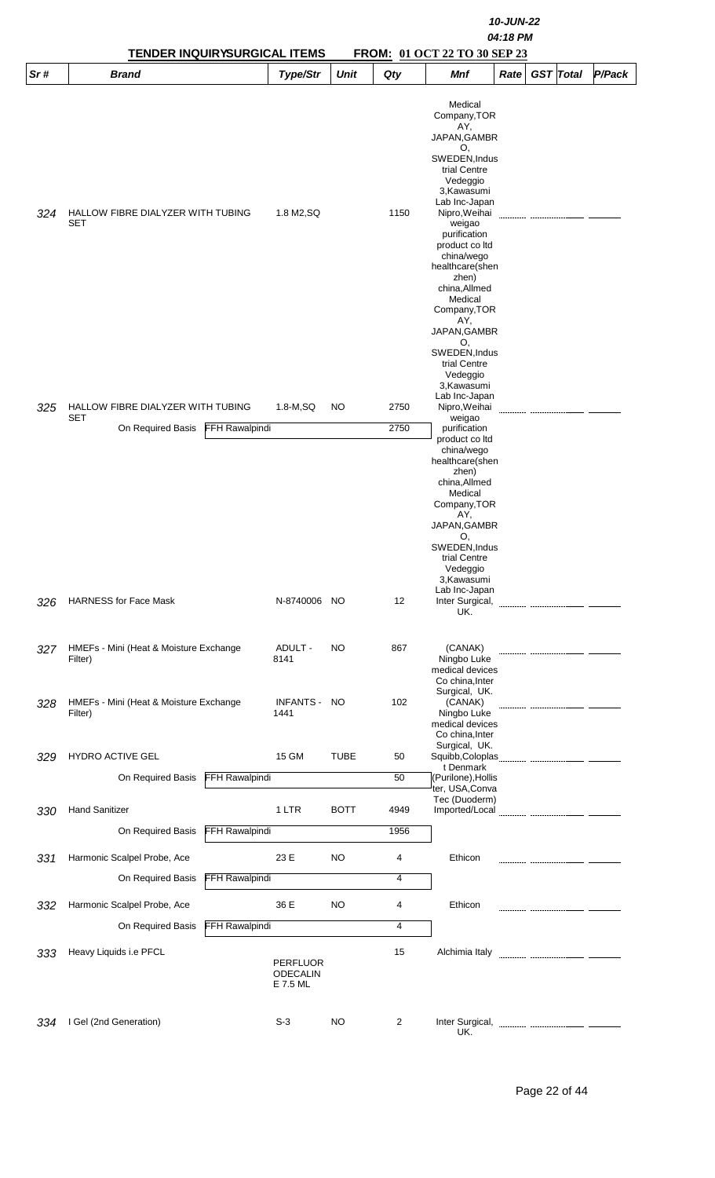| Sr# | <b>TENDER INQUIRYSURGICAL ITEMS</b><br><b>Brand</b> |                       | Type/Str                    | <b>Unit</b> | Qty  | <b>FROM: 01 OCT 22 TO 30 SEP 23</b><br><b>Mnf</b> | Rate | <b>GST</b> Total | P/Pack |
|-----|-----------------------------------------------------|-----------------------|-----------------------------|-------------|------|---------------------------------------------------|------|------------------|--------|
|     |                                                     |                       |                             |             |      |                                                   |      |                  |        |
|     |                                                     |                       |                             |             |      | Medical<br>Company, TOR                           |      |                  |        |
|     |                                                     |                       |                             |             |      | AY,                                               |      |                  |        |
|     |                                                     |                       |                             |             |      | JAPAN, GAMBR<br>O.                                |      |                  |        |
|     |                                                     |                       |                             |             |      | SWEDEN, Indus<br>trial Centre                     |      |                  |        |
|     |                                                     |                       |                             |             |      | Vedeggio                                          |      |                  |        |
|     |                                                     |                       |                             |             |      | 3, Kawasumi<br>Lab Inc-Japan                      |      |                  |        |
| 324 | HALLOW FIBRE DIALYZER WITH TUBING<br>SET            |                       | 1.8 M2, SQ                  |             | 1150 | Nipro, Weihai<br>weigao                           |      |                  |        |
|     |                                                     |                       |                             |             |      | purification                                      |      |                  |        |
|     |                                                     |                       |                             |             |      | product co Itd<br>china/wego                      |      |                  |        |
|     |                                                     |                       |                             |             |      | healthcare(shen                                   |      |                  |        |
|     |                                                     |                       |                             |             |      | zhen)<br>china, Allmed                            |      |                  |        |
|     |                                                     |                       |                             |             |      | Medical<br>Company, TOR                           |      |                  |        |
|     |                                                     |                       |                             |             |      | AY,                                               |      |                  |        |
|     |                                                     |                       |                             |             |      | JAPAN, GAMBR<br>O,                                |      |                  |        |
|     |                                                     |                       |                             |             |      | SWEDEN, Indus<br>trial Centre                     |      |                  |        |
|     |                                                     |                       |                             |             |      | Vedeggio                                          |      |                  |        |
|     |                                                     |                       |                             |             |      | 3, Kawasumi<br>Lab Inc-Japan                      |      |                  |        |
| 325 | HALLOW FIBRE DIALYZER WITH TUBING<br>SET            |                       | $1.8-M, SQ$                 | <b>NO</b>   | 2750 | Nipro, Weihai<br>weigao                           |      |                  |        |
|     | On Required Basis                                   | FFH Rawalpindi        |                             |             | 2750 | purification                                      |      |                  |        |
|     |                                                     |                       |                             |             |      | product co ltd<br>china/wego                      |      |                  |        |
|     |                                                     |                       |                             |             |      | healthcare(shen<br>zhen)                          |      |                  |        |
|     |                                                     |                       |                             |             |      | china, Allmed                                     |      |                  |        |
|     |                                                     |                       |                             |             |      | Medical<br>Company, TOR                           |      |                  |        |
|     |                                                     |                       |                             |             |      | AY,<br>JAPAN, GAMBR                               |      |                  |        |
|     |                                                     |                       |                             |             |      | O,                                                |      |                  |        |
|     |                                                     |                       |                             |             |      | SWEDEN, Indus<br>trial Centre                     |      |                  |        |
|     |                                                     |                       |                             |             |      | Vedeggio<br>3, Kawasumi                           |      |                  |        |
|     |                                                     |                       |                             |             |      | Lab Inc-Japan                                     |      |                  |        |
| 326 | <b>HARNESS for Face Mask</b>                        |                       | N-8740006 NO                |             | 12   | Inter Surgical,<br>UK.                            |      |                  |        |
|     |                                                     |                       |                             |             |      |                                                   |      |                  |        |
| 327 | HMEFs - Mini (Heat & Moisture Exchange<br>Filter)   |                       | ADULT -<br>8141             | NO          | 867  | (CANAK)<br>Ningbo Luke                            |      |                  |        |
|     |                                                     |                       |                             |             |      | medical devices                                   |      |                  |        |
|     |                                                     |                       |                             |             |      | Co china, Inter<br>Surgical, UK.                  |      |                  |        |
| 328 | HMEFs - Mini (Heat & Moisture Exchange<br>Filter)   |                       | <b>INFANTS -</b><br>1441    | NO          | 102  | (CANAK)                                           |      |                  |        |
|     |                                                     |                       |                             |             |      | Ningbo Luke<br>medical devices                    |      |                  |        |
|     |                                                     |                       |                             |             |      | Co china, Inter<br>Surgical, UK.                  |      |                  |        |
| 329 | HYDRO ACTIVE GEL                                    |                       | 15 GM                       | <b>TUBE</b> | 50   | t Denmark                                         |      |                  |        |
|     | On Required Basis                                   | FFH Rawalpindi        |                             |             | 50   | (Purilone), Hollis                                |      |                  |        |
|     |                                                     |                       |                             |             |      | ter, USA, Conva<br>Tec (Duoderm)                  |      |                  |        |
| 330 | <b>Hand Sanitizer</b>                               |                       | 1 LTR                       | <b>BOTT</b> | 4949 | Imported/Local                                    |      |                  |        |
|     | On Required Basis                                   | FFH Rawalpindi        |                             |             | 1956 |                                                   |      |                  |        |
| 331 | Harmonic Scalpel Probe, Ace                         |                       | 23 E                        | NO          | 4    | Ethicon                                           |      |                  |        |
|     | On Required Basis                                   | <b>FFH Rawalpindi</b> |                             |             | 4    |                                                   |      |                  |        |
| 332 | Harmonic Scalpel Probe, Ace                         |                       | 36 E                        | <b>NO</b>   | 4    | Ethicon                                           |      |                  |        |
|     | On Required Basis                                   | <b>FFH Rawalpindi</b> |                             |             | 4    |                                                   |      |                  |        |
|     |                                                     |                       |                             |             |      |                                                   |      |                  |        |
| 333 | Heavy Liquids i.e PFCL                              |                       | <b>PERFLUOR</b>             |             | 15   | Alchimia Italy                                    |      |                  |        |
|     |                                                     |                       | <b>ODECALIN</b><br>E 7.5 ML |             |      |                                                   |      |                  |        |
|     |                                                     |                       |                             |             |      |                                                   |      |                  |        |
| 334 | I Gel (2nd Generation)                              |                       | $S-3$                       | NO          | 2    | Inter Surgical,                                   |      |                  |        |
|     |                                                     |                       |                             |             |      | UK.                                               |      |                  |        |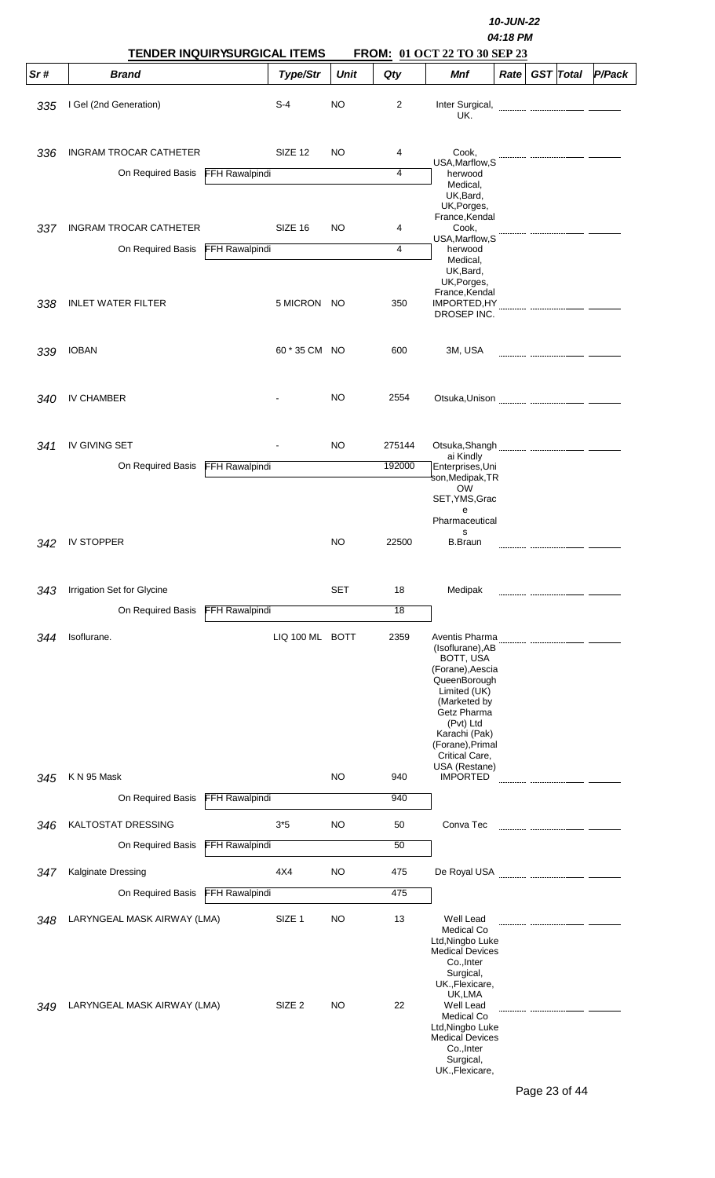|            | TENDER INQUIRYSURGICAL ITEMS                               |                       |                                        |                 | 10-JUN-22<br>04:18 PM<br>FROM: 01 OCT 22 TO 30 SEP 23 |                                                                                                                                                                                                                         |      |                  |        |  |  |
|------------|------------------------------------------------------------|-----------------------|----------------------------------------|-----------------|-------------------------------------------------------|-------------------------------------------------------------------------------------------------------------------------------------------------------------------------------------------------------------------------|------|------------------|--------|--|--|
| Sr#        | <b>Brand</b>                                               |                       | Type/Str                               | Unit            | Qty                                                   | Mnf                                                                                                                                                                                                                     | Rate | <b>GST</b> Total | P/Pack |  |  |
| 335        | I Gel (2nd Generation)                                     |                       | $S-4$                                  | <b>NO</b>       | 2                                                     | Inter Surgical,<br>UK.                                                                                                                                                                                                  |      |                  |        |  |  |
| 336        | <b>INGRAM TROCAR CATHETER</b>                              |                       | SIZE 12                                | NO              | 4                                                     | Cook.<br>USA, Marflow, S                                                                                                                                                                                                |      |                  |        |  |  |
|            | On Required Basis                                          | <b>FFH Rawalpindi</b> |                                        |                 | 4                                                     | herwood<br>Medical,<br>UK, Bard,<br>UK, Porges,                                                                                                                                                                         |      |                  |        |  |  |
| 337        | <b>INGRAM TROCAR CATHETER</b><br>On Required Basis         | FFH Rawalpindi        | SIZE 16                                | NO              | 4<br>4                                                | France, Kendal<br>Cook,<br>USA, Marflow, S                                                                                                                                                                              |      |                  |        |  |  |
| 338        | <b>INLET WATER FILTER</b>                                  |                       | 5 MICRON NO                            |                 | 350                                                   | herwood<br>Medical.<br>UK, Bard,<br>UK, Porges,<br>France, Kendal<br>IMPORTED, HY                                                                                                                                       |      |                  |        |  |  |
|            |                                                            |                       |                                        |                 |                                                       | DROSEP INC.                                                                                                                                                                                                             |      |                  |        |  |  |
| 339        | <b>IOBAN</b>                                               |                       | 60 * 35 CM NO                          |                 | 600                                                   | 3M, USA                                                                                                                                                                                                                 |      |                  |        |  |  |
| 340        | <b>IV CHAMBER</b>                                          |                       |                                        | <b>NO</b>       | 2554                                                  | Otsuka, Unison                                                                                                                                                                                                          |      |                  |        |  |  |
| 341        | IV GIVING SET                                              |                       |                                        | <b>NO</b>       | 275144                                                | Otsuka, Shangh<br>ai Kindly                                                                                                                                                                                             |      |                  |        |  |  |
|            | On Required Basis                                          | FFH Rawalpindi        |                                        |                 | 192000                                                | Enterprises, Uni<br>son,Medipak,TR<br><b>OW</b><br>SET, YMS, Grac<br>е<br>Pharmaceutical                                                                                                                                |      |                  |        |  |  |
| 342        | IV STOPPER                                                 |                       |                                        | <b>NO</b>       | 22500                                                 | S.<br><b>B.Braun</b>                                                                                                                                                                                                    |      |                  |        |  |  |
| 343        | Irrigation Set for Glycine                                 |                       |                                        | <b>SET</b>      | 18                                                    | Medipak                                                                                                                                                                                                                 |      |                  |        |  |  |
|            | On Required Basis                                          | <b>FFH Rawalpindi</b> |                                        |                 | 18                                                    |                                                                                                                                                                                                                         |      |                  |        |  |  |
| 344        | Isoflurane.                                                |                       | LIQ 100 ML BOTT                        |                 | 2359                                                  | Aventis Pharma<br>(Isoflurane), AB<br>BOTT, USA<br>(Forane), Aescia<br>QueenBorough<br>Limited (UK)<br>(Marketed by<br>Getz Pharma<br>(Pvt) Ltd<br>Karachi (Pak)<br>(Forane), Primal<br>Critical Care,<br>USA (Restane) |      |                  |        |  |  |
| 345        | K N 95 Mask                                                |                       |                                        | <b>NO</b>       | 940                                                   | <b>IMPORTED</b>                                                                                                                                                                                                         |      |                  |        |  |  |
|            | On Required Basis                                          | FFH Rawalpindi        |                                        |                 | 940                                                   |                                                                                                                                                                                                                         |      |                  |        |  |  |
| 346        | <b>KALTOSTAT DRESSING</b><br>On Required Basis             | FFH Rawalpindi        | $3*5$                                  | <b>NO</b>       | 50<br>50                                              | Conva Tec                                                                                                                                                                                                               |      |                  |        |  |  |
|            |                                                            |                       | 4X4                                    | <b>NO</b>       | 475                                                   |                                                                                                                                                                                                                         |      |                  |        |  |  |
| 347        | Kalginate Dressing<br>On Required Basis                    | FFH Rawalpindi        |                                        |                 | 475                                                   |                                                                                                                                                                                                                         |      |                  |        |  |  |
| 348<br>349 | LARYNGEAL MASK AIRWAY (LMA)<br>LARYNGEAL MASK AIRWAY (LMA) |                       | SIZE <sub>1</sub><br>SIZE <sub>2</sub> | <b>NO</b><br>NO | 13<br>22                                              | Well Lead<br><b>Medical Co</b><br>Ltd, Ningbo Luke<br><b>Medical Devices</b><br>Co., Inter<br>Surgical,<br>UK., Flexicare,<br>UK,LMA<br>Well Lead<br>Medical Co                                                         |      |                  |        |  |  |
|            |                                                            |                       |                                        |                 |                                                       | Ltd, Ningbo Luke<br><b>Medical Devices</b><br>Co., Inter<br>Surgical,<br>UK., Flexicare,                                                                                                                                |      |                  |        |  |  |

Page 23 of 44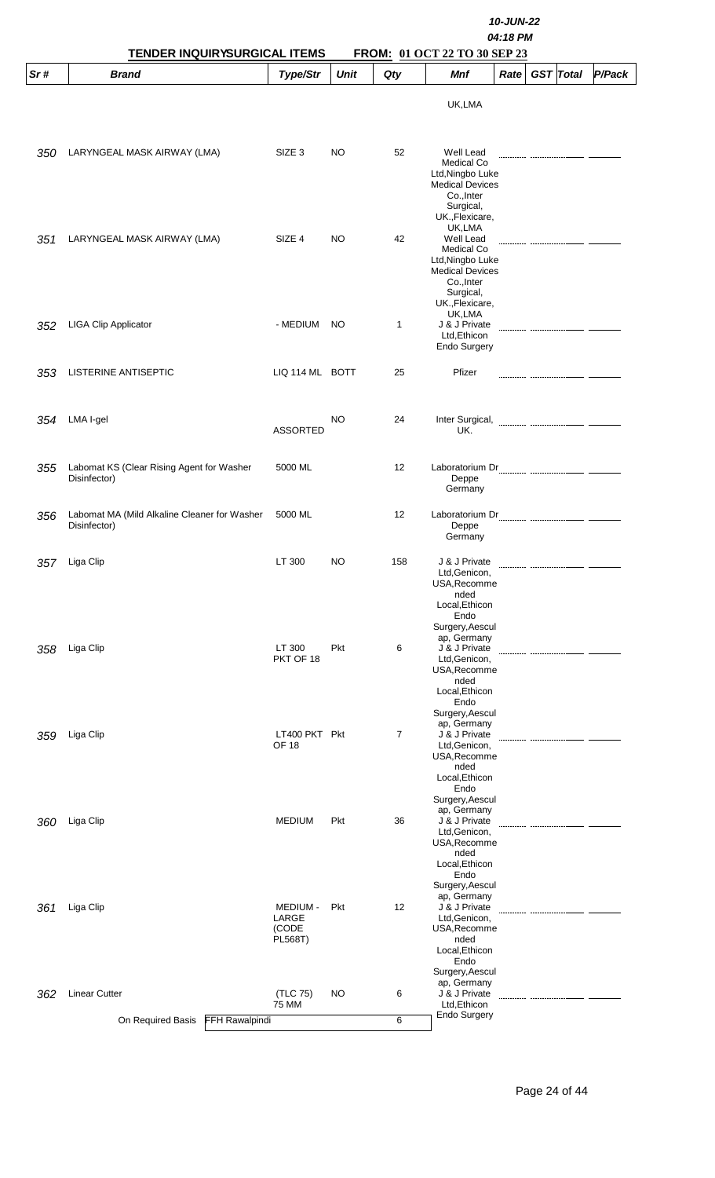|     | TENDER INQUIRYSURGICAL ITEMS                                 |                                              |             |                   | 10-JUN-22<br>04:18 PM<br>FROM: 01 OCT 22 TO 30 SEP 23                                                                                 |      |  |                  |               |  |
|-----|--------------------------------------------------------------|----------------------------------------------|-------------|-------------------|---------------------------------------------------------------------------------------------------------------------------------------|------|--|------------------|---------------|--|
| Sr# | <b>Brand</b>                                                 | Type/Str                                     | <b>Unit</b> | Qty               | Mnf                                                                                                                                   | Rate |  | <b>GST</b> Total | <b>P/Pack</b> |  |
|     |                                                              |                                              |             |                   | UK,LMA                                                                                                                                |      |  |                  |               |  |
| 350 | LARYNGEAL MASK AIRWAY (LMA)                                  | SIZE <sub>3</sub>                            | NO          | 52                | Well Lead<br>Medical Co<br>Ltd, Ningbo Luke<br><b>Medical Devices</b><br>Co., Inter<br>Surgical,                                      |      |  |                  |               |  |
| 351 | LARYNGEAL MASK AIRWAY (LMA)                                  | SIZE 4                                       | <b>NO</b>   | 42                | UK., Flexicare,<br>UK,LMA<br>Well Lead<br>Medical Co<br>Ltd, Ningbo Luke<br><b>Medical Devices</b><br>Co., Inter<br>Surgical,         |      |  |                  |               |  |
| 352 | <b>LIGA Clip Applicator</b>                                  | - MEDIUM                                     | NO.         | 1                 | UK., Flexicare,<br>UK,LMA<br>J & J Private<br>Ltd, Ethicon<br>Endo Surgery                                                            |      |  |                  |               |  |
| 353 | LISTERINE ANTISEPTIC                                         | LIQ 114 ML BOTT                              |             | 25                | Pfizer                                                                                                                                |      |  |                  |               |  |
| 354 | LMA I-gel                                                    | <b>ASSORTED</b>                              | NO          | 24                | Inter Surgical,<br>UK.                                                                                                                |      |  |                  |               |  |
| 355 | Labomat KS (Clear Rising Agent for Washer<br>Disinfector)    | 5000 ML                                      |             | 12                | Deppe<br>Germany                                                                                                                      |      |  |                  |               |  |
| 356 | Labomat MA (Mild Alkaline Cleaner for Washer<br>Disinfector) | 5000 ML                                      |             | 12                | Deppe<br>Germany                                                                                                                      |      |  |                  |               |  |
| 357 | Liga Clip                                                    | LT 300                                       | NO          | 158               | J & J Private<br>Ltd.Genicon.<br>USA, Recomme<br>nded<br>Local, Ethicon<br>Endo<br>Surgery, Aescul                                    |      |  |                  |               |  |
| 358 | Liga Clip                                                    | LT 300<br>PKT OF 18                          | Pkt         | 6                 | ap, Germany<br>J & J Private<br>Ltd, Genicon,<br>USA, Recomme<br>nded<br>Local, Ethicon<br>Endo<br>Surgery, Aescul                    |      |  |                  |               |  |
| 359 | Liga Clip                                                    | LT400 PKT Pkt<br><b>OF 18</b>                |             | $\overline{7}$    | ap, Germany<br>J & J Private<br>Ltd, Genicon,<br>USA, Recomme<br>nded<br>Local, Ethicon<br>Endo<br>Surgery, Aescul                    |      |  |                  |               |  |
| 360 | Liga Clip                                                    | <b>MEDIUM</b>                                | Pkt         | 36                | ap, Germany<br>J & J Private<br>Ltd, Genicon,<br>USA, Recomme<br>nded<br>Local, Ethicon<br>Endo                                       |      |  |                  |               |  |
| 361 | Liga Clip                                                    | <b>MEDIUM -</b><br>LARGE<br>(CODE<br>PL568T) | Pkt         | $12 \overline{ }$ | Surgery, Aescul<br>ap, Germany<br>J & J Private<br>Ltd, Genicon,<br>USA, Recomme<br>nded<br>Local, Ethicon<br>Endo<br>Surgery, Aescul |      |  |                  |               |  |
| 362 | <b>Linear Cutter</b>                                         | (TLC 75)<br>75 MM                            | NO          | 6                 | ap, Germany<br>J & J Private<br>Ltd, Ethicon<br><b>Endo Surgery</b>                                                                   |      |  |                  |               |  |
|     | On Required Basis<br>FFH Rawalpindi                          |                                              |             | 6                 |                                                                                                                                       |      |  |                  |               |  |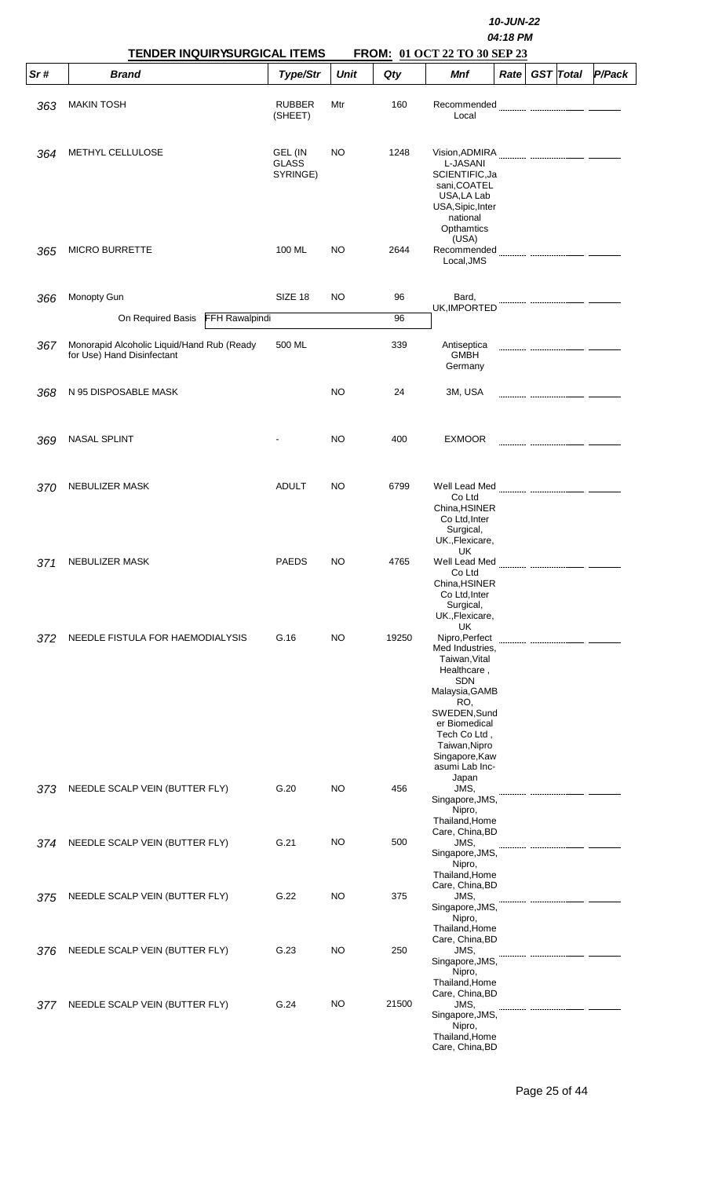|     | <b>TENDER INQUIRYSURGICAL ITEMS</b>                                      |                                     |             |       | 10-JUN-22<br>04:18 PM<br>FROM: 01 OCT 22 TO 30 SEP 23                                                                                                                                                                |
|-----|--------------------------------------------------------------------------|-------------------------------------|-------------|-------|----------------------------------------------------------------------------------------------------------------------------------------------------------------------------------------------------------------------|
| Sr# | <b>Brand</b>                                                             | Type/Str                            | <b>Unit</b> | Qty   | P/Pack<br><b>GST</b> Total<br>Mnf<br>Rate                                                                                                                                                                            |
| 363 | <b>MAKIN TOSH</b>                                                        | <b>RUBBER</b><br>(SHEET)            | Mtr         | 160   | Recommended<br>Local                                                                                                                                                                                                 |
| 364 | METHYL CELLULOSE                                                         | GEL (IN<br><b>GLASS</b><br>SYRINGE) | NO          | 1248  | L-JASANI<br>SCIENTIFIC, Ja<br>sani, COATEL<br>USA,LA Lab<br>USA, Sipic, Inter<br>national<br>Opthamtics                                                                                                              |
| 365 | <b>MICRO BURRETTE</b>                                                    | 100 ML                              | NO.         | 2644  | (USA)<br>Local, JMS                                                                                                                                                                                                  |
| 366 | Monopty Gun                                                              | SIZE 18                             | NO          | 96    | Bard,                                                                                                                                                                                                                |
|     | On Required Basis<br>FFH Rawalpindi                                      |                                     |             | 96    | UK, IMPORTED                                                                                                                                                                                                         |
| 367 | Monorapid Alcoholic Liquid/Hand Rub (Ready<br>for Use) Hand Disinfectant | 500 ML                              |             | 339   | Antiseptica<br><b>GMBH</b><br>Germany                                                                                                                                                                                |
| 368 | N 95 DISPOSABLE MASK                                                     |                                     | NO.         | 24    | 3M, USA                                                                                                                                                                                                              |
| 369 | <b>NASAL SPLINT</b>                                                      |                                     | NO.         | 400   | <b>EXMOOR</b>                                                                                                                                                                                                        |
| 370 | <b>NEBULIZER MASK</b>                                                    | <b>ADULT</b>                        | NO.         | 6799  | Co Ltd<br>China, HSINER<br>Co Ltd, Inter<br>Surgical,                                                                                                                                                                |
| 371 | NEBULIZER MASK                                                           | <b>PAEDS</b>                        | NO.         | 4765  | UK., Flexicare,<br>UK<br>Well Lead Med<br>Co Ltd<br>China, HSINER<br>Co Ltd, Inter<br>Surgical,<br>UK., Flexicare,                                                                                                   |
| 372 | NEEDLE FISTULA FOR HAEMODIALYSIS                                         | G.16                                | NO.         | 19250 | UK<br>Nipro, Perfect<br>Med Industries,<br>Taiwan, Vital<br>Healthcare,<br><b>SDN</b><br>Malaysia, GAMB<br>RO,<br>SWEDEN, Sund<br>er Biomedical<br>Tech Co Ltd,<br>Taiwan, Nipro<br>Singapore, Kaw<br>asumi Lab Inc- |
| 373 | NEEDLE SCALP VEIN (BUTTER FLY)                                           | G.20                                | NO          | 456   | Japan<br>JMS,<br>Singapore, JMS,<br>Nipro,<br>Thailand, Home                                                                                                                                                         |
| 374 | NEEDLE SCALP VEIN (BUTTER FLY)                                           | G.21                                | NO.         | 500   | Care, China, BD<br>JMS,<br>Singapore, JMS,<br>Nipro,<br>Thailand, Home                                                                                                                                               |
| 375 | NEEDLE SCALP VEIN (BUTTER FLY)                                           | G.22                                | NO.         | 375   | Care, China, BD<br>JMS,<br>Singapore, JMS,<br>Nipro,<br>Thailand, Home                                                                                                                                               |
| 376 | NEEDLE SCALP VEIN (BUTTER FLY)                                           | G.23                                | NO          | 250   | Care, China, BD<br>JMS,<br>Singapore, JMS,<br>Nipro,<br>Thailand.Home                                                                                                                                                |
| 377 | NEEDLE SCALP VEIN (BUTTER FLY)                                           | G.24                                | NO          | 21500 | Care, China, BD<br>JMS,<br>Singapore, JMS,<br>Nipro,<br>Thailand, Home<br>Care, China, BD                                                                                                                            |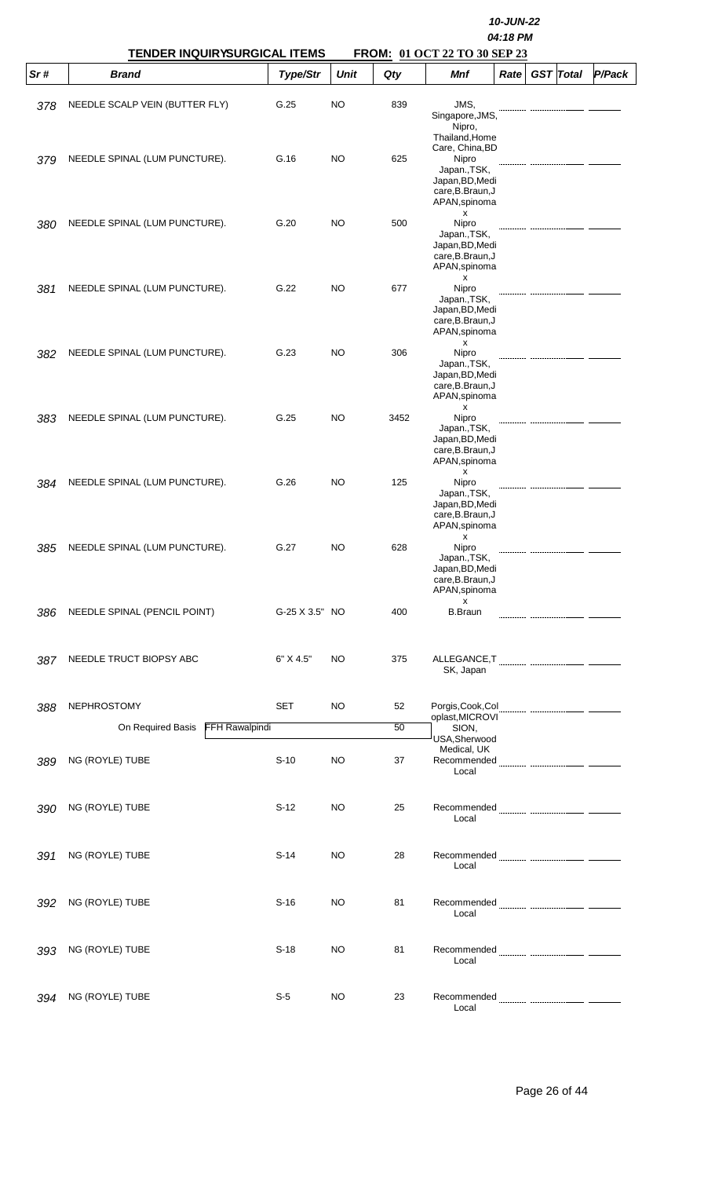|     | <b>TENDER INQUIRYSURGICAL ITEMS</b> |                | 10-JUN-22<br>04:18 PM<br>FROM: 01 OCT 22 TO 30 SEP 23 |      |                                                                                                   |      |  |                  |        |  |  |  |
|-----|-------------------------------------|----------------|-------------------------------------------------------|------|---------------------------------------------------------------------------------------------------|------|--|------------------|--------|--|--|--|
| Sr# | <b>Brand</b>                        | Type/Str       | <b>Unit</b>                                           | Qty  | <b>Mnf</b>                                                                                        | Rate |  | <b>GST</b> Total | P/Pack |  |  |  |
| 378 | NEEDLE SCALP VEIN (BUTTER FLY)      | G.25           | NO                                                    | 839  | JMS,<br>Singapore, JMS,<br>Nipro,<br>Thailand, Home                                               |      |  |                  |        |  |  |  |
| 379 | NEEDLE SPINAL (LUM PUNCTURE).       | G.16           | NO                                                    | 625  | Care, China, BD<br>Nipro<br>Japan., TSK,<br>Japan, BD, Medi<br>care, B. Braun, J<br>APAN, spinoma |      |  |                  |        |  |  |  |
| 380 | NEEDLE SPINAL (LUM PUNCTURE).       | G.20           | NO                                                    | 500  | х<br>Nipro<br>Japan., TSK,<br>Japan, BD, Medi<br>care, B. Braun, J<br>APAN, spinoma<br>x          |      |  |                  |        |  |  |  |
| 381 | NEEDLE SPINAL (LUM PUNCTURE).       | G.22           | NO                                                    | 677  | Nipro<br>Japan., TSK,<br>Japan, BD, Medi<br>care, B. Braun, J<br>APAN, spinoma<br>x               |      |  |                  |        |  |  |  |
| 382 | NEEDLE SPINAL (LUM PUNCTURE).       | G.23           | NO                                                    | 306  | Nipro<br>Japan., TSK,<br>Japan, BD, Medi<br>care, B. Braun, J<br>APAN, spinoma<br>x               |      |  |                  |        |  |  |  |
| 383 | NEEDLE SPINAL (LUM PUNCTURE).       | G.25           | NO                                                    | 3452 | Nipro<br>Japan., TSK,<br>Japan, BD, Medi<br>care, B. Braun, J<br>APAN, spinoma<br>x               |      |  |                  |        |  |  |  |
| 384 | NEEDLE SPINAL (LUM PUNCTURE).       | G.26           | NO                                                    | 125  | Nipro<br>Japan., TSK,<br>Japan, BD, Medi<br>care, B. Braun, J<br>APAN, spinoma<br>х               |      |  |                  |        |  |  |  |
| 385 | NEEDLE SPINAL (LUM PUNCTURE).       | G.27           | <b>NO</b>                                             | 628  | Nipro<br>Japan., TSK,<br>Japan, BD, Medi<br>care, B. Braun, J<br>APAN, spinoma                    |      |  |                  |        |  |  |  |
| 386 | NEEDLE SPINAL (PENCIL POINT)        | G-25 X 3.5" NO |                                                       | 400  | x<br><b>B.Braun</b>                                                                               |      |  |                  |        |  |  |  |
| 387 | NEEDLE TRUCT BIOPSY ABC             | 6" X 4.5"      | NO                                                    | 375  | SK, Japan                                                                                         |      |  |                  |        |  |  |  |
| 388 | <b>NEPHROSTOMY</b>                  | <b>SET</b>     | <b>NO</b>                                             | 52   | Porgis, Cook, Col                                                                                 |      |  |                  |        |  |  |  |
|     | On Required Basis                   | FFH Rawalpindi |                                                       | 50   | oplast, MICROVI<br>SION,                                                                          |      |  |                  |        |  |  |  |
| 389 | NG (ROYLE) TUBE                     | $S-10$         | <b>NO</b>                                             | 37   | USA, Sherwood<br>Medical, UK<br>Recommended<br>Local                                              |      |  |                  |        |  |  |  |
| 390 | NG (ROYLE) TUBE                     | $S-12$         | NO                                                    | 25   | Local                                                                                             |      |  |                  |        |  |  |  |
| 391 | NG (ROYLE) TUBE                     | $S-14$         | NO                                                    | 28   | Local                                                                                             |      |  |                  |        |  |  |  |
| 392 | NG (ROYLE) TUBE                     | $S-16$         | NO                                                    | 81   | Local                                                                                             |      |  |                  |        |  |  |  |
| 393 | NG (ROYLE) TUBE                     | $S-18$         | NO                                                    | 81   | Local                                                                                             |      |  |                  |        |  |  |  |
| 394 | NG (ROYLE) TUBE                     | $S-5$          | <b>NO</b>                                             | 23   | Local                                                                                             |      |  |                  |        |  |  |  |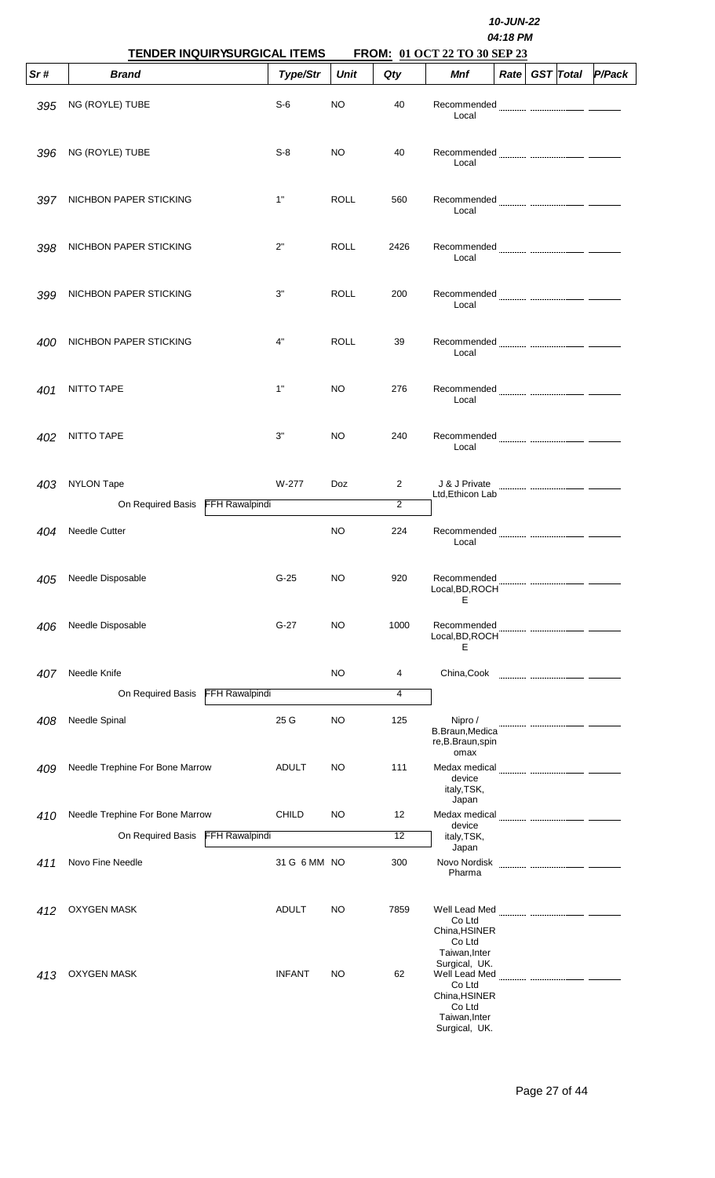|     | 10-JUN-22<br>04:18 PM<br>TENDER INQUIRYSURGICAL ITEMS<br>FROM: 01 OCT 22 TO 30 SEP 23 |               |             |                     |                                                                                                       |                   |  |                  |        |  |  |
|-----|---------------------------------------------------------------------------------------|---------------|-------------|---------------------|-------------------------------------------------------------------------------------------------------|-------------------|--|------------------|--------|--|--|
| Sr# | <b>Brand</b>                                                                          | Type/Str      | <b>Unit</b> | Qty                 | Mnf                                                                                                   | Rate <sub>1</sub> |  | <b>GST</b> Total | P/Pack |  |  |
| 395 | NG (ROYLE) TUBE                                                                       | $S-6$         | NO          | 40                  | Recommended<br>Local                                                                                  |                   |  |                  |        |  |  |
| 396 | NG (ROYLE) TUBE                                                                       | $S-8$         | NO          | 40                  | Recommended <b>Manual Community</b> manual community<br>Local                                         |                   |  |                  |        |  |  |
| 397 | NICHBON PAPER STICKING                                                                | 1"            | ROLL        | 560                 | Local                                                                                                 |                   |  |                  |        |  |  |
| 398 | NICHBON PAPER STICKING                                                                | 2"            | ROLL        | 2426                | Local                                                                                                 |                   |  |                  |        |  |  |
| 399 | NICHBON PAPER STICKING                                                                | 3"            | <b>ROLL</b> | 200                 | Recommended<br>Local                                                                                  |                   |  |                  |        |  |  |
| 400 | NICHBON PAPER STICKING                                                                | 4"            | <b>ROLL</b> | 39                  | Local                                                                                                 |                   |  |                  |        |  |  |
| 401 | NITTO TAPE                                                                            | 1"            | NO.         | 276                 | Local                                                                                                 |                   |  |                  |        |  |  |
| 402 | NITTO TAPE                                                                            | 3"            | <b>NO</b>   | 240                 | Local                                                                                                 |                   |  |                  |        |  |  |
| 403 | <b>NYLON Tape</b><br><b>FFH Rawalpindi</b><br>On Required Basis                       | W-277         | <b>Doz</b>  | $\overline{2}$<br>2 | J & J Private<br>Ltd, Ethicon Lab                                                                     |                   |  |                  |        |  |  |
| 404 | <b>Needle Cutter</b>                                                                  |               | <b>NO</b>   | 224                 | Recommended<br>Local                                                                                  |                   |  |                  |        |  |  |
| 405 | Needle Disposable                                                                     | $G-25$        | NO          | 920                 | Recommended<br>Local, BD, ROCH<br>Е                                                                   |                   |  |                  |        |  |  |
| 406 | Needle Disposable                                                                     | $G-27$        | <b>NO</b>   | 1000                | Recommended<br>Local, BD, ROCH<br>Е                                                                   |                   |  |                  |        |  |  |
| 407 | Needle Knife                                                                          |               | NO          | 4                   | China, Cook                                                                                           |                   |  |                  |        |  |  |
|     | On Required Basis<br>FFH Rawalpindi                                                   |               |             | 4                   |                                                                                                       |                   |  |                  |        |  |  |
| 408 | Needle Spinal                                                                         | 25 G          | NO          | 125                 | Nipro /<br><b>B.Braun, Medica</b><br>re, B. Braun, spin<br>omax                                       |                   |  |                  |        |  |  |
| 409 | Needle Trephine For Bone Marrow                                                       | <b>ADULT</b>  | NO          | 111                 | device<br>italy, TSK,<br>Japan                                                                        |                   |  |                  |        |  |  |
| 410 | Needle Trephine For Bone Marrow                                                       | <b>CHILD</b>  | NO          | 12                  | Medax medical                                                                                         |                   |  |                  |        |  |  |
|     | On Required Basis<br>FFH Rawalpindi                                                   |               |             | 12                  | device<br>italy, TSK,                                                                                 |                   |  |                  |        |  |  |
| 411 | Novo Fine Needle                                                                      | 31 G 6 MM NO  |             | 300                 | Japan<br>Novo Nordisk<br>Pharma                                                                       |                   |  |                  |        |  |  |
| 412 | <b>OXYGEN MASK</b>                                                                    | ADULT         | NO          | 7859                | Co Ltd<br>China, HSINER<br>Co Ltd<br>Taiwan, Inter                                                    |                   |  |                  |        |  |  |
| 413 | <b>OXYGEN MASK</b>                                                                    | <b>INFANT</b> | NO          | 62                  | Surgical, UK.<br>Well Lead Med<br>Co Ltd<br>China, HSINER<br>Co Ltd<br>Taiwan, Inter<br>Surgical, UK. |                   |  |                  |        |  |  |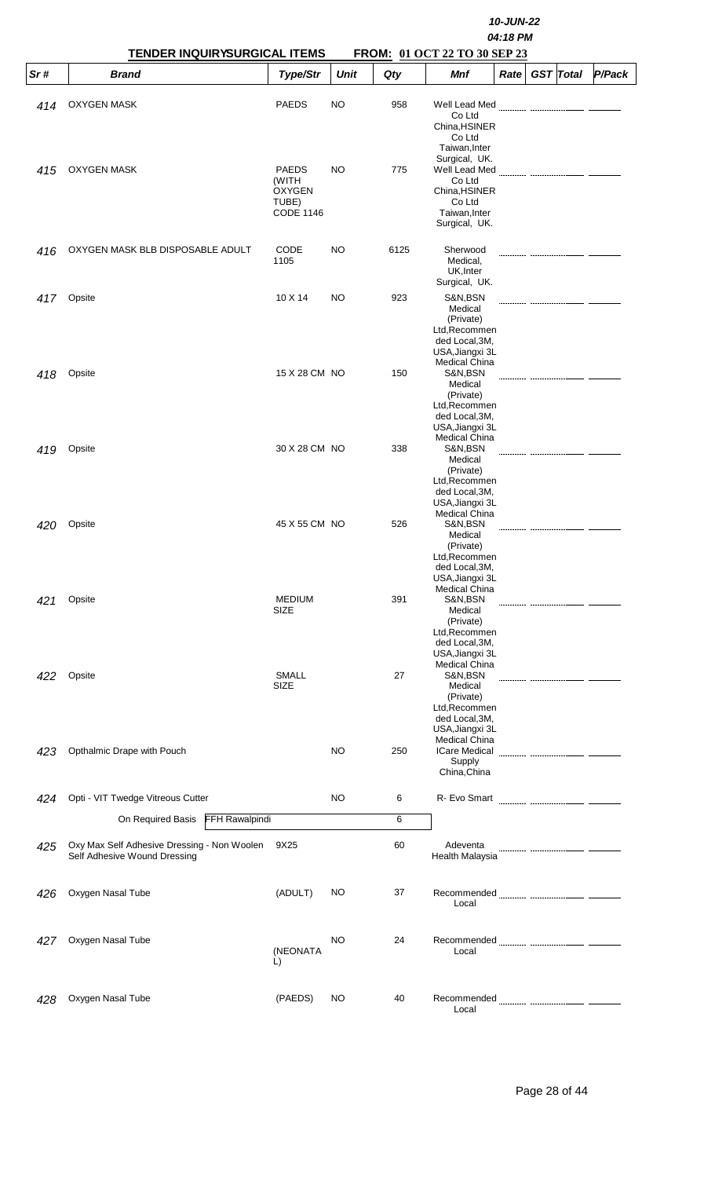|     | <b>TENDER INQUIRYSURGICAL ITEMS</b>                                         | 10-JUN-22<br>04:18 PM<br>FROM: 01 OCT 22 TO 30 SEP 23               |             |      |                                                                                                               |      |  |                  |        |  |
|-----|-----------------------------------------------------------------------------|---------------------------------------------------------------------|-------------|------|---------------------------------------------------------------------------------------------------------------|------|--|------------------|--------|--|
| Sr# | <b>Brand</b>                                                                | Type/Str                                                            | <b>Unit</b> | Qty  | Mnf                                                                                                           | Rate |  | <b>GST</b> Total | P/Pack |  |
| 414 | <b>OXYGEN MASK</b>                                                          | <b>PAEDS</b>                                                        | NO          | 958  | Well Lead Med<br>Co Ltd<br>China, HSINER<br>Co Ltd<br>Taiwan, Inter                                           |      |  |                  |        |  |
| 415 | <b>OXYGEN MASK</b>                                                          | <b>PAEDS</b><br>(WITH<br><b>OXYGEN</b><br>TUBE)<br><b>CODE 1146</b> | NO          | 775  | Surgical, UK.<br>Well Lead Med<br>Co Ltd<br>China, HSINER<br>Co Ltd<br>Taiwan, Inter<br>Surgical, UK.         |      |  |                  |        |  |
| 416 | OXYGEN MASK BLB DISPOSABLE ADULT                                            | CODE<br>1105                                                        | NO          | 6125 | Sherwood<br>Medical,<br>UK, Inter<br>Surgical, UK.                                                            |      |  |                  |        |  |
| 417 | Opsite                                                                      | 10 X 14                                                             | NO          | 923  | S&N,BSN<br>Medical<br>(Private)<br>Ltd, Recommen<br>ded Local, 3M,<br>USA, Jiangxi 3L<br><b>Medical China</b> |      |  |                  |        |  |
| 418 | Opsite                                                                      | 15 X 28 CM NO                                                       |             | 150  | S&N,BSN<br>Medical<br>(Private)<br>Ltd, Recommen<br>ded Local, 3M,<br>USA, Jiangxi 3L<br><b>Medical China</b> |      |  |                  |        |  |
| 419 | Opsite                                                                      | 30 X 28 CM NO                                                       |             | 338  | S&N,BSN<br>Medical<br>(Private)<br>Ltd, Recommen<br>ded Local, 3M,<br>USA, Jiangxi 3L<br><b>Medical China</b> |      |  |                  |        |  |
| 420 | Opsite                                                                      | 45 X 55 CM NO                                                       |             | 526  | S&N,BSN<br>Medical<br>(Private)<br>Ltd, Recommen<br>ded Local, 3M,<br>USA, Jiangxi 3L<br><b>Medical China</b> |      |  |                  |        |  |
| 421 | Opsite                                                                      | <b>MEDIUM</b><br>SIZE                                               |             | 391  | S&N,BSN<br>Medical<br>(Private)<br>Ltd, Recommen<br>ded Local, 3M,<br>USA, Jiangxi 3L<br><b>Medical China</b> |      |  |                  |        |  |
| 422 | Opsite                                                                      | <b>SMALL</b><br>SIZE                                                |             | 27   | S&N,BSN<br>Medical<br>(Private)<br>Ltd, Recommen<br>ded Local, 3M,<br>USA, Jiangxi 3L<br>Medical China        |      |  |                  |        |  |
| 423 | Opthalmic Drape with Pouch                                                  |                                                                     | NO          | 250  | <b>ICare Medical</b><br>Supply<br>China, China                                                                |      |  |                  |        |  |
| 424 | Opti - VIT Twedge Vitreous Cutter                                           |                                                                     | NO          | 6    | R- Evo Smart                                                                                                  |      |  |                  |        |  |
|     | <b>FFH Rawalpindi</b><br>On Required Basis                                  |                                                                     |             | 6    |                                                                                                               |      |  |                  |        |  |
| 425 | Oxy Max Self Adhesive Dressing - Non Woolen<br>Self Adhesive Wound Dressing | 9X25                                                                |             | 60   | Adeventa<br>Health Malaysia                                                                                   |      |  |                  |        |  |
| 426 | Oxygen Nasal Tube                                                           | (ADULT)                                                             | NO          | 37   | Local                                                                                                         |      |  |                  |        |  |
| 427 | Oxygen Nasal Tube                                                           | (NEONATA<br>L)                                                      | NO          | 24   | Local                                                                                                         |      |  |                  |        |  |
| 428 | Oxygen Nasal Tube                                                           | (PAEDS)                                                             | NO          | 40   | Recommended<br>Local                                                                                          |      |  |                  |        |  |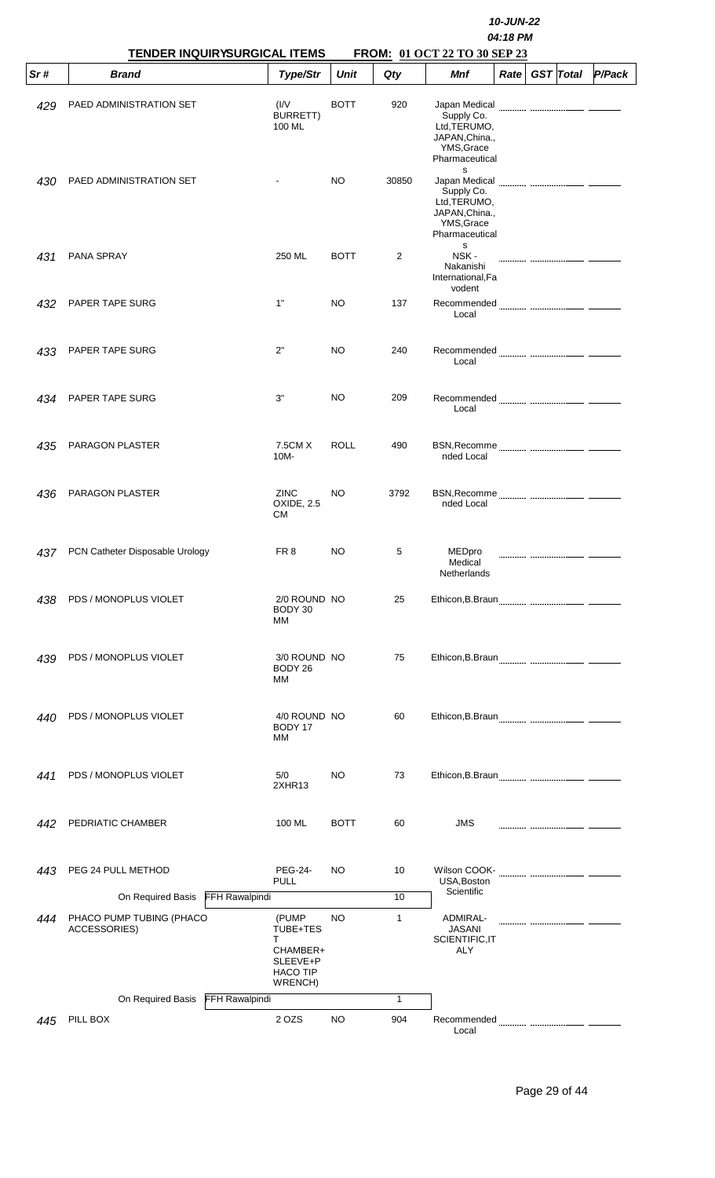|     | <b>TENDER INQUIRYSURGICAL ITEMS</b>      |                                                                                |             |              | FROM: 01 OCT 22 TO 30 SEP 23                                                                            |      |                  |        |
|-----|------------------------------------------|--------------------------------------------------------------------------------|-------------|--------------|---------------------------------------------------------------------------------------------------------|------|------------------|--------|
| Sr# | <b>Brand</b>                             | Type/Str                                                                       | <b>Unit</b> | Qty          | <b>Mnf</b>                                                                                              | Rate | <b>GST</b> Total | P/Pack |
| 429 | PAED ADMINISTRATION SET                  | (IV)<br><b>BURRETT)</b><br>100 ML                                              | <b>BOTT</b> | 920          | Japan Medical<br>Supply Co.<br>Ltd, TERUMO,<br>JAPAN, China.,<br>YMS, Grace<br>Pharmaceutical           |      |                  |        |
| 430 | PAED ADMINISTRATION SET                  |                                                                                | NO.         | 30850        | s<br>Japan Medical<br>Supply Co.<br>Ltd, TERUMO,<br>JAPAN, China.,<br>YMS, Grace<br>Pharmaceutical<br>s |      |                  |        |
| 431 | PANA SPRAY                               | 250 ML                                                                         | <b>BOTT</b> | 2            | NSK-<br>Nakanishi<br>International, Fa<br>vodent                                                        |      |                  |        |
| 432 | PAPER TAPE SURG                          | 1"                                                                             | NO.         | 137          | Local                                                                                                   |      |                  |        |
| 433 | PAPER TAPE SURG                          | 2"                                                                             | NO.         | 240          | Local                                                                                                   |      |                  |        |
| 434 | PAPER TAPE SURG                          | 3"                                                                             | NO.         | 209          | Local                                                                                                   |      |                  |        |
| 435 | PARAGON PLASTER                          | 7.5CM X<br>10M-                                                                | <b>ROLL</b> | 490          | nded Local                                                                                              |      |                  |        |
| 436 | PARAGON PLASTER                          | ZINC<br>OXIDE, 2.5<br>СM                                                       | NO.         | 3792         | nded Local                                                                                              |      |                  |        |
| 437 | PCN Catheter Disposable Urology          | FR <sub>8</sub>                                                                | NO          | 5            | MEDpro<br>Medical<br>Netherlands                                                                        |      |                  |        |
| 438 | PDS / MONOPLUS VIOLET                    | 2/0 ROUND NO<br>BODY 30<br>MМ                                                  |             | 25           |                                                                                                         |      |                  |        |
| 439 | PDS / MONOPLUS VIOLET                    | 3/0 ROUND NO<br>BODY 26<br>МM                                                  |             | 75           |                                                                                                         |      |                  |        |
| 440 | PDS / MONOPLUS VIOLET                    | 4/0 ROUND NO<br>BODY 17<br>MМ                                                  |             | 60           |                                                                                                         |      |                  |        |
| 441 | PDS / MONOPLUS VIOLET                    | 5/0<br>2XHR13                                                                  | NO.         | 73           |                                                                                                         |      |                  |        |
| 442 | PEDRIATIC CHAMBER                        | 100 ML                                                                         | <b>BOTT</b> | 60           | <b>JMS</b>                                                                                              |      |                  |        |
| 443 | PEG 24 PULL METHOD                       | <b>PEG-24-</b><br><b>PULL</b>                                                  | NO.         | 10           | USA, Boston<br>Scientific                                                                               |      |                  |        |
|     | FFH Rawalpindi<br>On Required Basis      |                                                                                |             | 10           |                                                                                                         |      |                  |        |
| 444 | PHACO PUMP TUBING (PHACO<br>ACCESSORIES) | (PUMP)<br>TUBE+TES<br>T.<br>CHAMBER+<br>SLEEVE+P<br><b>HACO TIP</b><br>WRENCH) | NO.         | $\mathbf{1}$ | ADMIRAL-<br><b>JASANI</b><br>SCIENTIFIC, IT<br>ALY                                                      |      |                  |        |
|     | On Required Basis FFH Rawalpindi         |                                                                                |             | $\mathbf{1}$ |                                                                                                         |      |                  |        |
| 445 | PILL BOX                                 | 2 OZS                                                                          | NO.         | 904          | Local                                                                                                   |      |                  |        |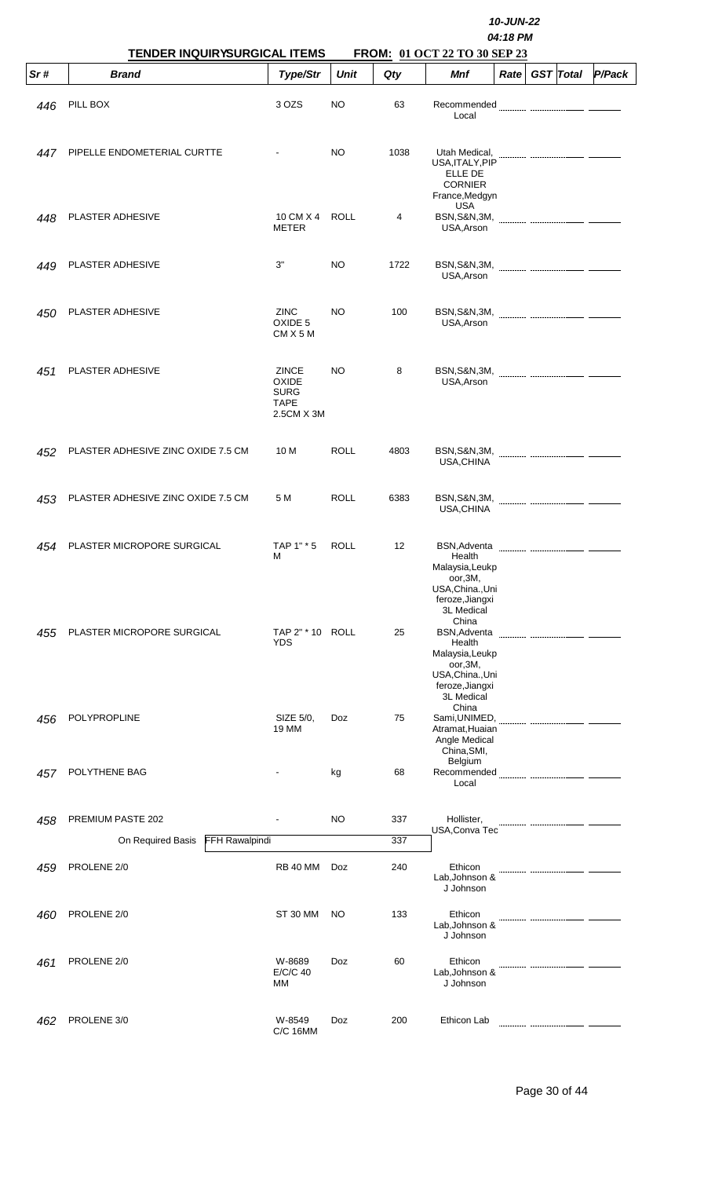|     | TENDER INQUIRYSURGICAL ITEMS        |                                                                          |             |      | 10-JUN-22<br>04:18 PM<br>FROM: 01 OCT 22 TO 30 SEP 23                                                                     |             |  |                  |        |  |  |
|-----|-------------------------------------|--------------------------------------------------------------------------|-------------|------|---------------------------------------------------------------------------------------------------------------------------|-------------|--|------------------|--------|--|--|
| Sr# | <b>Brand</b>                        | Type/Str                                                                 | <b>Unit</b> | Qty  | Mnf                                                                                                                       | <b>Rate</b> |  | <b>GST</b> Total | P/Pack |  |  |
| 446 | PILL BOX                            | 3 OZS                                                                    | NO          | 63   | Recommended<br>Local                                                                                                      |             |  |                  |        |  |  |
| 447 | PIPELLE ENDOMETERIAL CURTTE         |                                                                          | NO.         | 1038 | Utah Medical,<br>USA, ITALY, PIP<br><b>ELLE DE</b><br><b>CORNIER</b><br>France, Medgyn<br><b>USA</b>                      |             |  |                  |        |  |  |
| 448 | PLASTER ADHESIVE                    | 10 CM X 4<br><b>METER</b>                                                | <b>ROLL</b> | 4    | <b>BSN, S&amp;N, 3M,</b><br>USA, Arson                                                                                    |             |  |                  |        |  |  |
| 449 | PLASTER ADHESIVE                    | 3"                                                                       | <b>NO</b>   | 1722 | USA, Arson                                                                                                                |             |  |                  |        |  |  |
| 450 | PLASTER ADHESIVE                    | <b>ZINC</b><br>OXIDE 5<br>$CMX$ 5 M                                      | NO.         | 100  | <b>BSN, S&amp;N, 3M,</b><br>USA, Arson                                                                                    |             |  |                  |        |  |  |
| 451 | PLASTER ADHESIVE                    | <b>ZINCE</b><br><b>OXIDE</b><br><b>SURG</b><br><b>TAPE</b><br>2.5CM X 3M | NO.         | 8    | USA, Arson                                                                                                                |             |  |                  |        |  |  |
| 452 | PLASTER ADHESIVE ZINC OXIDE 7.5 CM  | 10 M                                                                     | ROLL        | 4803 | USA, CHINA                                                                                                                |             |  |                  |        |  |  |
| 453 | PLASTER ADHESIVE ZINC OXIDE 7.5 CM  | 5 M                                                                      | <b>ROLL</b> | 6383 | <b>BSN, S&amp;N, 3M,</b><br>USA, CHINA                                                                                    |             |  |                  |        |  |  |
| 454 | PLASTER MICROPORE SURGICAL          | TAP 1" * 5<br>М                                                          | <b>ROLL</b> | 12   | <b>BSN, Adventa</b><br>Health<br>Malaysia, Leukp<br>oor,3M,<br>USA, China., Uni<br>feroze, Jiangxi<br>3L Medical          |             |  |                  |        |  |  |
| 455 | PLASTER MICROPORE SURGICAL          | TAP 2" * 10 ROLL<br><b>YDS</b>                                           |             | 25   | China<br><b>BSN, Adventa</b><br>Health<br>Malaysia, Leukp<br>oor,3M,<br>USA, China., Uni<br>feroze, Jiangxi<br>3L Medical |             |  |                  |        |  |  |
| 456 | POLYPROPLINE                        | SIZE 5/0,<br>19 MM                                                       | Doz         | 75   | China<br>Sami, UNIMED,<br>Atramat, Huaian<br>Angle Medical<br>China, SMI,                                                 |             |  |                  |        |  |  |
| 457 | POLYTHENE BAG                       |                                                                          | kg          | 68   | Belgium<br>Local                                                                                                          |             |  |                  |        |  |  |
| 458 | PREMIUM PASTE 202                   |                                                                          | NO          | 337  | Hollister,                                                                                                                |             |  |                  |        |  |  |
|     | On Required Basis<br>FFH Rawalpindi |                                                                          |             | 337  | USA, Conva Tec                                                                                                            |             |  |                  |        |  |  |
| 459 | PROLENE 2/0                         | <b>RB 40 MM</b>                                                          | <b>Doz</b>  | 240  | Ethicon<br>Lab, Johnson &<br>J Johnson                                                                                    |             |  |                  |        |  |  |
| 460 | PROLENE 2/0                         | ST 30 MM                                                                 | NO.         | 133  | Ethicon<br>Lab, Johnson &<br>J Johnson                                                                                    |             |  |                  |        |  |  |
| 461 | PROLENE 2/0                         | W-8689<br>E/C/C 40<br>MM                                                 | Doz         | 60   | Ethicon<br>Lab, Johnson &<br>J Johnson                                                                                    |             |  |                  |        |  |  |
| 462 | PROLENE 3/0                         | W-8549<br><b>C/C 16MM</b>                                                | Doz         | 200  | Ethicon Lab                                                                                                               |             |  |                  |        |  |  |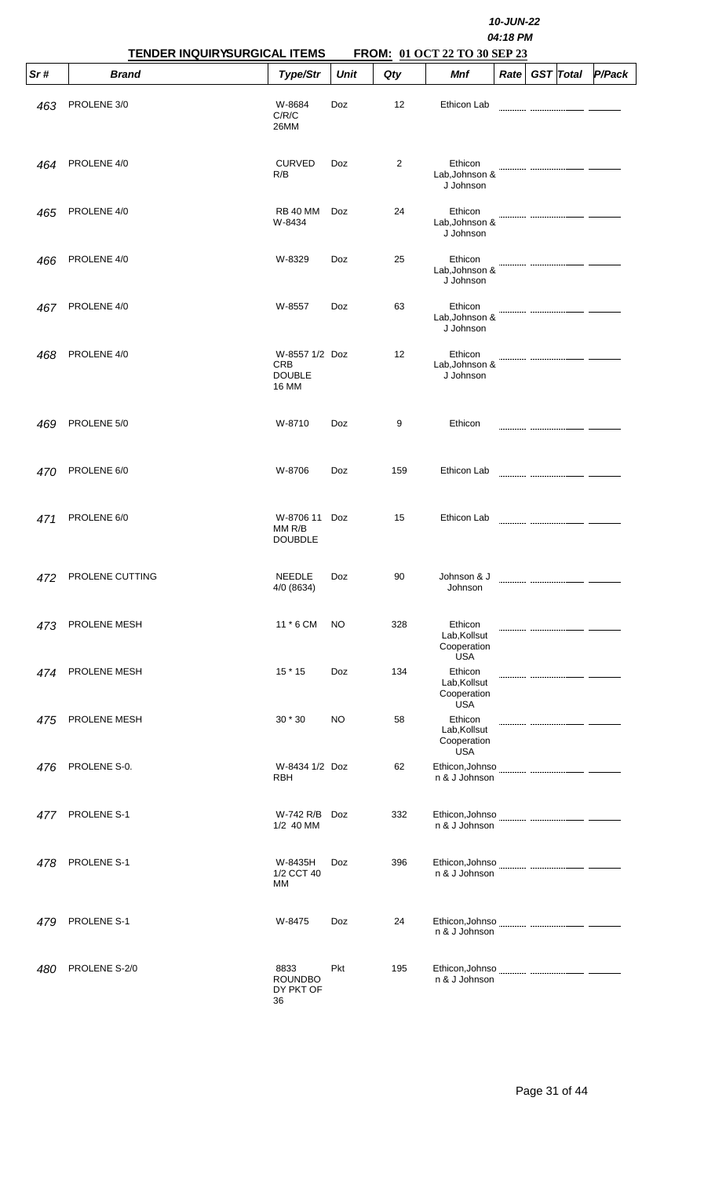|     | TENDER INQUIRYSURGICAL ITEMS | 10-JUN-22<br>04:18 PM<br>FROM: 01 OCT 22 TO 30 SEP 23         |             |     |                                                      |                   |  |                  |        |  |  |
|-----|------------------------------|---------------------------------------------------------------|-------------|-----|------------------------------------------------------|-------------------|--|------------------|--------|--|--|
| Sr# | <b>Brand</b>                 | Type/Str                                                      | <b>Unit</b> | Qty | Mnf                                                  | Rate <sup>2</sup> |  | <b>GST</b> Total | P/Pack |  |  |
| 463 | PROLENE 3/0                  | W-8684<br>C/R/C<br>26MM                                       | Doz         | 12  | Ethicon Lab                                          |                   |  |                  |        |  |  |
| 464 | PROLENE 4/0                  | <b>CURVED</b><br>R/B                                          | Doz         | 2   | Ethicon<br>Lab, Johnson &<br>J Johnson               |                   |  |                  |        |  |  |
| 465 | PROLENE 4/0                  | <b>RB 40 MM</b><br>W-8434                                     | Doz         | 24  | Ethicon<br>Lab, Johnson &<br>J Johnson               |                   |  |                  |        |  |  |
| 466 | PROLENE 4/0                  | W-8329                                                        | Doz         | 25  | Ethicon<br>Lab, Johnson &<br>J Johnson               |                   |  |                  |        |  |  |
| 467 | PROLENE 4/0                  | W-8557                                                        | Doz         | 63  | Ethicon<br>Lab, Johnson &<br>J Johnson               |                   |  |                  |        |  |  |
| 468 | PROLENE 4/0                  | W-8557 1/2 Doz<br><b>CRB</b><br><b>DOUBLE</b><br><b>16 MM</b> |             | 12  | Ethicon<br>Lab, Johnson &<br>J Johnson               |                   |  |                  |        |  |  |
| 469 | PROLENE 5/0                  | W-8710                                                        | Doz         | 9   | Ethicon                                              |                   |  |                  |        |  |  |
| 470 | PROLENE 6/0                  | W-8706                                                        | Doz         | 159 | Ethicon Lab                                          |                   |  |                  |        |  |  |
| 471 | PROLENE 6/0                  | W-8706 11<br>MMR/B<br><b>DOUBDLE</b>                          | Doz         | 15  | Ethicon Lab                                          |                   |  |                  |        |  |  |
| 472 | PROLENE CUTTING              | <b>NEEDLE</b><br>4/0 (8634)                                   | Doz         | 90  | Johnson & J<br>Johnson                               |                   |  |                  |        |  |  |
| 473 | PROLENE MESH                 | 11 * 6 CM                                                     | <b>NO</b>   | 328 | Ethicon<br>Lab, Kollsut<br>Cooperation<br><b>USA</b> |                   |  |                  |        |  |  |
| 474 | PROLENE MESH                 | $15 * 15$                                                     | Doz         | 134 | Ethicon<br>Lab, Kollsut<br>Cooperation<br><b>USA</b> |                   |  |                  |        |  |  |
| 475 | PROLENE MESH                 | 30 * 30                                                       | <b>NO</b>   | 58  | Ethicon<br>Lab, Kollsut<br>Cooperation<br><b>USA</b> |                   |  |                  |        |  |  |
| 476 | PROLENE S-0.                 | W-8434 1/2 Doz<br>RBH                                         |             | 62  | Ethicon, Johnso<br>n & J Johnson                     |                   |  |                  |        |  |  |
| 477 | PROLENE S-1                  | W-742 R/B<br>1/2 40 MM                                        | Doz         | 332 | Ethicon, Johnso<br>n & J Johnson                     |                   |  |                  |        |  |  |
| 478 | PROLENE S-1                  | W-8435H<br>1/2 CCT 40<br>МM                                   | <b>Doz</b>  | 396 | Ethicon, Johnso<br>n & J Johnson                     |                   |  |                  |        |  |  |
| 479 | PROLENE S-1                  | W-8475                                                        | <b>Doz</b>  | 24  | n & J Johnson                                        |                   |  |                  |        |  |  |
| 480 | PROLENE S-2/0                | 8833<br><b>ROUNDBO</b><br>DY PKT OF<br>36                     | <b>Pkt</b>  | 195 | Ethicon, Johnso<br>n & J Johnson                     |                   |  |                  |        |  |  |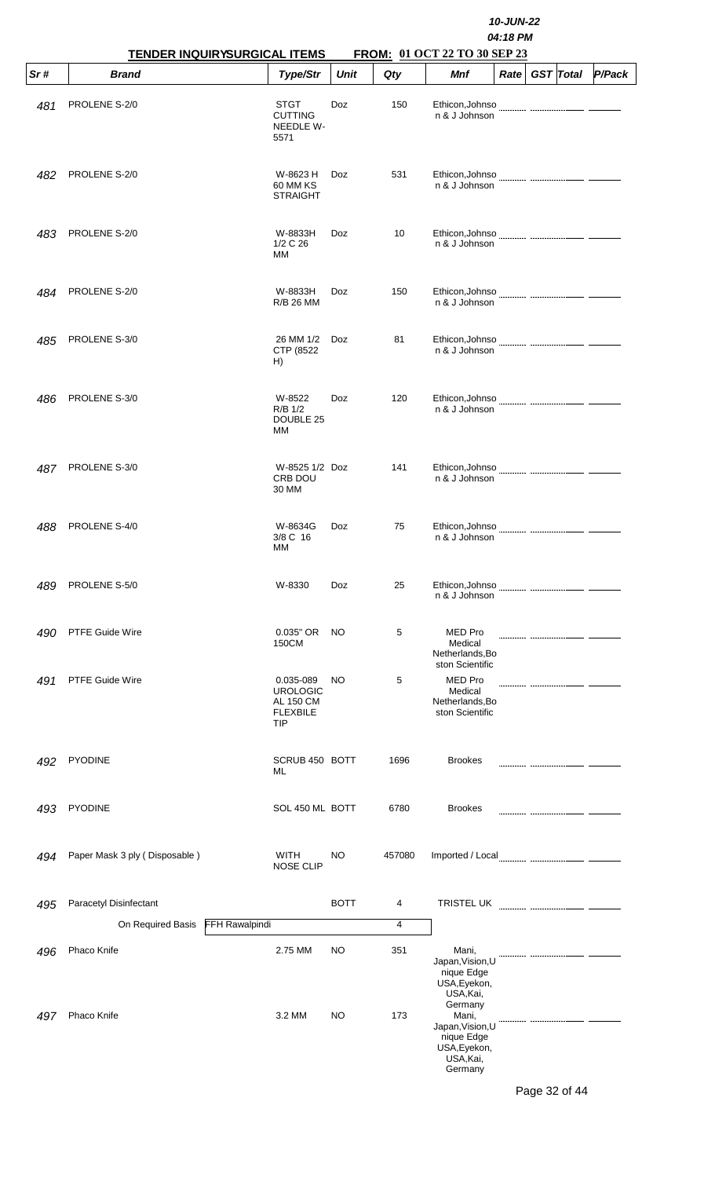|     | <b>TENDER INQUIRYSURGICAL ITEMS</b> |                                                                     |             |        |                                                                                            | 10-JUN-22<br>04:18 PM<br>FROM: 01 OCT 22 TO 30 SEP 23 |                  |        |  |  |  |  |
|-----|-------------------------------------|---------------------------------------------------------------------|-------------|--------|--------------------------------------------------------------------------------------------|-------------------------------------------------------|------------------|--------|--|--|--|--|
| Sr# | <b>Brand</b>                        | Type/Str                                                            | <b>Unit</b> | Qty    | <b>Mnf</b>                                                                                 | Rate                                                  | <b>GST</b> Total | P/Pack |  |  |  |  |
| 481 | PROLENE S-2/0                       | <b>STGT</b><br><b>CUTTING</b><br>NEEDLE W-<br>5571                  | Doz         | 150    | Ethicon, Johnso<br>n & J Johnson                                                           |                                                       |                  |        |  |  |  |  |
| 482 | PROLENE S-2/0                       | W-8623 H<br>60 MM KS<br><b>STRAIGHT</b>                             | Doz         | 531    | Ethicon, Johnso<br>n & J Johnson                                                           |                                                       |                  |        |  |  |  |  |
| 483 | PROLENE S-2/0                       | W-8833H<br>1/2 C 26<br>МM                                           | Doz         | 10     | n & J Johnson                                                                              |                                                       |                  |        |  |  |  |  |
| 484 | PROLENE S-2/0                       | W-8833H<br><b>R/B 26 MM</b>                                         | Doz         | 150    | Ethicon, Johnso<br>n & J Johnson                                                           |                                                       |                  |        |  |  |  |  |
| 485 | PROLENE S-3/0                       | 26 MM 1/2<br>CTP (8522)<br>H)                                       | Doz         | 81     | Ethicon, Johnso<br>n & J Johnson                                                           |                                                       |                  |        |  |  |  |  |
| 486 | PROLENE S-3/0                       | W-8522<br>R/B 1/2<br>DOUBLE 25<br>MМ                                | Doz         | 120    | Ethicon, Johnso<br>n & J Johnson                                                           |                                                       |                  |        |  |  |  |  |
| 487 | PROLENE S-3/0                       | W-8525 1/2 Doz<br>CRB DOU<br>30 MM                                  |             | 141    | Ethicon, Johnso<br>n & J Johnson                                                           |                                                       |                  |        |  |  |  |  |
| 488 | PROLENE S-4/0                       | W-8634G<br>3/8 C 16<br>ΜМ                                           | Doz         | 75     | Ethicon, Johnso<br>n & J Johnson                                                           |                                                       |                  |        |  |  |  |  |
| 489 | PROLENE S-5/0                       | W-8330                                                              | Doz         | 25     | Ethicon, Johnso<br>n & J Johnson                                                           |                                                       |                  |        |  |  |  |  |
| 490 | PTFE Guide Wire                     | 0.035" OR<br>150CM                                                  | NO          | 5      | <b>MED Pro</b><br>Medical<br>Netherlands, Bo<br>ston Scientific                            |                                                       |                  |        |  |  |  |  |
| 491 | PTFE Guide Wire                     | 0.035-089<br><b>UROLOGIC</b><br>AL 150 CM<br><b>FLEXBILE</b><br>TIP | NO.         | 5      | <b>MED Pro</b><br>Medical<br>Netherlands, Bo<br>ston Scientific                            |                                                       |                  |        |  |  |  |  |
| 492 | <b>PYODINE</b>                      | SCRUB 450 BOTT<br>ML                                                |             | 1696   | <b>Brookes</b>                                                                             |                                                       |                  |        |  |  |  |  |
| 493 | <b>PYODINE</b>                      | SOL 450 ML BOTT                                                     |             | 6780   | <b>Brookes</b>                                                                             |                                                       |                  |        |  |  |  |  |
| 494 | Paper Mask 3 ply (Disposable)       | WITH<br><b>NOSE CLIP</b>                                            | NO.         | 457080 |                                                                                            |                                                       |                  |        |  |  |  |  |
| 495 | Paracetyl Disinfectant              |                                                                     | <b>BOTT</b> | 4      | TRISTEL UK                                                                                 |                                                       |                  |        |  |  |  |  |
|     | FFH Rawalpindi<br>On Required Basis |                                                                     |             | 4      |                                                                                            |                                                       |                  |        |  |  |  |  |
| 496 | Phaco Knife                         | 2.75 MM                                                             | <b>NO</b>   | 351    | Mani,<br>Japan, Vision, U<br>nique Edge<br>USA, Eyekon,<br>USA, Kai,                       |                                                       |                  |        |  |  |  |  |
| 497 | Phaco Knife                         | 3.2 MM                                                              | <b>NO</b>   | 173    | Germany<br>Mani,<br>Japan, Vision, U<br>nique Edge<br>USA, Eyekon,<br>USA, Kai,<br>Germany |                                                       |                  |        |  |  |  |  |

Page 32 of 44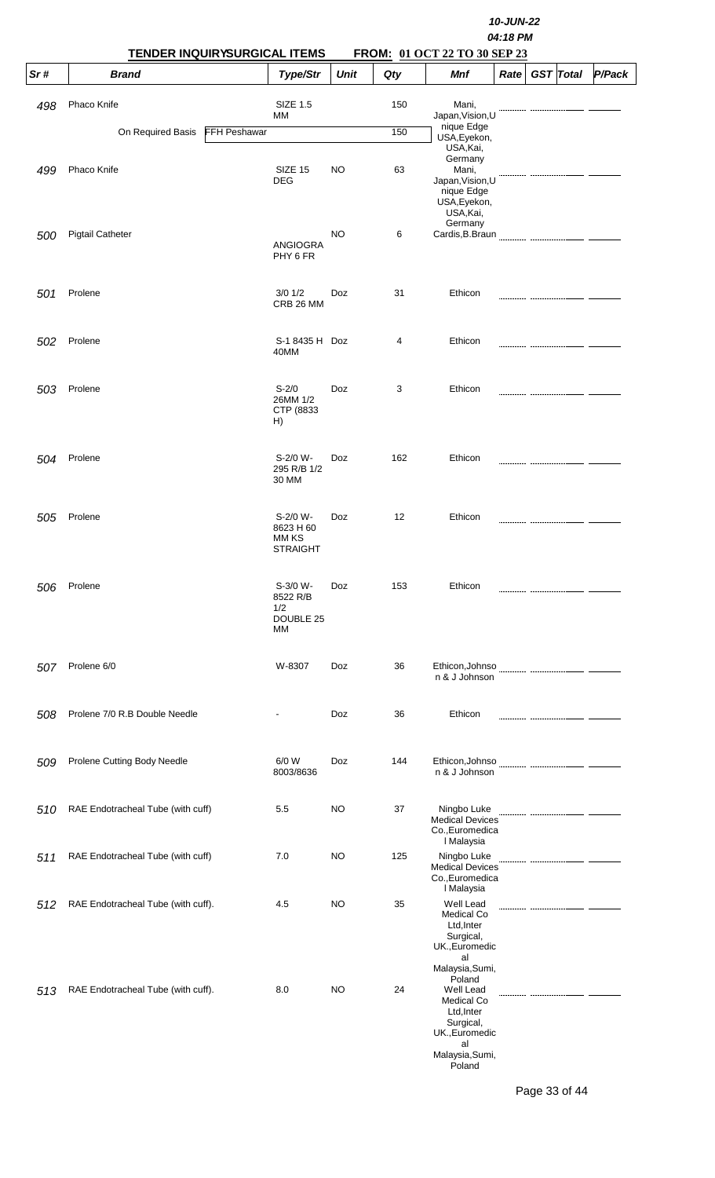|            | TENDER INQUIRYSURGICAL ITEMS       |                     |                                                   |           |     | 10-JUN-22<br>04:18 PM<br>FROM: 01 OCT 22 TO 30 SEP 23                                                             |      |  |                  |        |  |  |  |
|------------|------------------------------------|---------------------|---------------------------------------------------|-----------|-----|-------------------------------------------------------------------------------------------------------------------|------|--|------------------|--------|--|--|--|
| Sr#        | <b>Brand</b>                       |                     | Type/Str                                          | Unit      | Qty | <b>Mnf</b>                                                                                                        | Rate |  | <b>GST</b> Total | P/Pack |  |  |  |
| 498        | Phaco Knife                        |                     | <b>SIZE 1.5</b><br>МM                             |           | 150 | Mani,<br>Japan, Vision, U                                                                                         |      |  |                  |        |  |  |  |
|            | On Required Basis                  | <b>FFH Peshawar</b> |                                                   |           | 150 | nique Edge<br>USA, Eyekon,                                                                                        |      |  |                  |        |  |  |  |
| 499        | Phaco Knife                        |                     | SIZE 15<br><b>DEG</b>                             | <b>NO</b> | 63  | USA, Kai,<br>Germany<br>Mani,<br>Japan, Vision, U<br>nique Edge<br>USA, Eyekon,<br>USA, Kai,                      |      |  |                  |        |  |  |  |
| <i>500</i> | <b>Pigtail Catheter</b>            |                     | <b>ANGIOGRA</b><br>PHY 6 FR                       | <b>NO</b> | 6   | Germany                                                                                                           |      |  |                  |        |  |  |  |
| 501        | Prolene                            |                     | $3/0$ $1/2$<br>CRB 26 MM                          | Doz       | 31  | Ethicon                                                                                                           |      |  |                  |        |  |  |  |
| 502        | Prolene                            |                     | S-1 8435 H Doz<br>40MM                            |           | 4   | Ethicon                                                                                                           |      |  |                  |        |  |  |  |
| 503        | Prolene                            |                     | $S - 2/0$<br>26MM 1/2<br>CTP (8833<br>H)          | Doz       | 3   | Ethicon                                                                                                           |      |  |                  |        |  |  |  |
| 504        | Prolene                            |                     | S-2/0 W-<br>295 R/B 1/2<br>30 MM                  | Doz       | 162 | Ethicon                                                                                                           |      |  |                  |        |  |  |  |
| 505        | Prolene                            |                     | S-2/0 W-<br>8623 H 60<br>MM KS<br><b>STRAIGHT</b> | Doz       | 12  | Ethicon                                                                                                           |      |  |                  |        |  |  |  |
| 506        | Prolene                            |                     | S-3/0 W-<br>8522 R/B<br>1/2<br>DOUBLE 25<br>МM    | Doz       | 153 | Ethicon                                                                                                           |      |  |                  |        |  |  |  |
| 507        | Prolene 6/0                        |                     | W-8307                                            | Doz       | 36  | Ethicon, Johnso<br>n & J Johnson                                                                                  |      |  |                  |        |  |  |  |
| 508        | Prolene 7/0 R.B Double Needle      |                     |                                                   | Doz       | 36  | Ethicon                                                                                                           |      |  |                  |        |  |  |  |
| 509        | Prolene Cutting Body Needle        |                     | 6/0 W<br>8003/8636                                | Doz       | 144 | Ethicon, Johnso<br>n & J Johnson                                                                                  |      |  |                  |        |  |  |  |
| 510        | RAE Endotracheal Tube (with cuff)  |                     | 5.5                                               | NO        | 37  | Ningbo Luke<br><b>Medical Devices</b><br>Co., Euromedica                                                          |      |  |                  |        |  |  |  |
| 511        | RAE Endotracheal Tube (with cuff)  |                     | 7.0                                               | NO        | 125 | I Malaysia<br>Ningbo Luke<br><b>Medical Devices</b><br>Co., Euromedica<br>I Malaysia                              |      |  |                  |        |  |  |  |
| 512        | RAE Endotracheal Tube (with cuff). |                     | 4.5                                               | NO        | 35  | Well Lead<br><b>Medical Co</b><br>Ltd, Inter<br>Surgical,<br>UK., Euromedic<br>al<br>Malaysia, Sumi,              |      |  |                  |        |  |  |  |
| 513        | RAE Endotracheal Tube (with cuff). |                     | 8.0                                               | <b>NO</b> | 24  | Poland<br>Well Lead<br>Medical Co<br>Ltd, Inter<br>Surgical,<br>UK., Euromedic<br>al<br>Malaysia, Sumi,<br>Poland |      |  |                  |        |  |  |  |

Page 33 of 44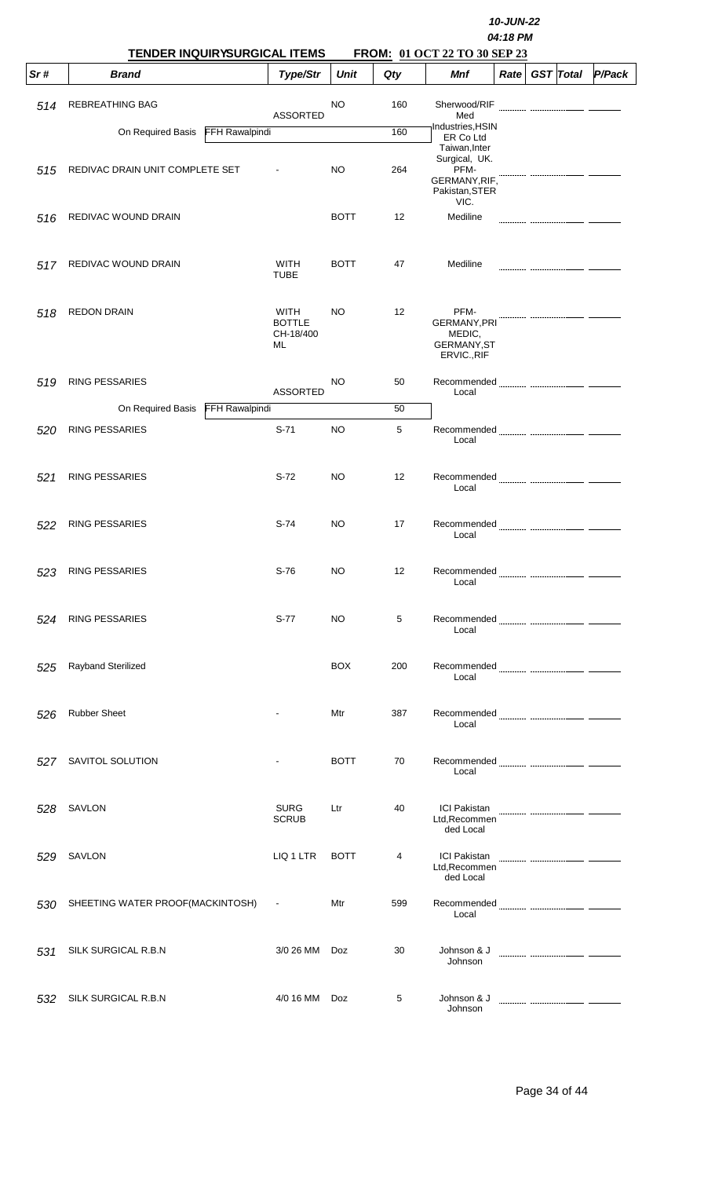|     | TENDER INQUIRYSURGICAL ITEMS               |                                          | 10-JUN-22<br>04:18 PM<br>FROM: 01 OCT 22 TO 30 SEP 23 |     |                                                                                   |             |  |                  |        |
|-----|--------------------------------------------|------------------------------------------|-------------------------------------------------------|-----|-----------------------------------------------------------------------------------|-------------|--|------------------|--------|
| Sr# | <b>Brand</b>                               | Type/Str                                 | <b>Unit</b>                                           | Qty | Mnf                                                                               | <b>Rate</b> |  | <b>GST</b> Total | P/Pack |
| 514 | <b>REBREATHING BAG</b>                     | <b>ASSORTED</b>                          | NO                                                    | 160 | Sherwood/RIF<br>Med                                                               |             |  |                  |        |
|     | On Required Basis<br><b>FFH Rawalpindi</b> |                                          |                                                       | 160 | Industries, HSIN<br>ER Co Ltd                                                     |             |  |                  |        |
| 515 | REDIVAC DRAIN UNIT COMPLETE SET            |                                          | <b>NO</b>                                             | 264 | Taiwan, Inter<br>Surgical, UK.<br>PFM-<br>GERMANY, RIF,<br>Pakistan, STER<br>VIC. |             |  |                  |        |
| 516 | REDIVAC WOUND DRAIN                        |                                          | <b>BOTT</b>                                           | 12  | Mediline                                                                          |             |  |                  |        |
| 517 | REDIVAC WOUND DRAIN                        | WITH<br><b>TUBE</b>                      | <b>BOTT</b>                                           | 47  | Mediline                                                                          |             |  |                  |        |
| 518 | <b>REDON DRAIN</b>                         | WITH<br><b>BOTTLE</b><br>CH-18/400<br>ML | <b>NO</b>                                             | 12  | PFM-<br>GERMANY, PRI<br>MEDIC,<br><b>GERMANY, ST</b><br>ERVIC., RIF               |             |  |                  |        |
| 519 | <b>RING PESSARIES</b>                      | <b>ASSORTED</b>                          | NO                                                    | 50  | Recommended<br>Local                                                              |             |  |                  |        |
|     | FFH Rawalpindi<br>On Required Basis        |                                          |                                                       | 50  |                                                                                   |             |  |                  |        |
| 520 | <b>RING PESSARIES</b>                      | $S-71$                                   | <b>NO</b>                                             | 5   | Local                                                                             |             |  |                  |        |
| 521 | <b>RING PESSARIES</b>                      | $S-72$                                   | NO                                                    | 12  | Local                                                                             |             |  |                  |        |
| 522 | <b>RING PESSARIES</b>                      | S-74                                     | NO                                                    | 17  | Local                                                                             |             |  |                  |        |
| 523 | <b>RING PESSARIES</b>                      | $S-76$                                   | NO                                                    | 12  | Local                                                                             |             |  |                  |        |
| 524 | <b>RING PESSARIES</b>                      | $S-77$                                   | NO.                                                   | 5   | Local                                                                             |             |  |                  |        |
| 525 | Rayband Sterilized                         |                                          | <b>BOX</b>                                            | 200 | Local                                                                             |             |  |                  |        |
| 526 | <b>Rubber Sheet</b>                        |                                          | Mtr                                                   | 387 | Local                                                                             |             |  |                  |        |
| 527 | SAVITOL SOLUTION                           |                                          | <b>BOTT</b>                                           | 70  | Local                                                                             |             |  |                  |        |
| 528 | SAVLON                                     | <b>SURG</b><br><b>SCRUB</b>              | Ltr                                                   | 40  | ICI Pakistan <b>Management Communist Communist</b><br>Ltd, Recommen<br>ded Local  |             |  |                  |        |
| 529 | SAVLON                                     | LIQ 1 LTR                                | <b>BOTT</b>                                           | 4   | <b>ICI Pakistan</b><br>Ltd, Recommen<br>ded Local                                 |             |  |                  |        |
| 530 | SHEETING WATER PROOF(MACKINTOSH)           | $\sim$                                   | Mtr                                                   | 599 | Local                                                                             |             |  |                  |        |
| 531 | SILK SURGICAL R.B.N                        | 3/0 26 MM                                | Doz                                                   | 30  | Johnson & J<br>Johnson                                                            |             |  |                  |        |
| 532 | SILK SURGICAL R.B.N                        | 4/0 16 MM                                | Doz                                                   | 5   | Johnson & J<br>Johnson                                                            |             |  |                  |        |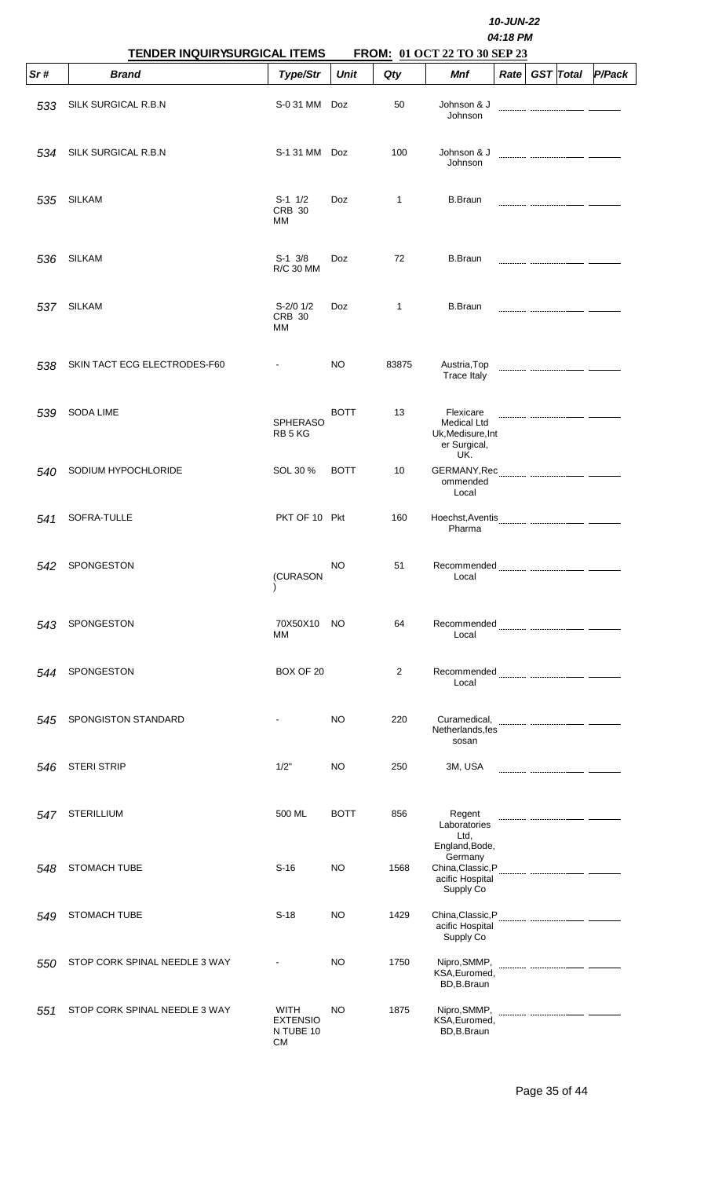|     | <b>TENDER INQUIRYSURGICAL ITEMS</b> |                                                   |             | 10-JUN-22<br>04:18 PM<br>FROM: 01 OCT 22 TO 30 SEP 23 |                                                                                |                   |  |                  |        |  |  |
|-----|-------------------------------------|---------------------------------------------------|-------------|-------------------------------------------------------|--------------------------------------------------------------------------------|-------------------|--|------------------|--------|--|--|
| Sr# | <b>Brand</b>                        | Type/Str                                          | <b>Unit</b> | Qty                                                   | Mnf                                                                            | Rate <sub>1</sub> |  | <b>GST</b> Total | P/Pack |  |  |
| 533 | SILK SURGICAL R.B.N                 | S-0 31 MM                                         | Doz         | 50                                                    | Johnson & J<br>Johnson                                                         |                   |  |                  |        |  |  |
| 534 | SILK SURGICAL R.B.N                 | S-1 31 MM Doz                                     |             | 100                                                   | Johnson & J<br>Johnson                                                         |                   |  |                  |        |  |  |
| 535 | <b>SILKAM</b>                       | $S-1$ 1/2<br><b>CRB 30</b><br>МM                  | <b>Doz</b>  | 1                                                     | <b>B.Braun</b>                                                                 |                   |  |                  |        |  |  |
| 536 | <b>SILKAM</b>                       | $S-1$ 3/8<br>R/C 30 MM                            | Doz         | 72                                                    | <b>B.Braun</b>                                                                 |                   |  |                  |        |  |  |
| 537 | <b>SILKAM</b>                       | $S-2/0$ 1/2<br><b>CRB 30</b><br>МM                | Doz         | $\mathbf{1}$                                          | <b>B.Braun</b>                                                                 |                   |  |                  |        |  |  |
| 538 | SKIN TACT ECG ELECTRODES-F60        |                                                   | NO          | 83875                                                 | Austria, Top<br><b>Trace Italy</b>                                             |                   |  |                  |        |  |  |
| 539 | <b>SODA LIME</b>                    | <b>SPHERASO</b><br>RB 5 KG                        | <b>BOTT</b> | 13                                                    | Flexicare<br><b>Medical Ltd</b><br>Uk, Medisure, Int<br>er Surgical,<br>UK.    |                   |  |                  |        |  |  |
| 540 | SODIUM HYPOCHLORIDE                 | SOL 30 %                                          | <b>BOTT</b> | 10                                                    | ommended<br>Local                                                              |                   |  |                  |        |  |  |
| 541 | SOFRA-TULLE                         | PKT OF 10 Pkt                                     |             | 160                                                   | Hoechst, Aventis<br>Pharma                                                     |                   |  |                  |        |  |  |
| 542 | <b>SPONGESTON</b>                   | (CURASON                                          | NO          | 51                                                    | Local                                                                          |                   |  |                  |        |  |  |
| 543 | <b>SPONGESTON</b>                   | 70X50X10<br>MМ                                    | NO.         | 64                                                    | Local                                                                          |                   |  |                  |        |  |  |
| 544 | SPONGESTON                          | BOX OF 20                                         |             | $\overline{2}$                                        | Local                                                                          |                   |  |                  |        |  |  |
| 545 | SPONGISTON STANDARD                 |                                                   | NO          | 220                                                   | Netherlands, fes<br>sosan                                                      |                   |  |                  |        |  |  |
| 546 | <b>STERI STRIP</b>                  | 1/2"                                              | NO          | 250                                                   | 3M, USA                                                                        |                   |  |                  |        |  |  |
| 547 | <b>STERILLIUM</b>                   | 500 ML                                            | <b>BOTT</b> | 856                                                   | Regent<br>Laboratories<br>Ltd,                                                 |                   |  |                  |        |  |  |
| 548 | <b>STOMACH TUBE</b>                 | $S-16$                                            | NO          | 1568                                                  | England, Bode,<br>Germany<br>China, Classic, P<br>acific Hospital<br>Supply Co |                   |  |                  |        |  |  |
| 549 | <b>STOMACH TUBE</b>                 | $S-18$                                            | NO          | 1429                                                  | acific Hospital<br>Supply Co                                                   |                   |  |                  |        |  |  |
| 550 | STOP CORK SPINAL NEEDLE 3 WAY       |                                                   | NO          | 1750                                                  | Nipro, SMMP,<br>KSA, Euromed,<br>BD,B.Braun                                    |                   |  |                  |        |  |  |
| 551 | STOP CORK SPINAL NEEDLE 3 WAY       | WITH<br><b>EXTENSIO</b><br>N TUBE 10<br><b>CM</b> | NO          | 1875                                                  | Nipro, SMMP,<br>KSA, Euromed,<br>BD,B.Braun                                    |                   |  |                  |        |  |  |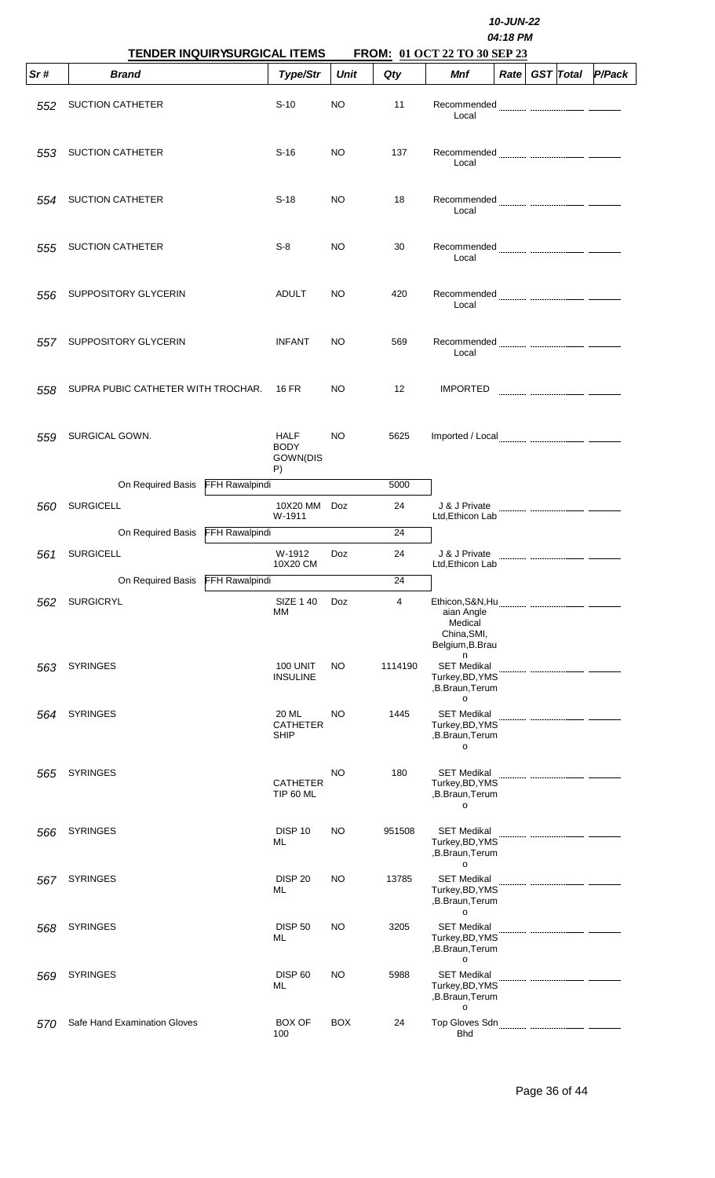|     |                                                     |                                         | 10-JUN-22<br>04:18 PM<br>FROM: 01 OCT 22 TO 30 SEP 23 |         |                                                                                 |  |                |        |  |  |  |  |
|-----|-----------------------------------------------------|-----------------------------------------|-------------------------------------------------------|---------|---------------------------------------------------------------------------------|--|----------------|--------|--|--|--|--|
| Sr# | <b>TENDER INQUIRYSURGICAL ITEMS</b><br><b>Brand</b> | Type/Str                                | Unit                                                  | Qty     | Mnf                                                                             |  | Rate GST Total | P/Pack |  |  |  |  |
| 552 | <b>SUCTION CATHETER</b>                             | $S-10$                                  | NO.                                                   | 11      | Recommended<br>Local                                                            |  |                |        |  |  |  |  |
| 553 | <b>SUCTION CATHETER</b>                             | S-16                                    | NO.                                                   | 137     | Recommended<br>Local                                                            |  |                |        |  |  |  |  |
| 554 | <b>SUCTION CATHETER</b>                             | $S-18$                                  | NO.                                                   | 18      | Local                                                                           |  |                |        |  |  |  |  |
| 555 | <b>SUCTION CATHETER</b>                             | $S-8$                                   | NO.                                                   | 30      | Local                                                                           |  |                |        |  |  |  |  |
| 556 | SUPPOSITORY GLYCERIN                                | ADULT                                   | NO.                                                   | 420     | Local                                                                           |  |                |        |  |  |  |  |
| 557 | SUPPOSITORY GLYCERIN                                | <b>INFANT</b>                           | NO.                                                   | 569     | Local                                                                           |  |                |        |  |  |  |  |
| 558 | SUPRA PUBIC CATHETER WITH TROCHAR.                  | 16 FR                                   | NO.                                                   | 12      | <b>IMPORTED</b>                                                                 |  |                |        |  |  |  |  |
| 559 | SURGICAL GOWN.                                      | HALF<br><b>BODY</b><br>GOWN(DIS<br>P)   | NO.                                                   | 5625    |                                                                                 |  |                |        |  |  |  |  |
|     | On Required Basis                                   | FFH Rawalpindi                          |                                                       | 5000    |                                                                                 |  |                |        |  |  |  |  |
| 560 | <b>SURGICELL</b>                                    | 10X20 MM<br>W-1911                      | Doz                                                   | 24      | J & J Private<br>Ltd, Ethicon Lab                                               |  |                |        |  |  |  |  |
|     | On Required Basis FFH Rawalpindi                    |                                         |                                                       | 24      |                                                                                 |  |                |        |  |  |  |  |
| 561 | <b>SURGICELL</b>                                    | W-1912<br>10X20 CM                      | Doz                                                   | 24      | J & J Private<br>Ltd, Ethicon Lab                                               |  |                |        |  |  |  |  |
|     | On Required Basis                                   | <b>FFH Rawalpindi</b>                   |                                                       | 24      |                                                                                 |  |                |        |  |  |  |  |
| 562 | <b>SURGICRYL</b>                                    | SIZE 1 40<br>МM                         | Doz                                                   | 4       | aian Angle<br>Medical<br>China, SMI,<br>Belgium, B. Brau                        |  |                |        |  |  |  |  |
| 563 | <b>SYRINGES</b>                                     | <b>100 UNIT</b><br><b>INSULINE</b>      | NO.                                                   | 1114190 | n<br><b>SET Medikal</b><br>Turkey, BD, YMS<br>,B.Braun, Terum<br>$\mathsf{o}\,$ |  |                |        |  |  |  |  |
| 564 | <b>SYRINGES</b>                                     | 20 ML<br><b>CATHETER</b><br><b>SHIP</b> | NO                                                    | 1445    | <b>SET Medikal</b><br>Turkey, BD, YMS<br>,B.Braun, Terum<br>o                   |  |                |        |  |  |  |  |
| 565 | <b>SYRINGES</b>                                     | <b>CATHETER</b><br><b>TIP 60 ML</b>     | NO                                                    | 180     | <b>SET Medikal</b><br>Turkey, BD, YMS<br>,B.Braun, Terum<br>o                   |  |                |        |  |  |  |  |
| 566 | <b>SYRINGES</b>                                     | DISP <sub>10</sub><br>ML                | NO                                                    | 951508  | <b>SET Medikal</b><br>Turkey, BD, YMS<br>,B.Braun, Terum<br>o                   |  |                |        |  |  |  |  |
| 567 | <b>SYRINGES</b>                                     | <b>DISP 20</b><br>ML                    | <b>NO</b>                                             | 13785   | <b>SET Medikal</b><br>Turkey, BD, YMS<br>,B.Braun, Terum<br>o                   |  |                |        |  |  |  |  |
| 568 | <b>SYRINGES</b>                                     | <b>DISP 50</b><br>ML                    | NO                                                    | 3205    | <b>SET Medikal</b><br>Turkey, BD, YMS<br>,B.Braun, Terum<br>o                   |  |                |        |  |  |  |  |
| 569 | <b>SYRINGES</b>                                     | <b>DISP 60</b><br>ML                    | NO                                                    | 5988    | <b>SET Medikal</b><br>Turkey, BD, YMS<br>,B.Braun, Terum<br>$\mathsf{o}\,$      |  |                |        |  |  |  |  |
| 570 | Safe Hand Examination Gloves                        | <b>BOX OF</b><br>100                    | <b>BOX</b>                                            | 24      | Top Gloves Sdn<br><b>Bhd</b>                                                    |  |                |        |  |  |  |  |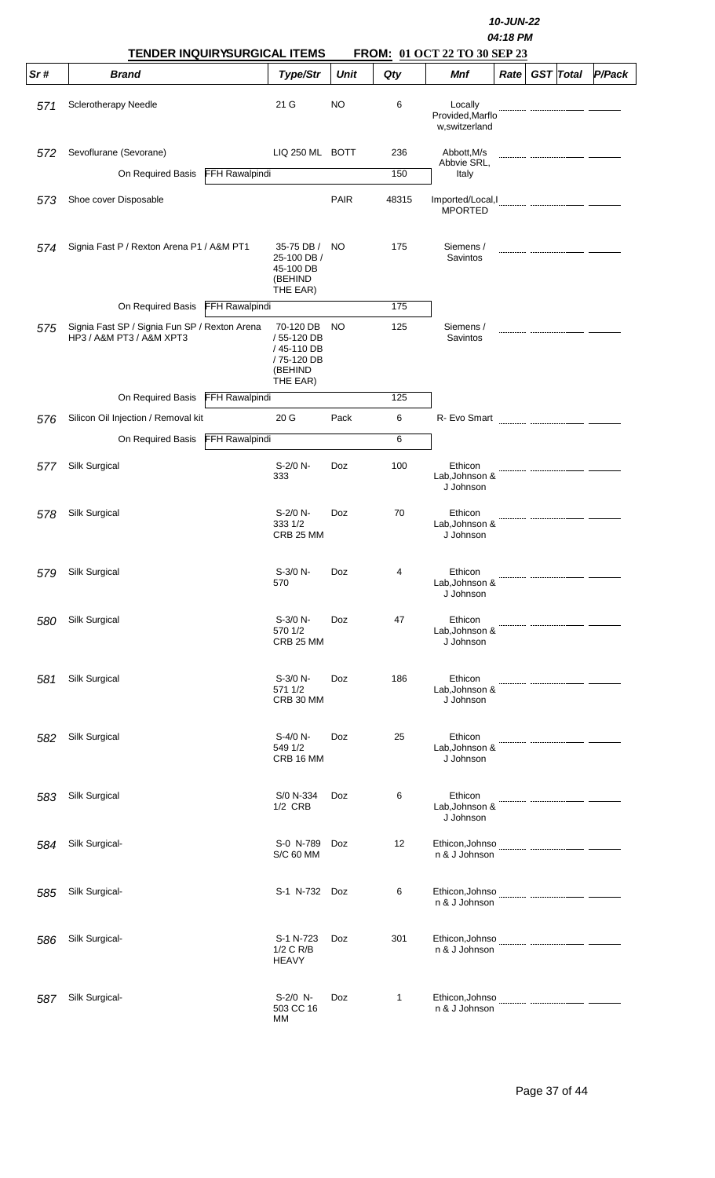|     | <b>TENDER INQUIRYSURGICAL ITEMS</b>                                       |                       |                                                                            |             |              | <b>FROM: 01 OCT 22 TO 30 SEP 23</b>          | 04:18 PM |                  |        |
|-----|---------------------------------------------------------------------------|-----------------------|----------------------------------------------------------------------------|-------------|--------------|----------------------------------------------|----------|------------------|--------|
| Sr# | <b>Brand</b>                                                              |                       | Type/Str                                                                   | <b>Unit</b> | Qty          | <b>Mnf</b>                                   | Rate     | <b>GST</b> Total | P/Pack |
| 571 | <b>Sclerotherapy Needle</b>                                               |                       | 21 G                                                                       | <b>NO</b>   | 6            | Locally<br>Provided, Marflo<br>w,switzerland |          |                  |        |
| 572 | Sevoflurane (Sevorane)                                                    |                       | LIQ 250 ML BOTT                                                            |             | 236          | Abbott, M/s                                  |          |                  |        |
|     | On Required Basis                                                         | <b>FFH Rawalpindi</b> |                                                                            |             | 150          | Abbvie SRL,<br>Italy                         |          |                  |        |
| 573 | Shoe cover Disposable                                                     |                       |                                                                            | <b>PAIR</b> | 48315        | Imported/Local, I<br><b>MPORTED</b>          |          |                  |        |
| 574 | Signia Fast P / Rexton Arena P1 / A&M PT1                                 |                       | 35-75 DB /<br>25-100 DB /<br>45-100 DB<br>(BEHIND<br>THE EAR)              | NO.         | 175          | Siemens /<br>Savintos                        |          |                  |        |
|     | On Required Basis                                                         | <b>FFH Rawalpindi</b> |                                                                            |             | 175          |                                              |          |                  |        |
| 575 | Signia Fast SP / Signia Fun SP / Rexton Arena<br>HP3 / A&M PT3 / A&M XPT3 |                       | 70-120 DB<br>/55-120 DB<br>/45-110 DB<br>/75-120 DB<br>(BEHIND<br>THE EAR) | NO.         | 125          | Siemens /<br>Savintos                        |          |                  |        |
|     | On Required Basis                                                         | FFH Rawalpindi        |                                                                            |             | 125          |                                              |          |                  |        |
| 576 | Silicon Oil Injection / Removal kit                                       |                       | 20 <sub>G</sub>                                                            | Pack        | 6            | R- Evo Smart                                 |          |                  |        |
|     | On Required Basis                                                         | FFH Rawalpindi        |                                                                            |             | 6            |                                              |          |                  |        |
| 577 | Silk Surgical                                                             |                       | S-2/0 N-<br>333                                                            | Doz         | 100          | Ethicon<br>Lab, Johnson &<br>J Johnson       |          |                  |        |
| 578 | Silk Surgical                                                             |                       | S-2/0 N-<br>333 1/2<br>CRB 25 MM                                           | Doz         | 70           | Ethicon<br>Lab, Johnson &<br>J Johnson       |          |                  |        |
| 579 | Silk Surgical                                                             |                       | S-3/0 N-<br>570                                                            | Doz         | 4            | Ethicon<br>Lab, Johnson &<br>J Johnson       |          |                  |        |
| 580 | Silk Surgical                                                             |                       | S-3/0 N-<br>570 1/2<br>CRB 25 MM                                           | Doz         | 47           | Ethicon<br>Lab, Johnson &<br>J Johnson       |          |                  |        |
| 581 | Silk Surgical                                                             |                       | $S-3/0 N-$<br>571 1/2<br>CRB 30 MM                                         | Doz         | 186          | Ethicon<br>Lab, Johnson &<br>J Johnson       |          |                  |        |
| 582 | Silk Surgical                                                             |                       | S-4/0 N-<br>549 1/2<br>CRB 16 MM                                           | Doz         | 25           | Ethicon<br>Lab, Johnson &<br>J Johnson       |          |                  |        |
| 583 | Silk Surgical                                                             |                       | S/0 N-334<br>1/2 CRB                                                       | Doz         | 6            | Ethicon<br>Lab, Johnson &<br>J Johnson       |          |                  |        |
| 584 | Silk Surgical-                                                            |                       | S-0 N-789<br><b>S/C 60 MM</b>                                              | Doz         | 12           | n & J Johnson                                |          |                  |        |
| 585 | Silk Surgical-                                                            |                       | S-1 N-732 Doz                                                              |             | 6            | n & J Johnson                                |          |                  |        |
| 586 | Silk Surgical-                                                            |                       | S-1 N-723<br>1/2 C R/B<br><b>HEAVY</b>                                     | Doz         | 301          | Ethicon, Johnso<br>n & J Johnson             |          |                  |        |
| 587 | Silk Surgical-                                                            |                       | S-2/0 N-<br>503 CC 16<br><b>MM</b>                                         | Doz         | $\mathbf{1}$ | Ethicon, Johnso<br>n & J Johnson             |          |                  |        |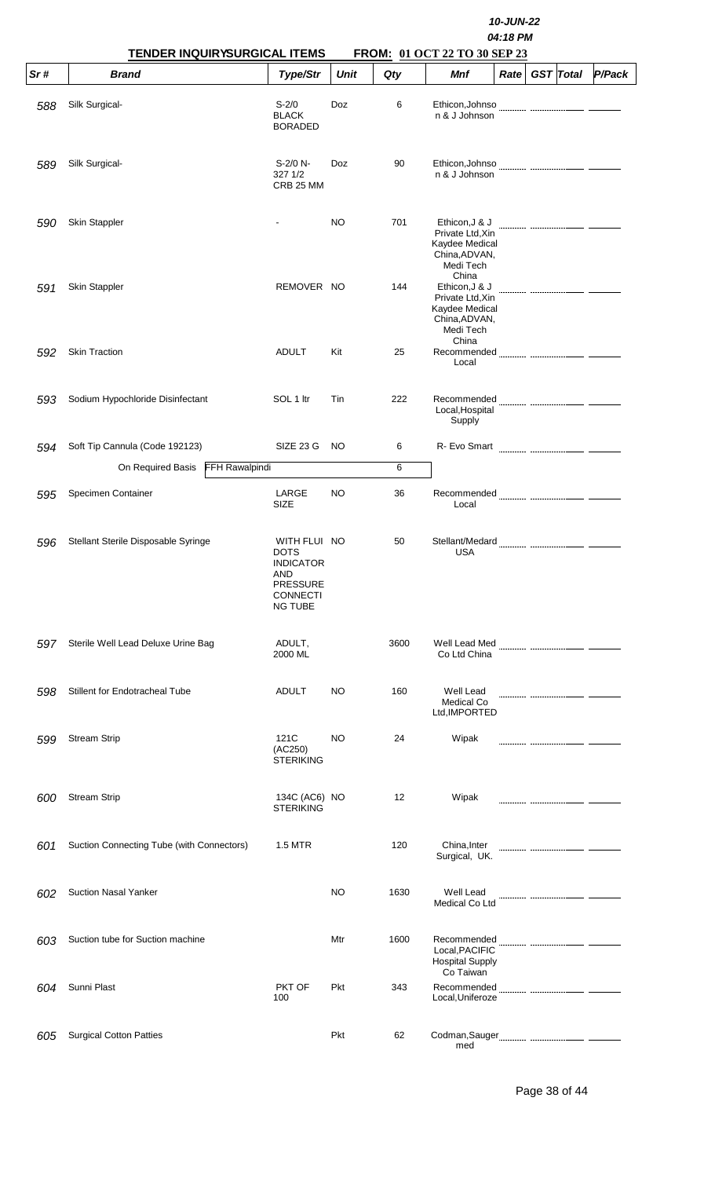|     | TENDER INQUIRYSURGICAL ITEMS               |                                                                                                                |             |      | FROM: 01 OCT 22 TO 30 SEP 23                                                                | 10-JUN-22<br>04:18 PM |                  |                                                                                                                                                                                                                                                                                                                                                                                                                                                                                                                                                          |
|-----|--------------------------------------------|----------------------------------------------------------------------------------------------------------------|-------------|------|---------------------------------------------------------------------------------------------|-----------------------|------------------|----------------------------------------------------------------------------------------------------------------------------------------------------------------------------------------------------------------------------------------------------------------------------------------------------------------------------------------------------------------------------------------------------------------------------------------------------------------------------------------------------------------------------------------------------------|
| Sr# | <b>Brand</b>                               | Type/Str                                                                                                       | <b>Unit</b> | Qty  | <b>Mnf</b>                                                                                  | Rate                  | <b>GST</b> Total | P/Pack                                                                                                                                                                                                                                                                                                                                                                                                                                                                                                                                                   |
| 588 | Silk Surgical-                             | $S - 2/0$<br><b>BLACK</b><br><b>BORADED</b>                                                                    | Doz         | 6    | Ethicon, Johnso<br>n & J Johnson                                                            |                       |                  |                                                                                                                                                                                                                                                                                                                                                                                                                                                                                                                                                          |
| 589 | Silk Surgical-                             | $S-2/0 N-$<br>327 1/2<br>CRB 25 MM                                                                             | Doz         | 90   | n & J Johnson                                                                               |                       |                  |                                                                                                                                                                                                                                                                                                                                                                                                                                                                                                                                                          |
| 590 | Skin Stappler                              |                                                                                                                | NO.         | 701  | Ethicon, J & J<br>Private Ltd, Xin<br>Kaydee Medical<br>China, ADVAN,<br>Medi Tech          |                       |                  |                                                                                                                                                                                                                                                                                                                                                                                                                                                                                                                                                          |
| 591 | <b>Skin Stappler</b>                       | REMOVER NO                                                                                                     |             | 144  | China<br>Ethicon, J & J<br>Private Ltd, Xin<br>Kaydee Medical<br>China, ADVAN,<br>Medi Tech |                       |                  |                                                                                                                                                                                                                                                                                                                                                                                                                                                                                                                                                          |
| 592 | <b>Skin Traction</b>                       | <b>ADULT</b>                                                                                                   | Kit         | 25   | China<br>Local                                                                              |                       |                  |                                                                                                                                                                                                                                                                                                                                                                                                                                                                                                                                                          |
| 593 | Sodium Hypochloride Disinfectant           | SOL 1 ltr                                                                                                      | Tin         | 222  | Local, Hospital<br>Supply                                                                   |                       |                  |                                                                                                                                                                                                                                                                                                                                                                                                                                                                                                                                                          |
| 594 | Soft Tip Cannula (Code 192123)             | SIZE 23 G                                                                                                      | NO.         | 6    | R- Evo Smart                                                                                |                       |                  | $\begin{minipage}{0.5\textwidth} \begin{minipage}{0.5\textwidth} \centering \begin{minipage}{0.5\textwidth} \centering \end{minipage} \begin{minipage}{0.5\textwidth} \centering \begin{minipage}{0.5\textwidth} \centering \end{minipage} \end{minipage} \begin{minipage}{0.5\textwidth} \centering \begin{minipage}{0.5\textwidth} \centering \end{minipage} \end{minipage} \begin{minipage}{0.5\textwidth} \centering \begin{minipage}{0.5\textwidth} \centering \end{minipage} \end{minipage} \begin{minipage}{0.5\textwidth} \centering \begin{min$ |
|     | <b>FFH Rawalpindi</b><br>On Required Basis |                                                                                                                |             | 6    |                                                                                             |                       |                  |                                                                                                                                                                                                                                                                                                                                                                                                                                                                                                                                                          |
| 595 | Specimen Container                         | LARGE<br>SIZE                                                                                                  | NO          | 36   | Local                                                                                       |                       |                  |                                                                                                                                                                                                                                                                                                                                                                                                                                                                                                                                                          |
| 596 | Stellant Sterile Disposable Syringe        | WITH FLUI NO<br><b>DOTS</b><br><b>INDICATOR</b><br>AND<br><b>PRESSURE</b><br><b>CONNECTI</b><br><b>NG TUBE</b> |             | 50   | Stellant/Medard<br><b>USA</b>                                                               |                       |                  |                                                                                                                                                                                                                                                                                                                                                                                                                                                                                                                                                          |
| 597 | Sterile Well Lead Deluxe Urine Bag         | ADULT,<br>2000 ML                                                                                              |             | 3600 | Co Ltd China                                                                                |                       |                  |                                                                                                                                                                                                                                                                                                                                                                                                                                                                                                                                                          |
| 598 | Stillent for Endotracheal Tube             | <b>ADULT</b>                                                                                                   | NO          | 160  | Well Lead<br>Medical Co<br>Ltd, IMPORTED                                                    |                       |                  |                                                                                                                                                                                                                                                                                                                                                                                                                                                                                                                                                          |
| 599 | <b>Stream Strip</b>                        | 121C<br>(AC250)<br><b>STERIKING</b>                                                                            | <b>NO</b>   | 24   | Wipak                                                                                       |                       |                  |                                                                                                                                                                                                                                                                                                                                                                                                                                                                                                                                                          |
| 600 | <b>Stream Strip</b>                        | 134C (AC6) NO<br><b>STERIKING</b>                                                                              |             | 12   | Wipak                                                                                       |                       |                  |                                                                                                                                                                                                                                                                                                                                                                                                                                                                                                                                                          |
| 601 | Suction Connecting Tube (with Connectors)  | 1.5 MTR                                                                                                        |             | 120  | China, Inter<br>Surgical, UK.                                                               |                       |                  |                                                                                                                                                                                                                                                                                                                                                                                                                                                                                                                                                          |
| 602 | <b>Suction Nasal Yanker</b>                |                                                                                                                | NO          | 1630 | Well Lead<br>Medical Co Ltd                                                                 |                       |                  |                                                                                                                                                                                                                                                                                                                                                                                                                                                                                                                                                          |
| 603 | Suction tube for Suction machine           |                                                                                                                | Mtr         | 1600 | Recommended<br>Local, PACIFIC<br><b>Hospital Supply</b>                                     |                       |                  |                                                                                                                                                                                                                                                                                                                                                                                                                                                                                                                                                          |
| 604 | Sunni Plast                                | PKT OF<br>100                                                                                                  | Pkt         | 343  | Co Taiwan<br>Recommended<br>Local, Uniferoze                                                |                       |                  |                                                                                                                                                                                                                                                                                                                                                                                                                                                                                                                                                          |
| 605 | <b>Surgical Cotton Patties</b>             |                                                                                                                | Pkt         | 62   | med                                                                                         |                       |                  |                                                                                                                                                                                                                                                                                                                                                                                                                                                                                                                                                          |

Page 38 of 44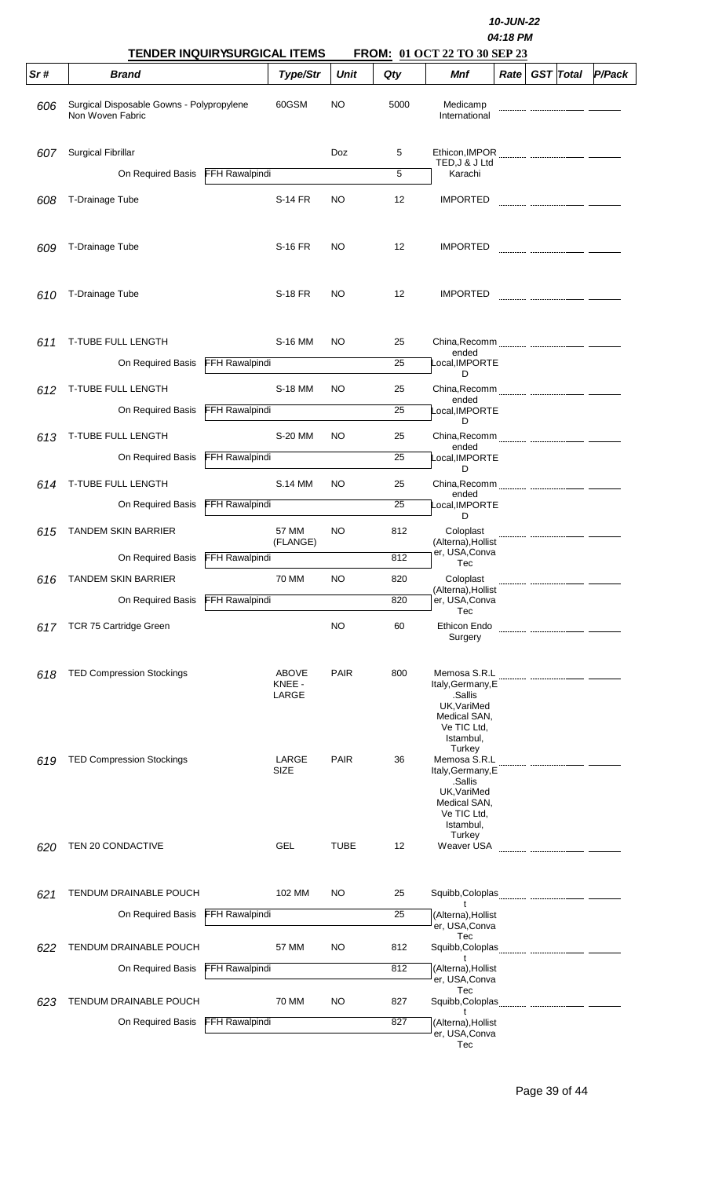| <b>TENDER INQUIRYSURGICAL ITEMS</b> |                                                               |                       |                                 |             |      | 10-JUN-22<br>04:18 PM<br>FROM: 01 OCT 22 TO 30 SEP 23                                                             |      |  |                  |        |  |  |  |
|-------------------------------------|---------------------------------------------------------------|-----------------------|---------------------------------|-------------|------|-------------------------------------------------------------------------------------------------------------------|------|--|------------------|--------|--|--|--|
| Sr#                                 | <b>Brand</b>                                                  |                       | Type/Str                        | <b>Unit</b> | Qty  | Mnf                                                                                                               | Rate |  | <b>GST</b> Total | P/Pack |  |  |  |
| 606                                 | Surgical Disposable Gowns - Polypropylene<br>Non Woven Fabric |                       | 60GSM                           | <b>NO</b>   | 5000 | Medicamp<br>International                                                                                         |      |  |                  |        |  |  |  |
| 607                                 | <b>Surgical Fibrillar</b>                                     |                       |                                 | Doz         | 5    |                                                                                                                   |      |  |                  |        |  |  |  |
|                                     | On Required Basis                                             | <b>FFH Rawalpindi</b> |                                 |             | 5    | TED, J & J Ltd<br>Karachi                                                                                         |      |  |                  |        |  |  |  |
| 608                                 | T-Drainage Tube                                               |                       | <b>S-14 FR</b>                  | NO.         | 12   | <b>IMPORTED</b>                                                                                                   |      |  |                  |        |  |  |  |
| 609                                 | T-Drainage Tube                                               |                       | S-16 FR                         | NO.         | 12   | <b>IMPORTED</b>                                                                                                   |      |  |                  |        |  |  |  |
| 610                                 | T-Drainage Tube                                               |                       | <b>S-18 FR</b>                  | NO          | 12   | <b>IMPORTED</b>                                                                                                   |      |  |                  |        |  |  |  |
| 611                                 | T-TUBE FULL LENGTH                                            |                       | S-16 MM                         | NO.         | 25   | ended                                                                                                             |      |  |                  |        |  |  |  |
|                                     | On Required Basis                                             | FFH Rawalpindi        |                                 |             | 25   | Local, IMPORTE<br>D                                                                                               |      |  |                  |        |  |  |  |
| 612                                 | T-TUBE FULL LENGTH                                            |                       | S-18 MM                         | NO.         | 25   |                                                                                                                   |      |  |                  |        |  |  |  |
|                                     | On Required Basis                                             | FFH Rawalpindi        |                                 |             | 25   | ended<br>Local, IMPORTE                                                                                           |      |  |                  |        |  |  |  |
| 613                                 | T-TUBE FULL LENGTH                                            |                       | S-20 MM                         | NO.         | 25   | D                                                                                                                 |      |  |                  |        |  |  |  |
|                                     | On Required Basis                                             | FFH Rawalpindi        |                                 |             | 25   | ended<br>Local, IMPORTE                                                                                           |      |  |                  |        |  |  |  |
| 614                                 | T-TUBE FULL LENGTH                                            |                       | <b>S.14 MM</b>                  | NO          | 25   | D                                                                                                                 |      |  |                  |        |  |  |  |
|                                     | On Required Basis                                             | <b>FFH Rawalpindi</b> |                                 |             | 25   | ended<br>Local,IMPORTE                                                                                            |      |  |                  |        |  |  |  |
|                                     | <b>TANDEM SKIN BARRIER</b>                                    |                       | 57 MM                           | NO.         | 812  | D<br>Coloplast                                                                                                    |      |  |                  |        |  |  |  |
| 615                                 |                                                               |                       | (FLANGE)                        |             |      | (Alterna), Hollist<br>er, USA, Conva                                                                              |      |  |                  |        |  |  |  |
|                                     | On Required Basis                                             | <b>FFH Rawalpindi</b> |                                 |             | 812  | Tec                                                                                                               |      |  |                  |        |  |  |  |
| 616                                 | <b>TANDEM SKIN BARRIER</b>                                    |                       | 70 MM                           | NO          | 820  | Coloplast<br>(Alterna), Hollist                                                                                   |      |  |                  |        |  |  |  |
|                                     | On Required Basis                                             | FFH Rawalpindi        |                                 |             | 820  | er, USA, Conva<br>Tec                                                                                             |      |  |                  |        |  |  |  |
| 617                                 | TCR 75 Cartridge Green                                        |                       |                                 | NO          | 60   | Ethicon Endo<br>Surgery                                                                                           |      |  |                  |        |  |  |  |
| 618                                 | <b>TED Compression Stockings</b>                              |                       | <b>ABOVE</b><br>KNEE -<br>LARGE | <b>PAIR</b> | 800  | Memosa S.R.L<br>Italy, Germany, E<br>.Sallis<br>UK, VariMed<br>Medical SAN,<br>Ve TIC Ltd,<br>Istambul,           |      |  |                  |        |  |  |  |
| 619                                 | <b>TED Compression Stockings</b>                              |                       | LARGE<br>SIZE                   | <b>PAIR</b> | 36   | Turkey<br>Memosa S.R.L<br>Italy, Germany, E<br>.Sallis<br>UK, VariMed<br>Medical SAN,<br>Ve TIC Ltd,<br>Istambul, |      |  |                  |        |  |  |  |
| 620                                 | TEN 20 CONDACTIVE                                             |                       | <b>GEL</b>                      | <b>TUBE</b> | 12   | Turkey<br>Weaver USA                                                                                              |      |  |                  |        |  |  |  |
|                                     |                                                               |                       |                                 |             |      |                                                                                                                   |      |  |                  |        |  |  |  |
| 621                                 | TENDUM DRAINABLE POUCH                                        |                       | 102 MM                          | NO          | 25   | t                                                                                                                 |      |  |                  |        |  |  |  |
|                                     | On Required Basis                                             | FFH Rawalpindi        |                                 |             | 25   | (Alterna), Hollist<br>er, USA, Conva                                                                              |      |  |                  |        |  |  |  |
| 622                                 | TENDUM DRAINABLE POUCH                                        |                       | 57 MM                           | NO          | 812  | Tec<br>Squibb, Coloplas<br>t                                                                                      |      |  |                  |        |  |  |  |
|                                     | On Required Basis                                             | <b>FFH Rawalpindi</b> |                                 |             | 812  | (Alterna), Hollist<br>er, USA, Conva                                                                              |      |  |                  |        |  |  |  |
| 623                                 | TENDUM DRAINABLE POUCH                                        |                       | 70 MM                           | NO          | 827  | Tec<br>Squibb, Coloplas                                                                                           |      |  |                  |        |  |  |  |
|                                     | On Required Basis                                             | FFH Rawalpindi        |                                 |             | 827  | t<br>(Alterna), Hollist<br>er, USA, Conva<br>Tec                                                                  |      |  |                  |        |  |  |  |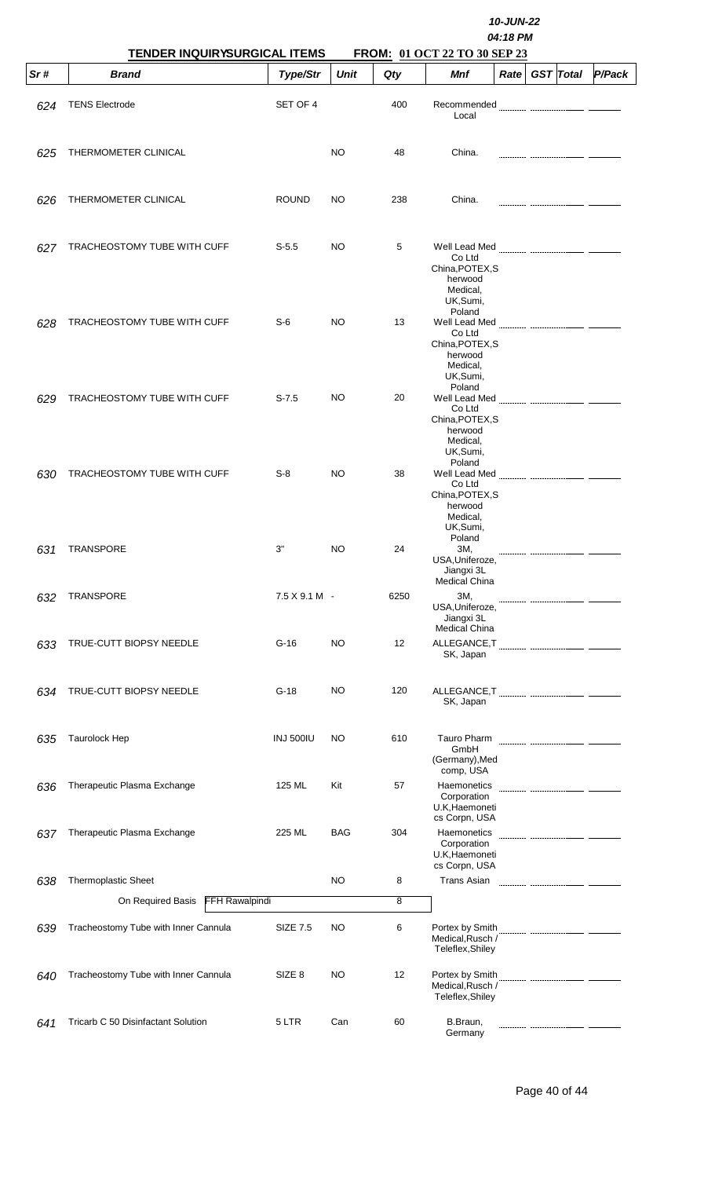|     | TENDER INQUIRYSURGICAL ITEMS         | 10-JUN-22<br>04:18 PM<br>FROM: 01 OCT 22 TO 30 SEP 23 |             |      |                                                                                         |             |  |                  |        |  |
|-----|--------------------------------------|-------------------------------------------------------|-------------|------|-----------------------------------------------------------------------------------------|-------------|--|------------------|--------|--|
| Sr# | <b>Brand</b>                         | Type/Str                                              | <b>Unit</b> | Qty  | Mnf                                                                                     | <b>Rate</b> |  | <b>GST</b> Total | P/Pack |  |
| 624 | <b>TENS Electrode</b>                | SET OF 4                                              |             | 400  | Recommended<br>Local                                                                    |             |  |                  |        |  |
| 625 | THERMOMETER CLINICAL                 |                                                       | NO          | 48   | China.                                                                                  |             |  |                  |        |  |
| 626 | THERMOMETER CLINICAL                 | <b>ROUND</b>                                          | NO          | 238  | China.                                                                                  |             |  |                  |        |  |
| 627 | TRACHEOSTOMY TUBE WITH CUFF          | $S-5.5$                                               | NO          | 5    | Co Ltd<br>China, POTEX, S<br>herwood<br>Medical,<br>UK, Sumi,                           |             |  |                  |        |  |
| 628 | TRACHEOSTOMY TUBE WITH CUFF          | $S-6$                                                 | <b>NO</b>   | 13   | Poland<br>Well Lead Med<br>Co Ltd<br>China, POTEX, S<br>herwood<br>Medical,<br>UK,Sumi, |             |  |                  |        |  |
| 629 | TRACHEOSTOMY TUBE WITH CUFF          | $S-7.5$                                               | NO.         | 20   | Poland<br>Well Lead Med<br>Co Ltd<br>China, POTEX, S<br>herwood<br>Medical,<br>UK,Sumi, |             |  |                  |        |  |
| 630 | TRACHEOSTOMY TUBE WITH CUFF          | $S-8$                                                 | NO          | 38   | Poland<br>Co Ltd<br>China, POTEX, S<br>herwood<br>Medical,<br>UK, Sumi,                 |             |  |                  |        |  |
| 631 | <b>TRANSPORE</b>                     | 3"                                                    | NO          | 24   | Poland<br>3M,<br>USA, Uniferoze,<br>Jiangxi 3L                                          |             |  |                  |        |  |
| 632 | <b>TRANSPORE</b>                     | $7.5$ X 9.1 M -                                       |             | 6250 | <b>Medical China</b><br>3M,<br>USA, Uniferoze,<br>Jiangxi 3L<br>Medical China           |             |  |                  |        |  |
| 633 | TRUE-CUTT BIOPSY NEEDLE              | $G-16$                                                | <b>NO</b>   | 12   | ALLEGANCE, T<br>SK, Japan                                                               |             |  |                  |        |  |
| 634 | TRUE-CUTT BIOPSY NEEDLE              | $G-18$                                                | <b>NO</b>   | 120  | SK, Japan                                                                               |             |  |                  |        |  |
| 635 | Taurolock Hep                        | <b>INJ 500IU</b>                                      | <b>NO</b>   | 610  | Tauro Pharm<br>GmbH<br>(Germany), Med                                                   |             |  |                  |        |  |
| 636 | Therapeutic Plasma Exchange          | 125 ML                                                | Kit         | 57   | comp, USA<br>Haemonetics<br>Corporation<br>U.K, Haemoneti                               |             |  |                  |        |  |
| 637 | Therapeutic Plasma Exchange          | 225 ML                                                | <b>BAG</b>  | 304  | cs Corpn, USA<br>Haemonetics<br>Corporation<br>U.K, Haemoneti                           |             |  |                  |        |  |
| 638 | Thermoplastic Sheet                  |                                                       | NO          | 8    | cs Corpn, USA<br><b>Trans Asian</b>                                                     |             |  |                  |        |  |
|     | FFH Rawalpindi<br>On Required Basis  |                                                       |             | 8    |                                                                                         |             |  |                  |        |  |
| 639 | Tracheostomy Tube with Inner Cannula | <b>SIZE 7.5</b>                                       | NO          | 6    | Portex by Smith<br>Medical, Rusch /<br>Teleflex, Shiley                                 |             |  |                  |        |  |
| 640 | Tracheostomy Tube with Inner Cannula | SIZE <sub>8</sub>                                     | <b>NO</b>   | 12   | Portex by Smith<br>Medical, Rusch /<br>Teleflex, Shiley                                 |             |  |                  |        |  |
| 641 | Tricarb C 50 Disinfactant Solution   | 5 LTR                                                 | Can         | 60   | B.Braun,<br>Germany                                                                     |             |  |                  |        |  |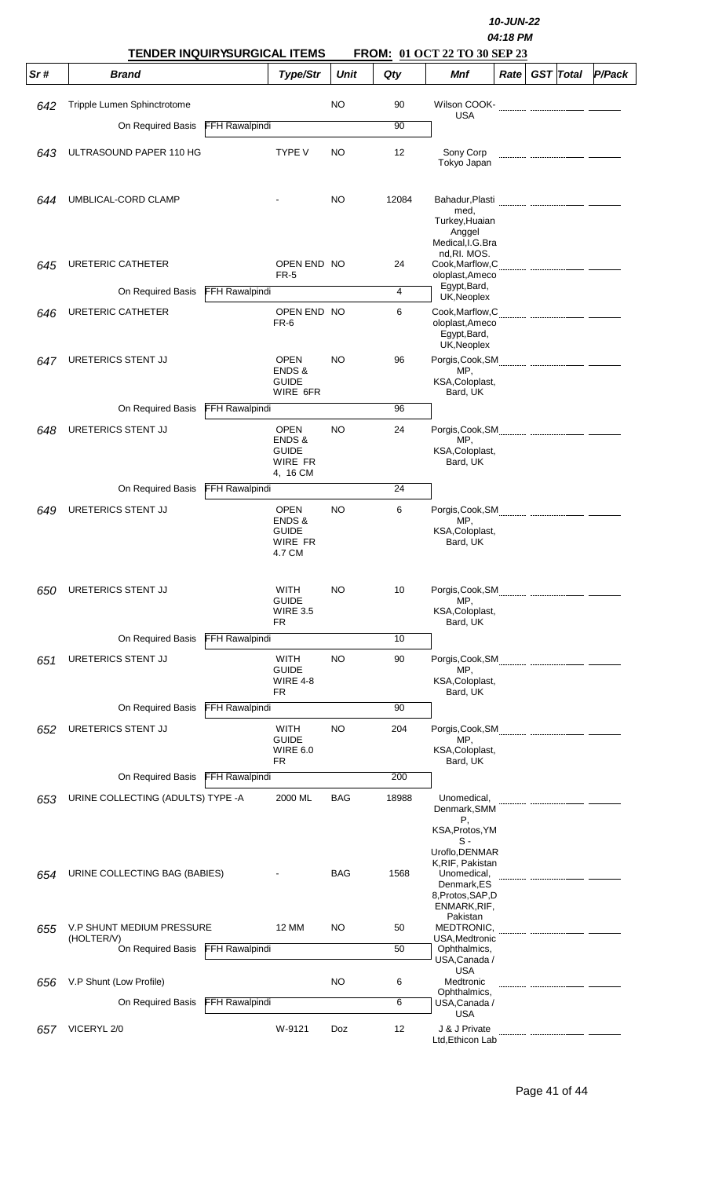|     |                                                     |                       |                                                                     |             | 10-JUN-22<br>04:18 PM<br><b>FROM: 01 OCT 22 TO 30 SEP 23</b> |                                                                                                      |      |  |                  |        |  |
|-----|-----------------------------------------------------|-----------------------|---------------------------------------------------------------------|-------------|--------------------------------------------------------------|------------------------------------------------------------------------------------------------------|------|--|------------------|--------|--|
| Sr# | <b>TENDER INQUIRYSURGICAL ITEMS</b><br><b>Brand</b> |                       | Type/Str                                                            | <b>Unit</b> | Qty                                                          | Mnf                                                                                                  | Rate |  | <b>GST</b> Total | P/Pack |  |
| 642 | Tripple Lumen Sphinctrotome                         |                       |                                                                     | NO          | 90                                                           | Wilson COOK-                                                                                         |      |  |                  |        |  |
|     | On Required Basis                                   | FFH Rawalpindi        |                                                                     |             | 90                                                           | USA                                                                                                  |      |  |                  |        |  |
| 643 | ULTRASOUND PAPER 110 HG                             |                       | <b>TYPE V</b>                                                       | NO          | 12                                                           | Sony Corp<br>Tokyo Japan                                                                             |      |  |                  |        |  |
| 644 | UMBLICAL-CORD CLAMP                                 |                       |                                                                     | NO          | 12084                                                        | Bahadur, Plasti<br>med.<br>Turkey, Huaian<br>Anggel<br>Medical, I.G. Bra                             |      |  |                  |        |  |
| 645 | URETERIC CATHETER                                   |                       | OPEN END NO<br>FR-5                                                 |             | 24                                                           | nd, RI. MOS.<br>Cook, Marflow, C<br>oloplast, Ameco                                                  |      |  |                  |        |  |
|     | On Required Basis                                   | FFH Rawalpindi        |                                                                     |             | 4                                                            | Egypt, Bard,<br>UK, Neoplex                                                                          |      |  |                  |        |  |
| 646 | URETERIC CATHETER                                   |                       | OPEN END NO<br>FR-6                                                 |             | 6                                                            | Cook, Marflow, C<br>oloplast, Ameco<br>Egypt, Bard,<br>UK, Neoplex                                   |      |  |                  |        |  |
| 647 | URETERICS STENT JJ                                  |                       | OPEN<br>ENDS &<br><b>GUIDE</b><br>WIRE 6FR                          | <b>NO</b>   | 96                                                           | MP,<br>KSA, Coloplast,<br>Bard, UK                                                                   |      |  |                  |        |  |
|     | On Required Basis                                   | FFH Rawalpindi        |                                                                     |             | 96                                                           |                                                                                                      |      |  |                  |        |  |
| 648 | URETERICS STENT JJ                                  |                       | <b>OPEN</b><br>ENDS &<br><b>GUIDE</b><br><b>WIRE FR</b><br>4, 16 CM | <b>NO</b>   | 24                                                           | MP,<br>KSA, Coloplast,<br>Bard, UK                                                                   |      |  |                  |        |  |
|     | On Required Basis                                   | FFH Rawalpindi        |                                                                     |             | 24                                                           |                                                                                                      |      |  |                  |        |  |
| 649 | URETERICS STENT JJ                                  |                       | <b>OPEN</b><br>ENDS &<br><b>GUIDE</b><br>WIRE FR<br>4.7 CM          | NO          | 6                                                            | MP,<br>KSA, Coloplast,<br>Bard, UK                                                                   |      |  |                  |        |  |
| 650 | URETERICS STENT JJ                                  |                       | WITH<br><b>GUIDE</b><br><b>WIRE 3.5</b><br>FR.                      | <b>NO</b>   | 10                                                           | MP,<br>KSA, Coloplast,<br>Bard, UK                                                                   |      |  |                  |        |  |
|     | On Required Basis                                   | FFH Rawalpindi        |                                                                     |             | 10                                                           |                                                                                                      |      |  |                  |        |  |
| 651 | URETERICS STENT JJ                                  |                       | WITH<br><b>GUIDE</b><br><b>WIRE 4-8</b><br>FR.                      | <b>NO</b>   | 90                                                           | MP,<br>KSA, Coloplast,<br>Bard, UK                                                                   |      |  |                  |        |  |
|     | On Required Basis                                   | FFH Rawalpindi        |                                                                     |             | 90                                                           |                                                                                                      |      |  |                  |        |  |
| 652 | URETERICS STENT JJ                                  |                       | WITH<br><b>GUIDE</b><br><b>WIRE 6.0</b><br>FR.                      | NO          | 204                                                          | MP,<br>KSA, Coloplast,<br>Bard, UK                                                                   |      |  |                  |        |  |
|     | On Required Basis                                   | FFH Rawalpindi        |                                                                     |             | 200                                                          |                                                                                                      |      |  |                  |        |  |
| 653 | URINE COLLECTING (ADULTS) TYPE -A                   |                       | 2000 ML                                                             | <b>BAG</b>  | 18988                                                        | Unomedical,<br>Denmark, SMM<br>Ρ,<br>KSA, Protos, YM<br>s -                                          |      |  |                  |        |  |
| 654 | URINE COLLECTING BAG (BABIES)                       |                       |                                                                     | <b>BAG</b>  | 1568                                                         | Uroflo, DENMAR<br>K, RIF, Pakistan<br>Unomedical,<br>Denmark,ES<br>8, Protos, SAP, D<br>ENMARK, RIF, |      |  |                  |        |  |
| 655 | <b>V.P SHUNT MEDIUM PRESSURE</b>                    |                       | 12 MM                                                               | NO          | 50                                                           | Pakistan<br>MEDTRONIC,                                                                               |      |  |                  |        |  |
|     | (HOLTER/V)<br>On Required Basis                     | <b>FFH Rawalpindi</b> |                                                                     |             | 50                                                           | USA, Medtronic<br>Ophthalmics,<br>USA, Canada /                                                      |      |  |                  |        |  |
| 656 | V.P Shunt (Low Profile)                             |                       |                                                                     | NO          | 6                                                            | <b>USA</b><br>Medtronic                                                                              |      |  |                  |        |  |
|     | On Required Basis                                   | <b>FFH Rawalpindi</b> |                                                                     |             | 6                                                            | Ophthalmics,<br>USA, Canada /<br><b>USA</b>                                                          |      |  |                  |        |  |
| 657 | VICERYL 2/0                                         |                       | W-9121                                                              | Doz         | 12                                                           | J & J Private<br>Ltd, Ethicon Lab                                                                    |      |  |                  |        |  |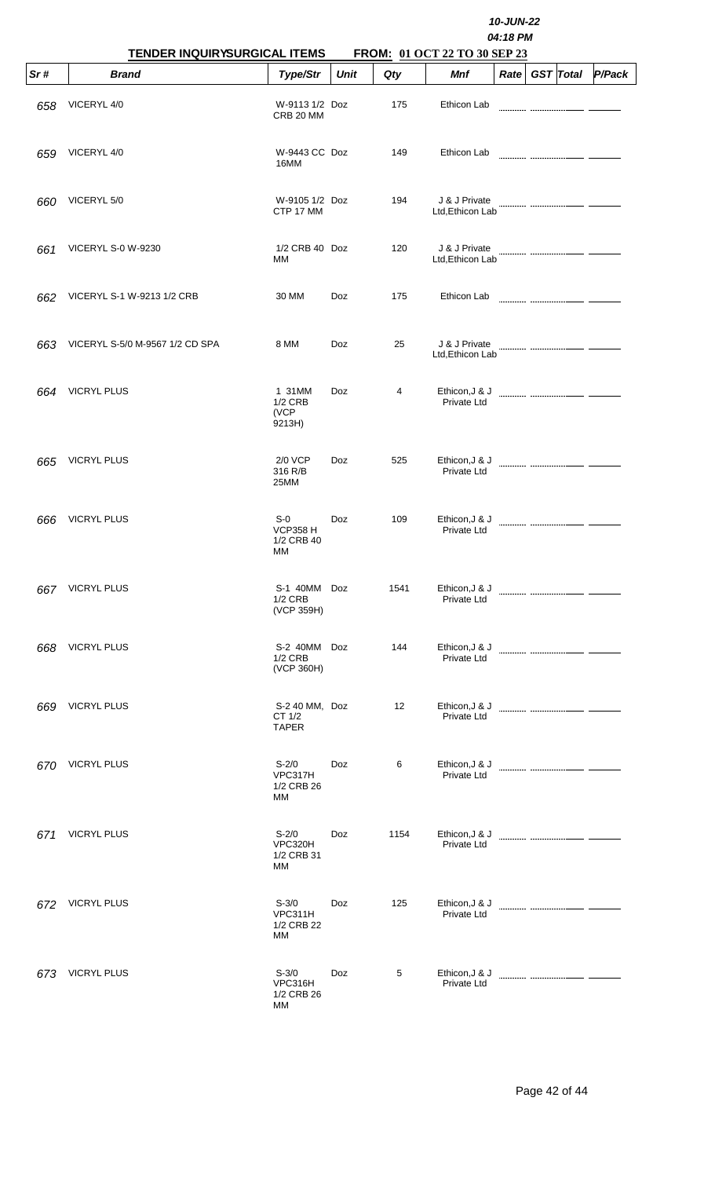|      | <b>TENDER INQUIRYSURGICAL ITEMS</b> |                                              | 10-JUN-22<br>04:18 PM<br>FROM: 01 OCT 22 TO 30 SEP 23 |      |                                   |                   |  |                  |        |  |  |
|------|-------------------------------------|----------------------------------------------|-------------------------------------------------------|------|-----------------------------------|-------------------|--|------------------|--------|--|--|
| Sr#  | <b>Brand</b>                        | Type/Str                                     | Unit                                                  | Qty  | Mnf                               | Rate <sub>1</sub> |  | <b>GST</b> Total | P/Pack |  |  |
| 658  | VICERYL 4/0                         | W-9113 1/2 Doz<br>CRB 20 MM                  |                                                       | 175  | Ethicon Lab                       |                   |  |                  |        |  |  |
| 659  | VICERYL 4/0                         | W-9443 CC Doz<br>16MM                        |                                                       | 149  | Ethicon Lab                       |                   |  |                  |        |  |  |
| 660  | VICERYL 5/0                         | W-9105 1/2 Doz<br>CTP 17 MM                  |                                                       | 194  | J & J Private<br>Ltd, Ethicon Lab |                   |  |                  |        |  |  |
| 661  | <b>VICERYL S-0 W-9230</b>           | 1/2 CRB 40 Doz<br>МM                         |                                                       | 120  | J & J Private<br>Ltd, Ethicon Lab |                   |  |                  |        |  |  |
| 662  | VICERYL S-1 W-9213 1/2 CRB          | 30 MM                                        | Doz                                                   | 175  | Ethicon Lab                       |                   |  |                  |        |  |  |
| 663  | VICERYL S-5/0 M-9567 1/2 CD SPA     | 8 MM                                         | Doz                                                   | 25   | J & J Private<br>Ltd, Ethicon Lab |                   |  |                  |        |  |  |
| 664  | <b>VICRYL PLUS</b>                  | 1 31MM<br><b>1/2 CRB</b><br>(VCP<br>9213H)   | Doz                                                   | 4    | Ethicon, J & J<br>Private Ltd     |                   |  |                  |        |  |  |
| 665  | <b>VICRYL PLUS</b>                  | 2/0 VCP<br>316 R/B<br>25MM                   | <b>Doz</b>                                            | 525  | Ethicon, J & J<br>Private Ltd     |                   |  |                  |        |  |  |
| 666  | <b>VICRYL PLUS</b>                  | S-0<br><b>VCP358 H</b><br>1/2 CRB 40<br>МM   | Doz                                                   | 109  | Ethicon, J & J<br>Private Ltd     |                   |  |                  |        |  |  |
| 667. | <b>VICRYL PLUS</b>                  | S-1 40MM<br>$1/2$ CRB<br>(VCP 359H)          | Doz                                                   | 1541 | Ethicon, J & J<br>Private Ltd     |                   |  |                  |        |  |  |
| 668  | <b>VICRYL PLUS</b>                  | S-2 40MM Doz<br><b>1/2 CRB</b><br>(VCP 360H) |                                                       | 144  | Ethicon, J & J<br>Private Ltd     |                   |  |                  |        |  |  |
| 669  | <b>VICRYL PLUS</b>                  | S-2 40 MM, Doz<br>CT 1/2<br><b>TAPER</b>     |                                                       | 12   | Ethicon, J & J<br>Private Ltd     |                   |  |                  |        |  |  |
| 670  | <b>VICRYL PLUS</b>                  | $S-2/0$<br>VPC317H<br>1/2 CRB 26<br>МM       | Doz                                                   | 6    | Ethicon, J & J<br>Private Ltd     |                   |  |                  |        |  |  |
| 671  | <b>VICRYL PLUS</b>                  | $S-2/0$<br>VPC320H<br>1/2 CRB 31<br>МM       | <b>Doz</b>                                            | 1154 | Ethicon, J & J<br>Private Ltd     |                   |  |                  |        |  |  |
| 672  | <b>VICRYL PLUS</b>                  | $S-3/0$<br>VPC311H<br>1/2 CRB 22<br>МM       | Doz                                                   | 125  | Ethicon, J & J<br>Private Ltd     |                   |  |                  |        |  |  |
| 673  | <b>VICRYL PLUS</b>                  | $S - 3/0$<br>VPC316H<br>1/2 CRB 26<br>МM     | Doz                                                   | 5    | Ethicon, J & J<br>Private Ltd     |                   |  |                  |        |  |  |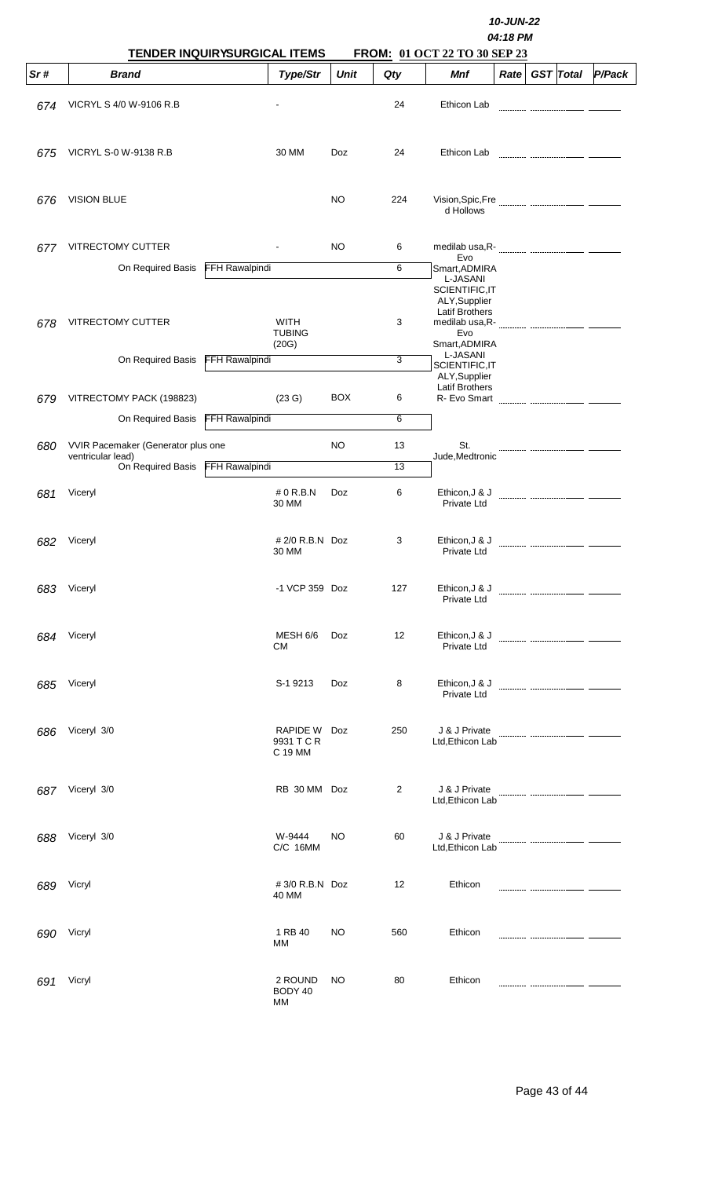|     | TENDER INQUIRYSURGICAL ITEMS                            |                       |                                       |             |                | FROM: 01 OCT 22 TO 30 SEP 23                                                                                    | 10-JUN-22<br>04:18 PM |                  |        |
|-----|---------------------------------------------------------|-----------------------|---------------------------------------|-------------|----------------|-----------------------------------------------------------------------------------------------------------------|-----------------------|------------------|--------|
| Sr# | <b>Brand</b>                                            |                       | Type/Str                              | <b>Unit</b> | Qty            | <b>Mnf</b>                                                                                                      | Rate                  | <b>GST</b> Total | P/Pack |
| 674 | VICRYL S 4/0 W-9106 R.B                                 |                       |                                       |             | 24             | Ethicon Lab                                                                                                     |                       |                  |        |
| 675 | <b>VICRYL S-0 W-9138 R.B</b>                            |                       | 30 MM                                 | Doz         | 24             | Ethicon Lab                                                                                                     |                       |                  |        |
| 676 | <b>VISION BLUE</b>                                      |                       |                                       | NO.         | 224            | d Hollows                                                                                                       |                       |                  |        |
| 677 | VITRECTOMY CUTTER                                       |                       |                                       | NO          | 6              |                                                                                                                 |                       |                  |        |
|     | On Required Basis                                       | <b>FFH Rawalpindi</b> |                                       |             | 6              | Evo<br>Smart, ADMIRA                                                                                            |                       |                  |        |
| 678 | VITRECTOMY CUTTER                                       |                       | <b>WITH</b><br><b>TUBING</b><br>(20G) |             | 3              | L-JASANI<br>SCIENTIFIC, IT<br>ALY, Supplier<br><b>Latif Brothers</b><br>medilab usa, R-<br>Evo<br>Smart, ADMIRA |                       |                  |        |
|     | On Required Basis                                       | <b>FFH Rawalpindi</b> |                                       |             | $\overline{3}$ | L-JASANI                                                                                                        |                       |                  |        |
| 679 | VITRECTOMY PACK (198823)                                |                       | (23 G)                                | <b>BOX</b>  | 6              | SCIENTIFIC, IT<br>ALY, Supplier<br><b>Latif Brothers</b><br>R- Evo Smart                                        |                       |                  |        |
|     | On Required Basis                                       | FFH Rawalpindi        |                                       |             | 6              |                                                                                                                 |                       |                  |        |
|     |                                                         |                       |                                       |             |                |                                                                                                                 |                       |                  |        |
| 680 | VVIR Pacemaker (Generator plus one<br>ventricular lead) |                       |                                       | NO          | 13             | St.<br>Jude, Medtronic                                                                                          |                       |                  |        |
|     | On Required Basis                                       | FFH Rawalpindi        |                                       |             | 13             |                                                                                                                 |                       |                  |        |
| 681 | Viceryl                                                 |                       | $#0$ R.B.N<br>30 MM                   | Doz         | 6              | Ethicon, J & J<br><b>Private Ltd</b>                                                                            |                       |                  |        |
| 682 | Viceryl                                                 |                       | # 2/0 R.B.N Doz<br>30 MM              |             | 3              | Ethicon, J & J<br>Private Ltd                                                                                   |                       |                  |        |
| 683 | Viceryl                                                 |                       | -1 VCP 359 Doz                        |             | 127            | Ethicon, J & J<br>Private Ltd                                                                                   |                       |                  |        |
| 684 | Viceryl                                                 |                       | MESH 6/6<br><b>CM</b>                 | Doz         | 12             | Ethicon, J & J<br>Private Ltd                                                                                   |                       |                  |        |
| 685 | Viceryl                                                 |                       | S-1 9213                              | Doz         | 8              | Ethicon, J & J<br>Private Ltd                                                                                   |                       |                  |        |
| 686 | Viceryl 3/0                                             |                       | RAPIDE W<br>9931 T C R<br>C 19 MM     | Doz         | 250            | J & J Private<br>Ltd, Ethicon Lab                                                                               |                       |                  |        |
| 687 | Viceryl 3/0                                             |                       | RB 30 MM Doz                          |             | 2              | J & J Private<br>Ltd, Ethicon Lab                                                                               |                       |                  |        |
| 688 | Viceryl 3/0                                             |                       | W-9444<br>C/C 16MM                    | NO          | 60             | J & J Private<br>Ltd, Ethicon Lab                                                                               |                       |                  |        |
| 689 | Vicryl                                                  |                       | #3/0 R.B.N Doz<br>40 MM               |             | 12             | Ethicon                                                                                                         |                       |                  |        |
| 690 | Vicryl                                                  |                       | 1 RB 40<br>MМ                         | <b>NO</b>   | 560            | Ethicon                                                                                                         |                       |                  |        |
| 691 | Vicryl                                                  |                       | 2 ROUND<br>BODY 40<br><b>MM</b>       | NO.         | 80             | Ethicon                                                                                                         |                       |                  |        |